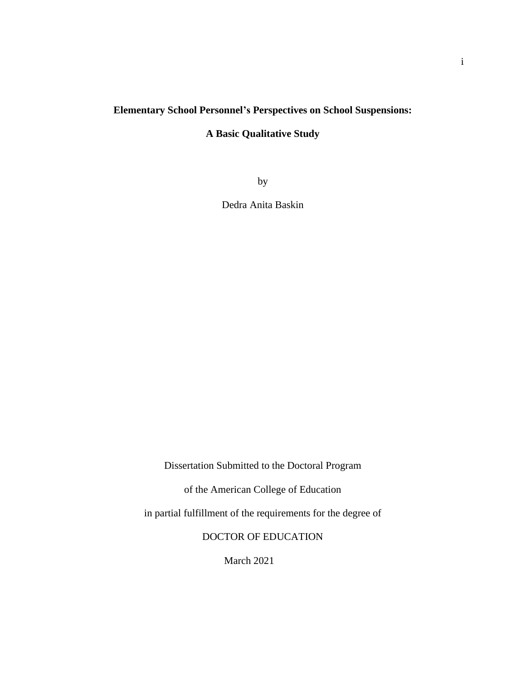# **Elementary School Personnel's Perspectives on School Suspensions:**

# **A Basic Qualitative Study**

by

Dedra Anita Baskin

Dissertation Submitted to the Doctoral Program

of the American College of Education

in partial fulfillment of the requirements for the degree of

DOCTOR OF EDUCATION

March 2021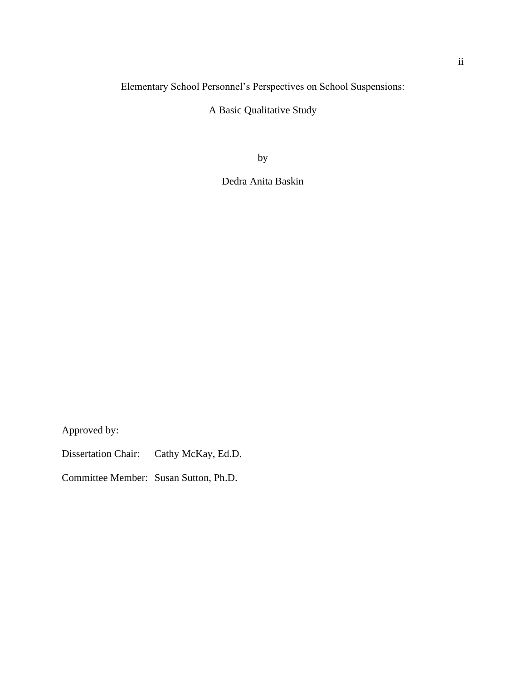Elementary School Personnel's Perspectives on School Suspensions:

A Basic Qualitative Study

by

Dedra Anita Baskin

Approved by:

Dissertation Chair: Cathy McKay, Ed.D.

Committee Member: Susan Sutton, Ph.D.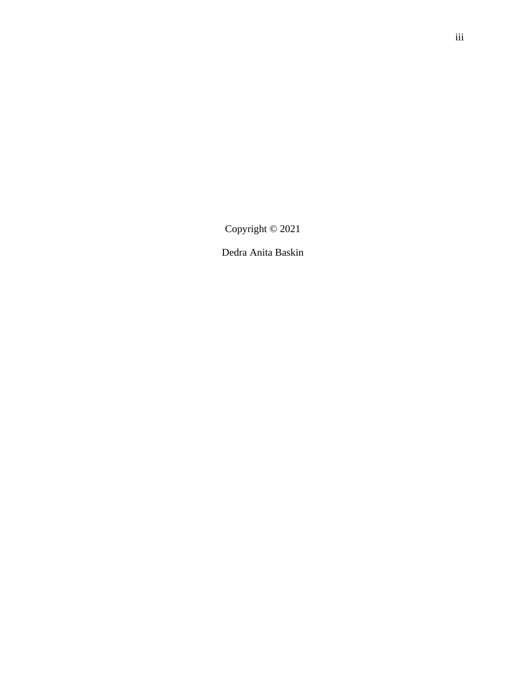Copyright © 2021

Dedra Anita Baskin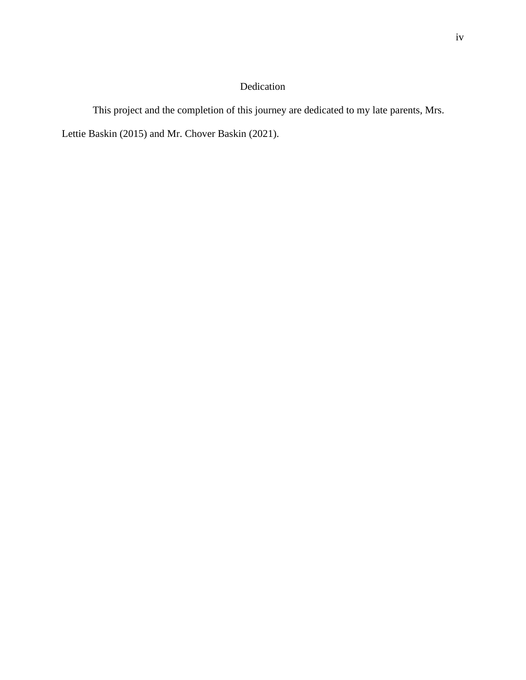# Dedication

This project and the completion of this journey are dedicated to my late parents, Mrs. Lettie Baskin (2015) and Mr. Chover Baskin (2021).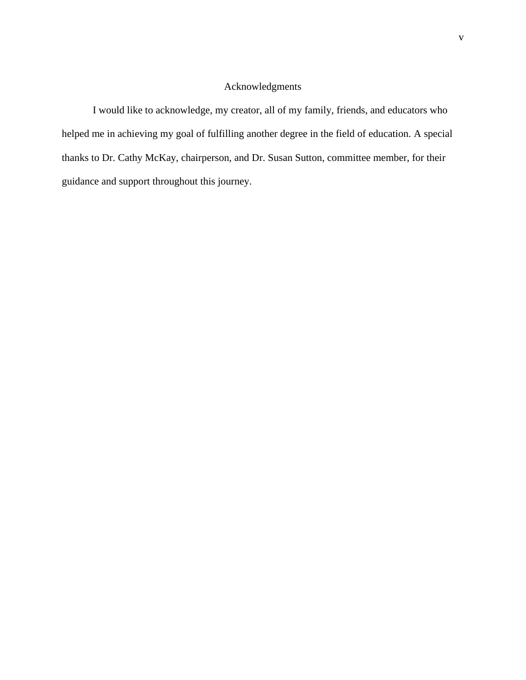# Acknowledgments

I would like to acknowledge, my creator, all of my family, friends, and educators who helped me in achieving my goal of fulfilling another degree in the field of education. A special thanks to Dr. Cathy McKay, chairperson, and Dr. Susan Sutton, committee member, for their guidance and support throughout this journey.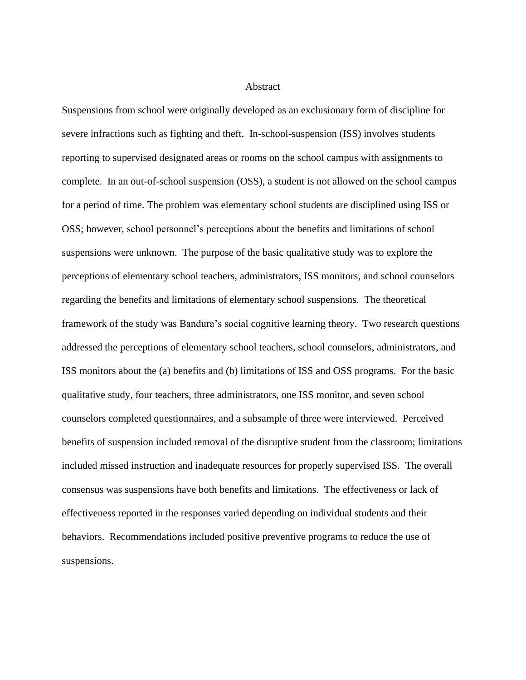## Abstract

Suspensions from school were originally developed as an exclusionary form of discipline for severe infractions such as fighting and theft. In-school-suspension (ISS) involves students reporting to supervised designated areas or rooms on the school campus with assignments to complete. In an out-of-school suspension (OSS), a student is not allowed on the school campus for a period of time. The problem was elementary school students are disciplined using ISS or OSS; however, school personnel's perceptions about the benefits and limitations of school suspensions were unknown. The purpose of the basic qualitative study was to explore the perceptions of elementary school teachers, administrators, ISS monitors, and school counselors regarding the benefits and limitations of elementary school suspensions. The theoretical framework of the study was Bandura's social cognitive learning theory. Two research questions addressed the perceptions of elementary school teachers, school counselors, administrators, and ISS monitors about the (a) benefits and (b) limitations of ISS and OSS programs. For the basic qualitative study, four teachers, three administrators, one ISS monitor, and seven school counselors completed questionnaires, and a subsample of three were interviewed. Perceived benefits of suspension included removal of the disruptive student from the classroom; limitations included missed instruction and inadequate resources for properly supervised ISS. The overall consensus was suspensions have both benefits and limitations. The effectiveness or lack of effectiveness reported in the responses varied depending on individual students and their behaviors. Recommendations included positive preventive programs to reduce the use of suspensions.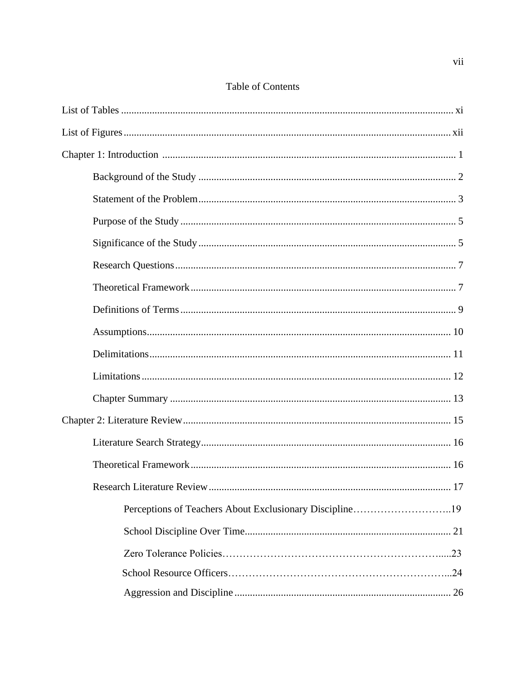| Perceptions of Teachers About Exclusionary Discipline19 |
|---------------------------------------------------------|
|                                                         |
|                                                         |
|                                                         |
|                                                         |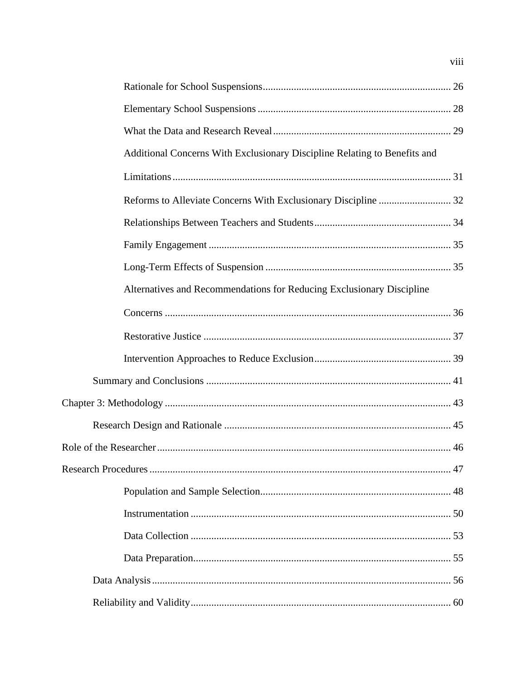| Additional Concerns With Exclusionary Discipline Relating to Benefits and |  |
|---------------------------------------------------------------------------|--|
|                                                                           |  |
|                                                                           |  |
|                                                                           |  |
|                                                                           |  |
|                                                                           |  |
| Alternatives and Recommendations for Reducing Exclusionary Discipline     |  |
|                                                                           |  |
|                                                                           |  |
|                                                                           |  |
|                                                                           |  |
|                                                                           |  |
|                                                                           |  |
|                                                                           |  |
|                                                                           |  |
|                                                                           |  |
|                                                                           |  |
|                                                                           |  |
|                                                                           |  |
|                                                                           |  |
|                                                                           |  |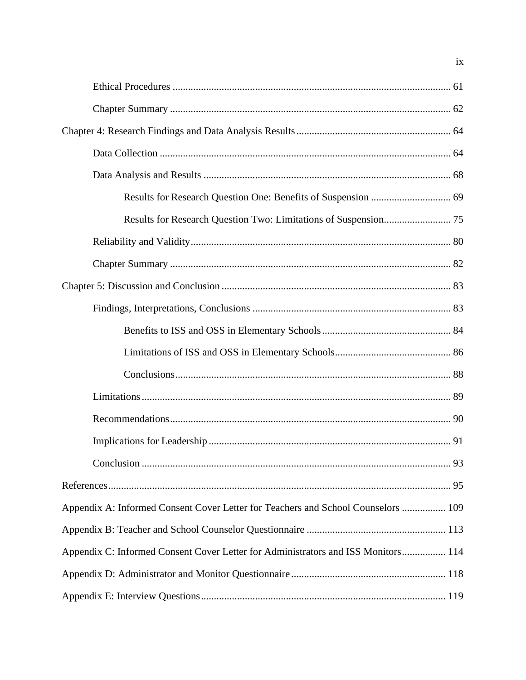| Appendix A: Informed Consent Cover Letter for Teachers and School Counselors  109 |  |
|-----------------------------------------------------------------------------------|--|
|                                                                                   |  |
| Appendix C: Informed Consent Cover Letter for Administrators and ISS Monitors 114 |  |
|                                                                                   |  |
|                                                                                   |  |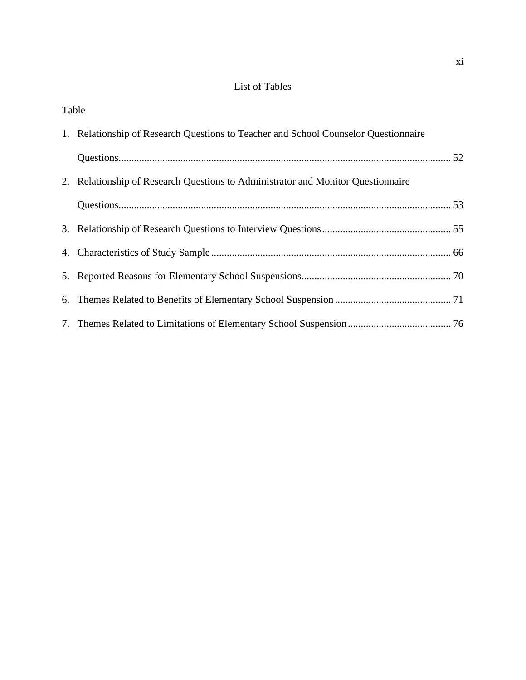# List of Tables

| Table                                                                               |  |  |  |  |
|-------------------------------------------------------------------------------------|--|--|--|--|
| 1. Relationship of Research Questions to Teacher and School Counselor Questionnaire |  |  |  |  |
|                                                                                     |  |  |  |  |
| 2. Relationship of Research Questions to Administrator and Monitor Questionnaire    |  |  |  |  |
|                                                                                     |  |  |  |  |
|                                                                                     |  |  |  |  |
|                                                                                     |  |  |  |  |
|                                                                                     |  |  |  |  |
|                                                                                     |  |  |  |  |
|                                                                                     |  |  |  |  |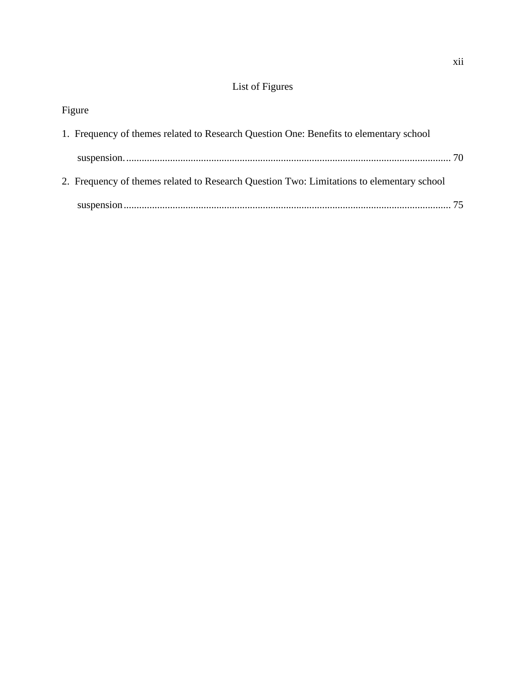# List of Figures

| Figure                                                                                    |  |
|-------------------------------------------------------------------------------------------|--|
| 1. Frequency of themes related to Research Question One: Benefits to elementary school    |  |
|                                                                                           |  |
| 2. Frequency of themes related to Research Question Two: Limitations to elementary school |  |
|                                                                                           |  |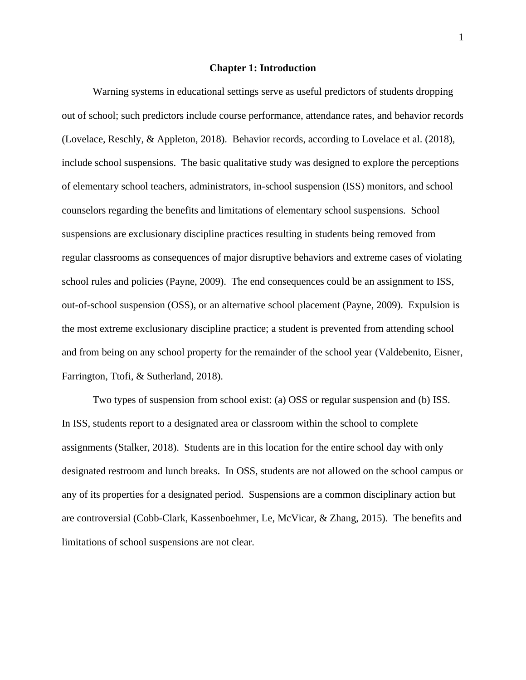#### **Chapter 1: Introduction**

Warning systems in educational settings serve as useful predictors of students dropping out of school; such predictors include course performance, attendance rates, and behavior records (Lovelace, Reschly, & Appleton, 2018). Behavior records, according to Lovelace et al. (2018), include school suspensions. The basic qualitative study was designed to explore the perceptions of elementary school teachers, administrators, in-school suspension (ISS) monitors, and school counselors regarding the benefits and limitations of elementary school suspensions. School suspensions are exclusionary discipline practices resulting in students being removed from regular classrooms as consequences of major disruptive behaviors and extreme cases of violating school rules and policies (Payne, 2009). The end consequences could be an assignment to ISS, out-of-school suspension (OSS), or an alternative school placement (Payne, 2009). Expulsion is the most extreme exclusionary discipline practice; a student is prevented from attending school and from being on any school property for the remainder of the school year (Valdebenito, Eisner, Farrington, Ttofi, & Sutherland, 2018).

Two types of suspension from school exist: (a) OSS or regular suspension and (b) ISS. In ISS, students report to a designated area or classroom within the school to complete assignments (Stalker, 2018). Students are in this location for the entire school day with only designated restroom and lunch breaks. In OSS, students are not allowed on the school campus or any of its properties for a designated period. Suspensions are a common disciplinary action but are controversial (Cobb-Clark, Kassenboehmer, Le, McVicar, & Zhang, 2015). The benefits and limitations of school suspensions are not clear.

1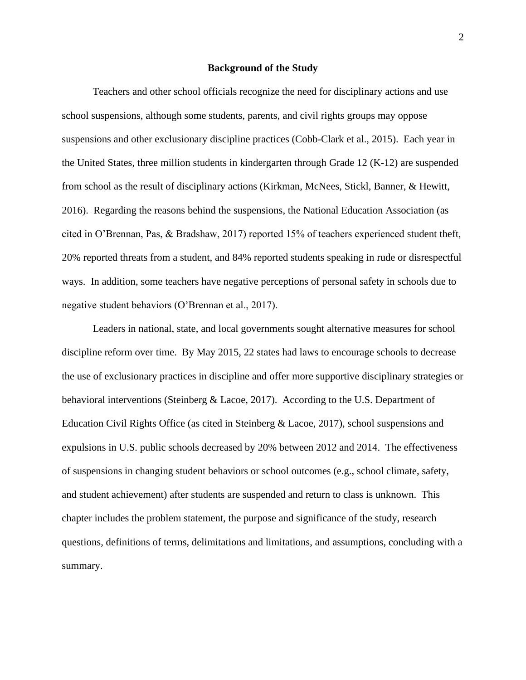#### **Background of the Study**

Teachers and other school officials recognize the need for disciplinary actions and use school suspensions, although some students, parents, and civil rights groups may oppose suspensions and other exclusionary discipline practices (Cobb-Clark et al., 2015). Each year in the United States, three million students in kindergarten through Grade 12 (K-12) are suspended from school as the result of disciplinary actions (Kirkman, McNees, Stickl, Banner, & Hewitt, 2016). Regarding the reasons behind the suspensions, the National Education Association (as cited in O'Brennan, Pas, & Bradshaw, 2017) reported 15% of teachers experienced student theft, 20% reported threats from a student, and 84% reported students speaking in rude or disrespectful ways. In addition, some teachers have negative perceptions of personal safety in schools due to negative student behaviors (O'Brennan et al., 2017).

Leaders in national, state, and local governments sought alternative measures for school discipline reform over time. By May 2015, 22 states had laws to encourage schools to decrease the use of exclusionary practices in discipline and offer more supportive disciplinary strategies or behavioral interventions (Steinberg & Lacoe, 2017). According to the U.S. Department of Education Civil Rights Office (as cited in Steinberg & Lacoe, 2017), school suspensions and expulsions in U.S. public schools decreased by 20% between 2012 and 2014. The effectiveness of suspensions in changing student behaviors or school outcomes (e.g., school climate, safety, and student achievement) after students are suspended and return to class is unknown. This chapter includes the problem statement, the purpose and significance of the study, research questions, definitions of terms, delimitations and limitations, and assumptions, concluding with a summary.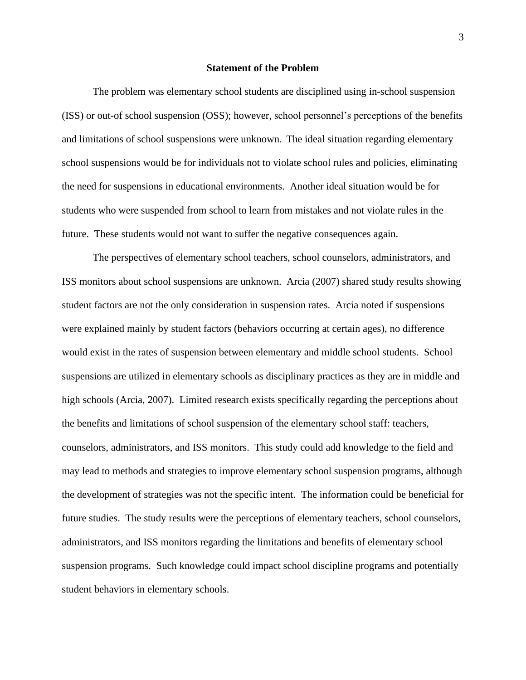# **Statement of the Problem**

The problem was elementary school students are disciplined using in-school suspension (ISS) or out-of school suspension (OSS); however, school personnel's perceptions of the benefits and limitations of school suspensions were unknown. The ideal situation regarding elementary school suspensions would be for individuals not to violate school rules and policies, eliminating the need for suspensions in educational environments. Another ideal situation would be for students who were suspended from school to learn from mistakes and not violate rules in the future. These students would not want to suffer the negative consequences again.

The perspectives of elementary school teachers, school counselors, administrators, and ISS monitors about school suspensions are unknown. Arcia (2007) shared study results showing student factors are not the only consideration in suspension rates. Arcia noted if suspensions were explained mainly by student factors (behaviors occurring at certain ages), no difference would exist in the rates of suspension between elementary and middle school students. School suspensions are utilized in elementary schools as disciplinary practices as they are in middle and high schools (Arcia, 2007). Limited research exists specifically regarding the perceptions about the benefits and limitations of school suspension of the elementary school staff: teachers, counselors, administrators, and ISS monitors. This study could add knowledge to the field and may lead to methods and strategies to improve elementary school suspension programs, although the development of strategies was not the specific intent. The information could be beneficial for future studies. The study results were the perceptions of elementary teachers, school counselors, administrators, and ISS monitors regarding the limitations and benefits of elementary school suspension programs. Such knowledge could impact school discipline programs and potentially student behaviors in elementary schools.

3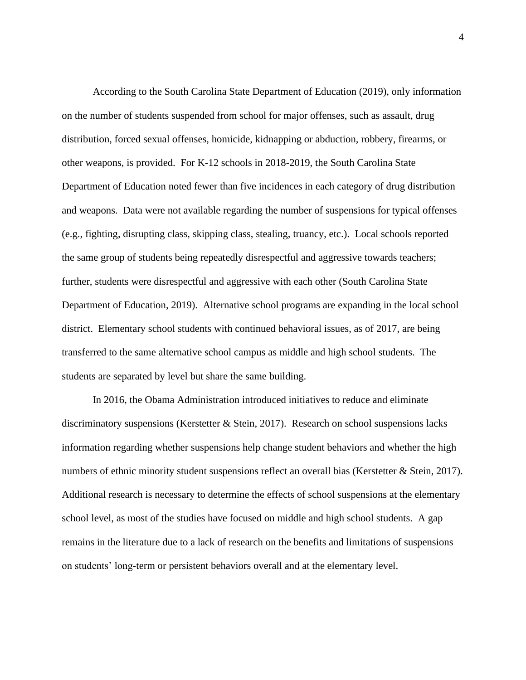According to the South Carolina State Department of Education (2019), only information on the number of students suspended from school for major offenses, such as assault, drug distribution, forced sexual offenses, homicide, kidnapping or abduction, robbery, firearms, or other weapons, is provided. For K-12 schools in 2018-2019, the South Carolina State Department of Education noted fewer than five incidences in each category of drug distribution and weapons. Data were not available regarding the number of suspensions for typical offenses (e.g., fighting, disrupting class, skipping class, stealing, truancy, etc.). Local schools reported the same group of students being repeatedly disrespectful and aggressive towards teachers; further, students were disrespectful and aggressive with each other (South Carolina State Department of Education, 2019). Alternative school programs are expanding in the local school district. Elementary school students with continued behavioral issues, as of 2017, are being transferred to the same alternative school campus as middle and high school students. The students are separated by level but share the same building.

In 2016, the Obama Administration introduced initiatives to reduce and eliminate discriminatory suspensions (Kerstetter  $\&$  Stein, 2017). Research on school suspensions lacks information regarding whether suspensions help change student behaviors and whether the high numbers of ethnic minority student suspensions reflect an overall bias (Kerstetter & Stein, 2017). Additional research is necessary to determine the effects of school suspensions at the elementary school level, as most of the studies have focused on middle and high school students. A gap remains in the literature due to a lack of research on the benefits and limitations of suspensions on students' long-term or persistent behaviors overall and at the elementary level.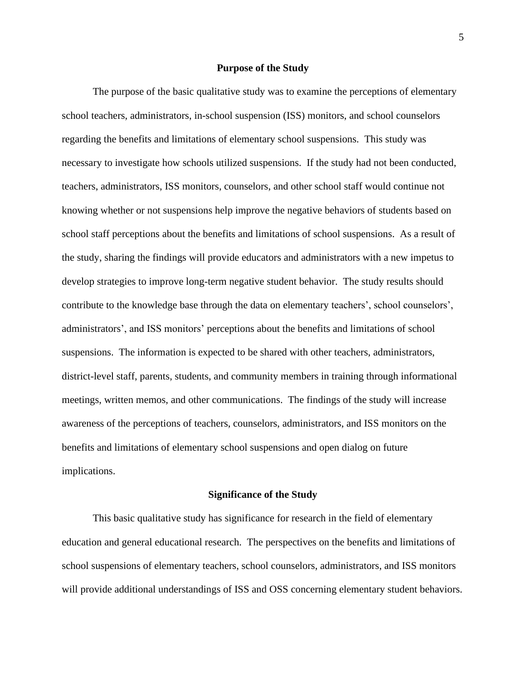#### **Purpose of the Study**

The purpose of the basic qualitative study was to examine the perceptions of elementary school teachers, administrators, in-school suspension (ISS) monitors, and school counselors regarding the benefits and limitations of elementary school suspensions. This study was necessary to investigate how schools utilized suspensions. If the study had not been conducted, teachers, administrators, ISS monitors, counselors, and other school staff would continue not knowing whether or not suspensions help improve the negative behaviors of students based on school staff perceptions about the benefits and limitations of school suspensions. As a result of the study, sharing the findings will provide educators and administrators with a new impetus to develop strategies to improve long-term negative student behavior. The study results should contribute to the knowledge base through the data on elementary teachers', school counselors', administrators', and ISS monitors' perceptions about the benefits and limitations of school suspensions. The information is expected to be shared with other teachers, administrators, district-level staff, parents, students, and community members in training through informational meetings, written memos, and other communications. The findings of the study will increase awareness of the perceptions of teachers, counselors, administrators, and ISS monitors on the benefits and limitations of elementary school suspensions and open dialog on future implications.

#### **Significance of the Study**

This basic qualitative study has significance for research in the field of elementary education and general educational research. The perspectives on the benefits and limitations of school suspensions of elementary teachers, school counselors, administrators, and ISS monitors will provide additional understandings of ISS and OSS concerning elementary student behaviors.

5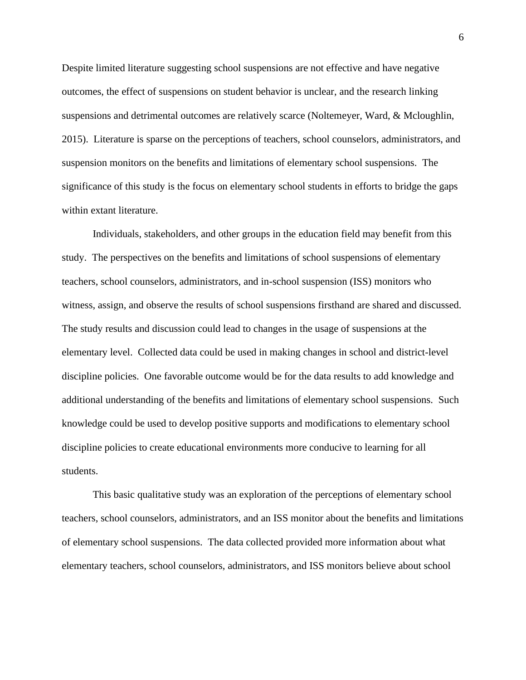Despite limited literature suggesting school suspensions are not effective and have negative outcomes, the effect of suspensions on student behavior is unclear, and the research linking suspensions and detrimental outcomes are relatively scarce (Noltemeyer, Ward, & Mcloughlin, 2015). Literature is sparse on the perceptions of teachers, school counselors, administrators, and suspension monitors on the benefits and limitations of elementary school suspensions. The significance of this study is the focus on elementary school students in efforts to bridge the gaps within extant literature.

Individuals, stakeholders, and other groups in the education field may benefit from this study. The perspectives on the benefits and limitations of school suspensions of elementary teachers, school counselors, administrators, and in-school suspension (ISS) monitors who witness, assign, and observe the results of school suspensions firsthand are shared and discussed. The study results and discussion could lead to changes in the usage of suspensions at the elementary level. Collected data could be used in making changes in school and district-level discipline policies. One favorable outcome would be for the data results to add knowledge and additional understanding of the benefits and limitations of elementary school suspensions. Such knowledge could be used to develop positive supports and modifications to elementary school discipline policies to create educational environments more conducive to learning for all students.

This basic qualitative study was an exploration of the perceptions of elementary school teachers, school counselors, administrators, and an ISS monitor about the benefits and limitations of elementary school suspensions. The data collected provided more information about what elementary teachers, school counselors, administrators, and ISS monitors believe about school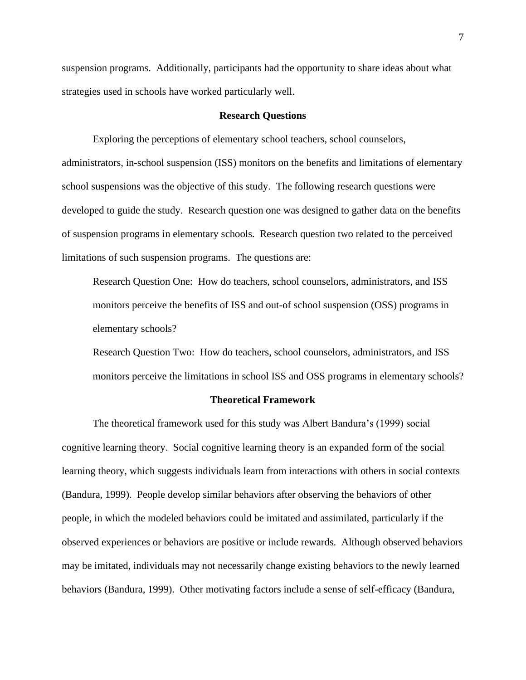suspension programs. Additionally, participants had the opportunity to share ideas about what strategies used in schools have worked particularly well.

## **Research Questions**

Exploring the perceptions of elementary school teachers, school counselors, administrators, in-school suspension (ISS) monitors on the benefits and limitations of elementary school suspensions was the objective of this study. The following research questions were developed to guide the study. Research question one was designed to gather data on the benefits of suspension programs in elementary schools. Research question two related to the perceived limitations of such suspension programs. The questions are:

Research Question One: How do teachers, school counselors, administrators, and ISS monitors perceive the benefits of ISS and out-of school suspension (OSS) programs in elementary schools?

Research Question Two: How do teachers, school counselors, administrators, and ISS monitors perceive the limitations in school ISS and OSS programs in elementary schools?

## **Theoretical Framework**

The theoretical framework used for this study was Albert Bandura's (1999) social cognitive learning theory. Social cognitive learning theory is an expanded form of the social learning theory, which suggests individuals learn from interactions with others in social contexts (Bandura, 1999). People develop similar behaviors after observing the behaviors of other people, in which the modeled behaviors could be imitated and assimilated, particularly if the observed experiences or behaviors are positive or include rewards. Although observed behaviors may be imitated, individuals may not necessarily change existing behaviors to the newly learned behaviors (Bandura, 1999). Other motivating factors include a sense of self-efficacy (Bandura,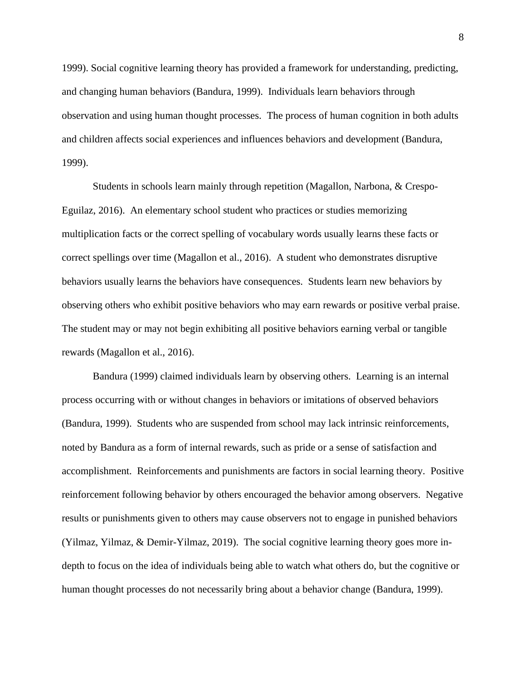1999). Social cognitive learning theory has provided a framework for understanding, predicting, and changing human behaviors (Bandura, 1999). Individuals learn behaviors through observation and using human thought processes. The process of human cognition in both adults and children affects social experiences and influences behaviors and development (Bandura, 1999).

Students in schools learn mainly through repetition (Magallon, Narbona, & Crespo-Eguilaz, 2016). An elementary school student who practices or studies memorizing multiplication facts or the correct spelling of vocabulary words usually learns these facts or correct spellings over time (Magallon et al., 2016). A student who demonstrates disruptive behaviors usually learns the behaviors have consequences. Students learn new behaviors by observing others who exhibit positive behaviors who may earn rewards or positive verbal praise. The student may or may not begin exhibiting all positive behaviors earning verbal or tangible rewards (Magallon et al., 2016).

Bandura (1999) claimed individuals learn by observing others. Learning is an internal process occurring with or without changes in behaviors or imitations of observed behaviors (Bandura, 1999). Students who are suspended from school may lack intrinsic reinforcements, noted by Bandura as a form of internal rewards, such as pride or a sense of satisfaction and accomplishment. Reinforcements and punishments are factors in social learning theory. Positive reinforcement following behavior by others encouraged the behavior among observers. Negative results or punishments given to others may cause observers not to engage in punished behaviors (Yilmaz, Yilmaz, & Demir-Yilmaz, 2019). The social cognitive learning theory goes more indepth to focus on the idea of individuals being able to watch what others do, but the cognitive or human thought processes do not necessarily bring about a behavior change (Bandura, 1999).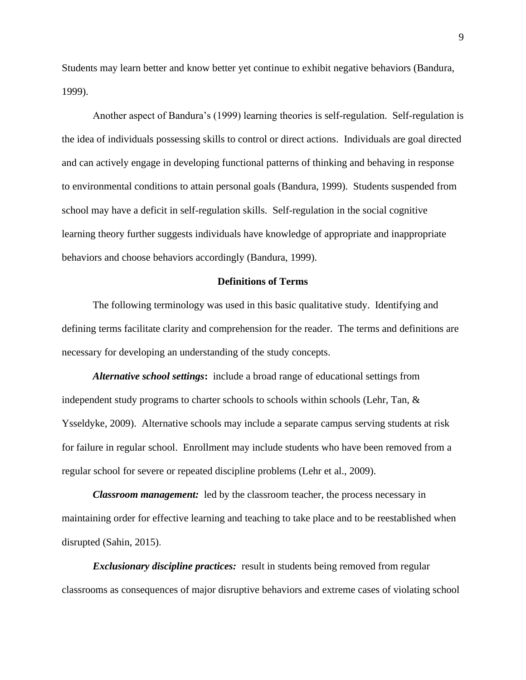Students may learn better and know better yet continue to exhibit negative behaviors (Bandura, 1999).

Another aspect of Bandura's (1999) learning theories is self-regulation. Self-regulation is the idea of individuals possessing skills to control or direct actions. Individuals are goal directed and can actively engage in developing functional patterns of thinking and behaving in response to environmental conditions to attain personal goals (Bandura, 1999). Students suspended from school may have a deficit in self-regulation skills. Self-regulation in the social cognitive learning theory further suggests individuals have knowledge of appropriate and inappropriate behaviors and choose behaviors accordingly (Bandura, 1999).

# **Definitions of Terms**

The following terminology was used in this basic qualitative study. Identifying and defining terms facilitate clarity and comprehension for the reader. The terms and definitions are necessary for developing an understanding of the study concepts.

*Alternative school settings***:** include a broad range of educational settings from independent study programs to charter schools to schools within schools (Lehr, Tan,  $\&$ Ysseldyke, 2009). Alternative schools may include a separate campus serving students at risk for failure in regular school. Enrollment may include students who have been removed from a regular school for severe or repeated discipline problems (Lehr et al., 2009).

*Classroom management:* led by the classroom teacher, the process necessary in maintaining order for effective learning and teaching to take place and to be reestablished when disrupted (Sahin, 2015).

*Exclusionary discipline practices:* result in students being removed from regular classrooms as consequences of major disruptive behaviors and extreme cases of violating school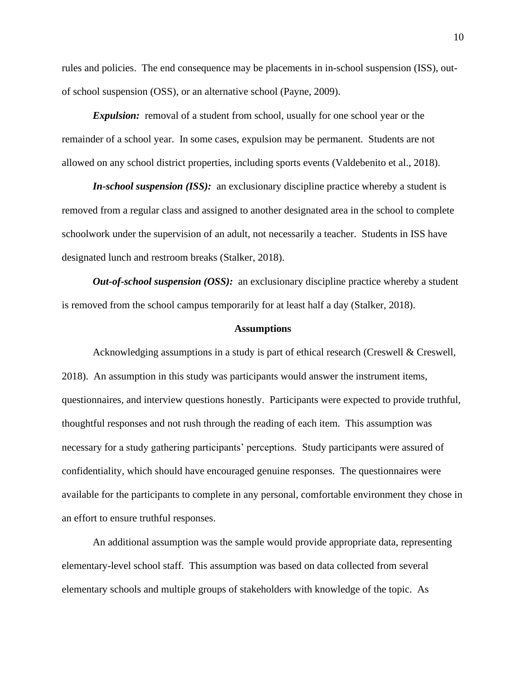rules and policies. The end consequence may be placements in in-school suspension (ISS), outof school suspension (OSS), or an alternative school (Payne, 2009).

*Expulsion:* removal of a student from school, usually for one school year or the remainder of a school year. In some cases, expulsion may be permanent. Students are not allowed on any school district properties, including sports events (Valdebenito et al., 2018).

*In-school suspension (ISS):* an exclusionary discipline practice whereby a student is removed from a regular class and assigned to another designated area in the school to complete schoolwork under the supervision of an adult, not necessarily a teacher. Students in ISS have designated lunch and restroom breaks (Stalker, 2018).

*Out-of-school suspension (OSS):* an exclusionary discipline practice whereby a student is removed from the school campus temporarily for at least half a day (Stalker, 2018).

#### **Assumptions**

Acknowledging assumptions in a study is part of ethical research (Creswell & Creswell, 2018). An assumption in this study was participants would answer the instrument items, questionnaires, and interview questions honestly. Participants were expected to provide truthful, thoughtful responses and not rush through the reading of each item. This assumption was necessary for a study gathering participants' perceptions. Study participants were assured of confidentiality, which should have encouraged genuine responses. The questionnaires were available for the participants to complete in any personal, comfortable environment they chose in an effort to ensure truthful responses.

An additional assumption was the sample would provide appropriate data, representing elementary-level school staff. This assumption was based on data collected from several elementary schools and multiple groups of stakeholders with knowledge of the topic. As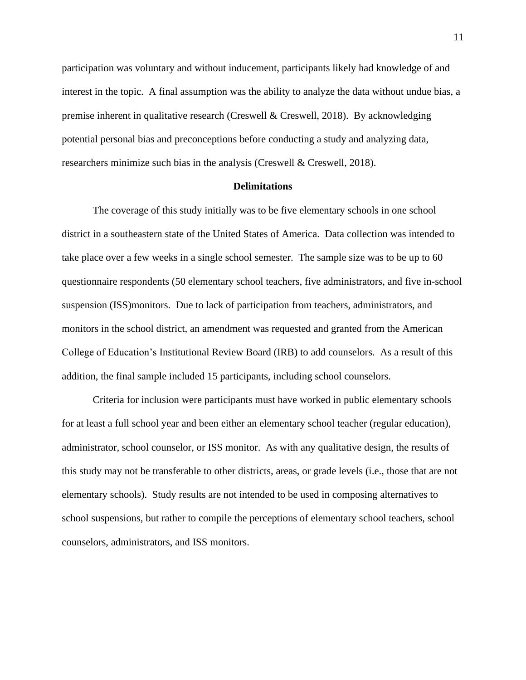participation was voluntary and without inducement, participants likely had knowledge of and interest in the topic. A final assumption was the ability to analyze the data without undue bias, a premise inherent in qualitative research (Creswell & Creswell, 2018). By acknowledging potential personal bias and preconceptions before conducting a study and analyzing data, researchers minimize such bias in the analysis (Creswell & Creswell, 2018).

#### **Delimitations**

The coverage of this study initially was to be five elementary schools in one school district in a southeastern state of the United States of America. Data collection was intended to take place over a few weeks in a single school semester. The sample size was to be up to 60 questionnaire respondents (50 elementary school teachers, five administrators, and five in-school suspension (ISS)monitors. Due to lack of participation from teachers, administrators, and monitors in the school district, an amendment was requested and granted from the American College of Education's Institutional Review Board (IRB) to add counselors. As a result of this addition, the final sample included 15 participants, including school counselors.

Criteria for inclusion were participants must have worked in public elementary schools for at least a full school year and been either an elementary school teacher (regular education), administrator, school counselor, or ISS monitor. As with any qualitative design, the results of this study may not be transferable to other districts, areas, or grade levels (i.e., those that are not elementary schools). Study results are not intended to be used in composing alternatives to school suspensions, but rather to compile the perceptions of elementary school teachers, school counselors, administrators, and ISS monitors.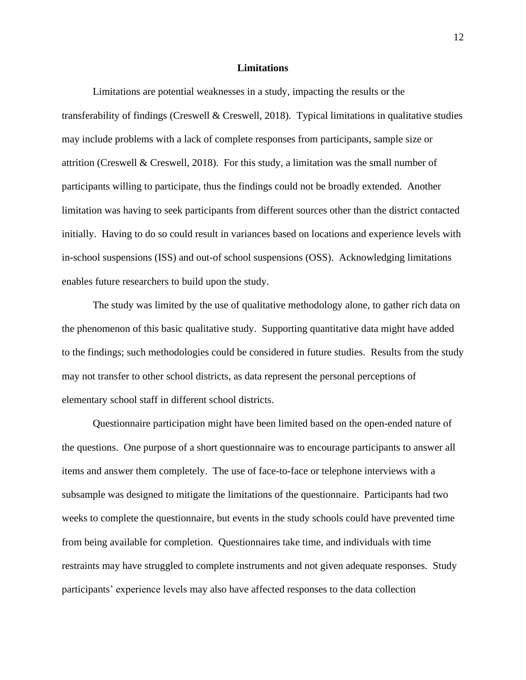## **Limitations**

Limitations are potential weaknesses in a study, impacting the results or the transferability of findings (Creswell & Creswell, 2018). Typical limitations in qualitative studies may include problems with a lack of complete responses from participants, sample size or attrition (Creswell & Creswell, 2018). For this study, a limitation was the small number of participants willing to participate, thus the findings could not be broadly extended. Another limitation was having to seek participants from different sources other than the district contacted initially. Having to do so could result in variances based on locations and experience levels with in-school suspensions (ISS) and out-of school suspensions (OSS). Acknowledging limitations enables future researchers to build upon the study.

The study was limited by the use of qualitative methodology alone, to gather rich data on the phenomenon of this basic qualitative study. Supporting quantitative data might have added to the findings; such methodologies could be considered in future studies. Results from the study may not transfer to other school districts, as data represent the personal perceptions of elementary school staff in different school districts.

Questionnaire participation might have been limited based on the open-ended nature of the questions. One purpose of a short questionnaire was to encourage participants to answer all items and answer them completely. The use of face-to-face or telephone interviews with a subsample was designed to mitigate the limitations of the questionnaire. Participants had two weeks to complete the questionnaire, but events in the study schools could have prevented time from being available for completion. Questionnaires take time, and individuals with time restraints may have struggled to complete instruments and not given adequate responses. Study participants' experience levels may also have affected responses to the data collection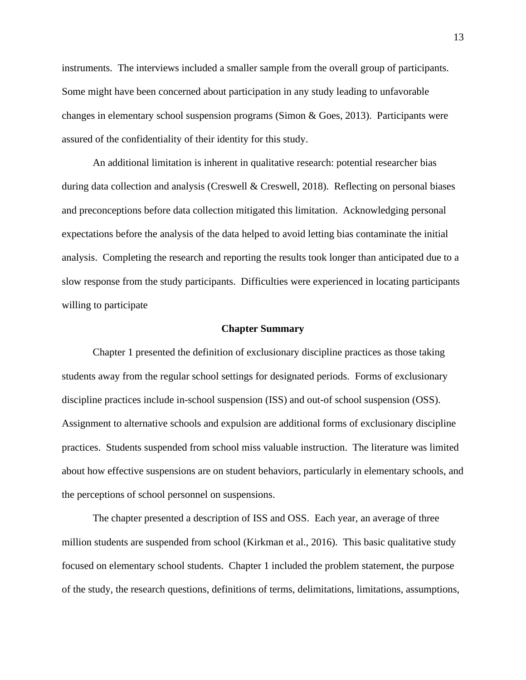instruments. The interviews included a smaller sample from the overall group of participants. Some might have been concerned about participation in any study leading to unfavorable changes in elementary school suspension programs (Simon & Goes, 2013). Participants were assured of the confidentiality of their identity for this study.

An additional limitation is inherent in qualitative research: potential researcher bias during data collection and analysis (Creswell & Creswell, 2018). Reflecting on personal biases and preconceptions before data collection mitigated this limitation. Acknowledging personal expectations before the analysis of the data helped to avoid letting bias contaminate the initial analysis. Completing the research and reporting the results took longer than anticipated due to a slow response from the study participants. Difficulties were experienced in locating participants willing to participate

# **Chapter Summary**

Chapter 1 presented the definition of exclusionary discipline practices as those taking students away from the regular school settings for designated periods. Forms of exclusionary discipline practices include in-school suspension (ISS) and out-of school suspension (OSS). Assignment to alternative schools and expulsion are additional forms of exclusionary discipline practices. Students suspended from school miss valuable instruction. The literature was limited about how effective suspensions are on student behaviors, particularly in elementary schools, and the perceptions of school personnel on suspensions.

The chapter presented a description of ISS and OSS. Each year, an average of three million students are suspended from school (Kirkman et al., 2016). This basic qualitative study focused on elementary school students. Chapter 1 included the problem statement, the purpose of the study, the research questions, definitions of terms, delimitations, limitations, assumptions,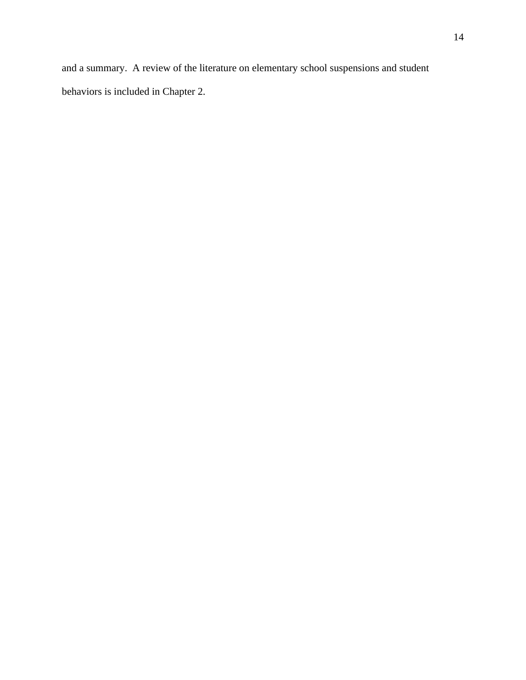and a summary. A review of the literature on elementary school suspensions and student behaviors is included in Chapter 2.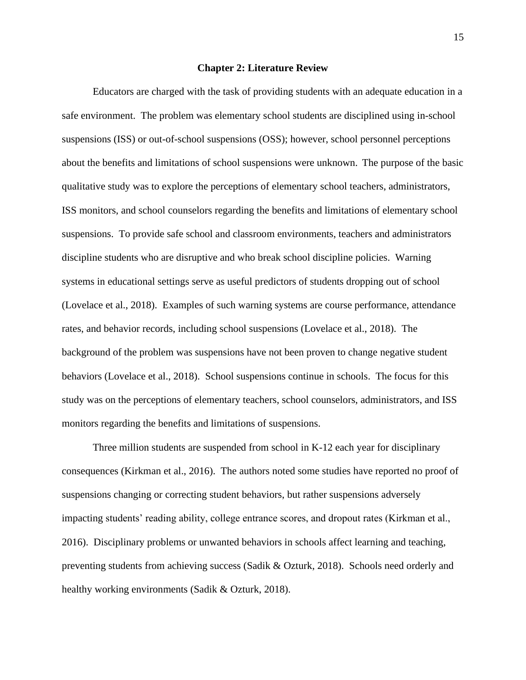#### **Chapter 2: Literature Review**

Educators are charged with the task of providing students with an adequate education in a safe environment. The problem was elementary school students are disciplined using in-school suspensions (ISS) or out-of-school suspensions (OSS); however, school personnel perceptions about the benefits and limitations of school suspensions were unknown. The purpose of the basic qualitative study was to explore the perceptions of elementary school teachers, administrators, ISS monitors, and school counselors regarding the benefits and limitations of elementary school suspensions. To provide safe school and classroom environments, teachers and administrators discipline students who are disruptive and who break school discipline policies. Warning systems in educational settings serve as useful predictors of students dropping out of school (Lovelace et al., 2018). Examples of such warning systems are course performance, attendance rates, and behavior records, including school suspensions (Lovelace et al., 2018). The background of the problem was suspensions have not been proven to change negative student behaviors (Lovelace et al., 2018). School suspensions continue in schools. The focus for this study was on the perceptions of elementary teachers, school counselors, administrators, and ISS monitors regarding the benefits and limitations of suspensions.

Three million students are suspended from school in K-12 each year for disciplinary consequences (Kirkman et al., 2016). The authors noted some studies have reported no proof of suspensions changing or correcting student behaviors, but rather suspensions adversely impacting students' reading ability, college entrance scores, and dropout rates (Kirkman et al., 2016). Disciplinary problems or unwanted behaviors in schools affect learning and teaching, preventing students from achieving success (Sadik & Ozturk, 2018). Schools need orderly and healthy working environments (Sadik & Ozturk, 2018).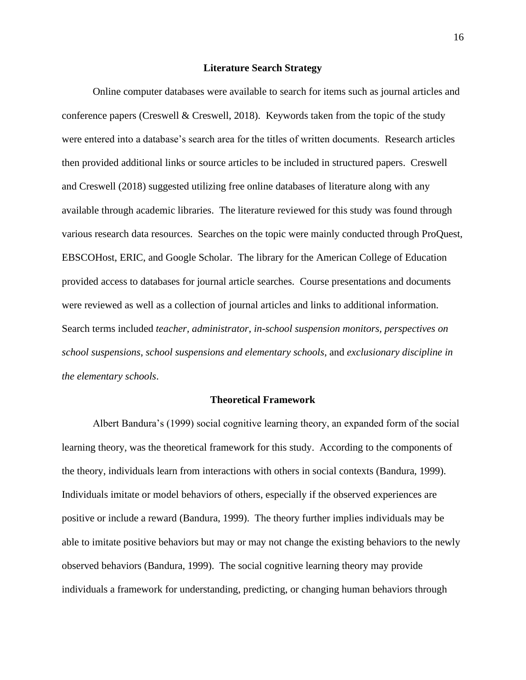#### **Literature Search Strategy**

Online computer databases were available to search for items such as journal articles and conference papers (Creswell & Creswell, 2018). Keywords taken from the topic of the study were entered into a database's search area for the titles of written documents. Research articles then provided additional links or source articles to be included in structured papers. Creswell and Creswell (2018) suggested utilizing free online databases of literature along with any available through academic libraries. The literature reviewed for this study was found through various research data resources. Searches on the topic were mainly conducted through ProQuest, EBSCOHost, ERIC, and Google Scholar. The library for the American College of Education provided access to databases for journal article searches. Course presentations and documents were reviewed as well as a collection of journal articles and links to additional information. Search terms included *teacher, administrator*, *in-school suspension monitors, perspectives on school suspensions*, *school suspensions and elementary schools*, and *exclusionary discipline in the elementary schools*.

## **Theoretical Framework**

Albert Bandura's (1999) social cognitive learning theory, an expanded form of the social learning theory, was the theoretical framework for this study. According to the components of the theory, individuals learn from interactions with others in social contexts (Bandura, 1999). Individuals imitate or model behaviors of others, especially if the observed experiences are positive or include a reward (Bandura, 1999). The theory further implies individuals may be able to imitate positive behaviors but may or may not change the existing behaviors to the newly observed behaviors (Bandura, 1999). The social cognitive learning theory may provide individuals a framework for understanding, predicting, or changing human behaviors through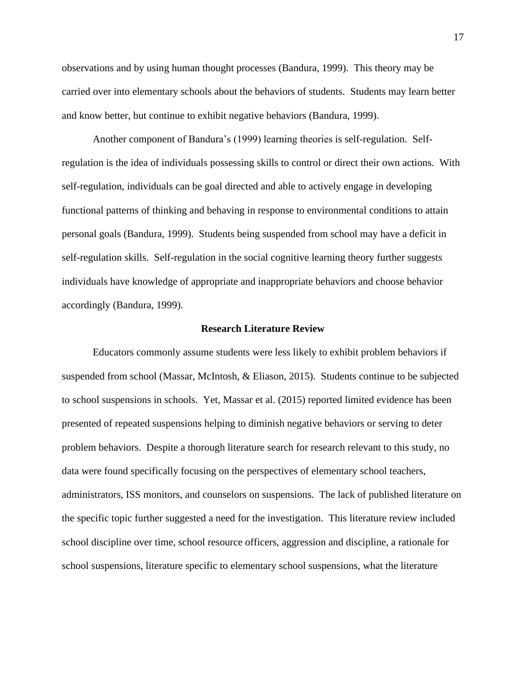observations and by using human thought processes (Bandura, 1999). This theory may be carried over into elementary schools about the behaviors of students. Students may learn better and know better, but continue to exhibit negative behaviors (Bandura, 1999).

Another component of Bandura's (1999) learning theories is self-regulation. Selfregulation is the idea of individuals possessing skills to control or direct their own actions. With self-regulation, individuals can be goal directed and able to actively engage in developing functional patterns of thinking and behaving in response to environmental conditions to attain personal goals (Bandura, 1999). Students being suspended from school may have a deficit in self-regulation skills. Self-regulation in the social cognitive learning theory further suggests individuals have knowledge of appropriate and inappropriate behaviors and choose behavior accordingly (Bandura, 1999).

#### **Research Literature Review**

Educators commonly assume students were less likely to exhibit problem behaviors if suspended from school (Massar, McIntosh, & Eliason, 2015). Students continue to be subjected to school suspensions in schools. Yet, Massar et al. (2015) reported limited evidence has been presented of repeated suspensions helping to diminish negative behaviors or serving to deter problem behaviors. Despite a thorough literature search for research relevant to this study, no data were found specifically focusing on the perspectives of elementary school teachers, administrators, ISS monitors, and counselors on suspensions. The lack of published literature on the specific topic further suggested a need for the investigation. This literature review included school discipline over time, school resource officers, aggression and discipline, a rationale for school suspensions, literature specific to elementary school suspensions, what the literature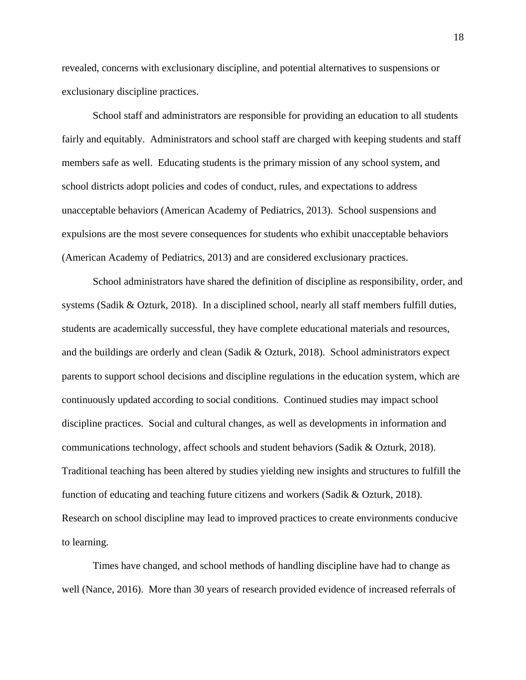revealed, concerns with exclusionary discipline, and potential alternatives to suspensions or exclusionary discipline practices.

School staff and administrators are responsible for providing an education to all students fairly and equitably. Administrators and school staff are charged with keeping students and staff members safe as well. Educating students is the primary mission of any school system, and school districts adopt policies and codes of conduct, rules, and expectations to address unacceptable behaviors (American Academy of Pediatrics, 2013). School suspensions and expulsions are the most severe consequences for students who exhibit unacceptable behaviors (American Academy of Pediatrics, 2013) and are considered exclusionary practices.

School administrators have shared the definition of discipline as responsibility, order, and systems (Sadik & Ozturk, 2018). In a disciplined school, nearly all staff members fulfill duties, students are academically successful, they have complete educational materials and resources, and the buildings are orderly and clean (Sadik & Ozturk, 2018). School administrators expect parents to support school decisions and discipline regulations in the education system, which are continuously updated according to social conditions. Continued studies may impact school discipline practices. Social and cultural changes, as well as developments in information and communications technology, affect schools and student behaviors (Sadik & Ozturk, 2018). Traditional teaching has been altered by studies yielding new insights and structures to fulfill the function of educating and teaching future citizens and workers (Sadik & Ozturk, 2018). Research on school discipline may lead to improved practices to create environments conducive to learning.

Times have changed, and school methods of handling discipline have had to change as well (Nance, 2016). More than 30 years of research provided evidence of increased referrals of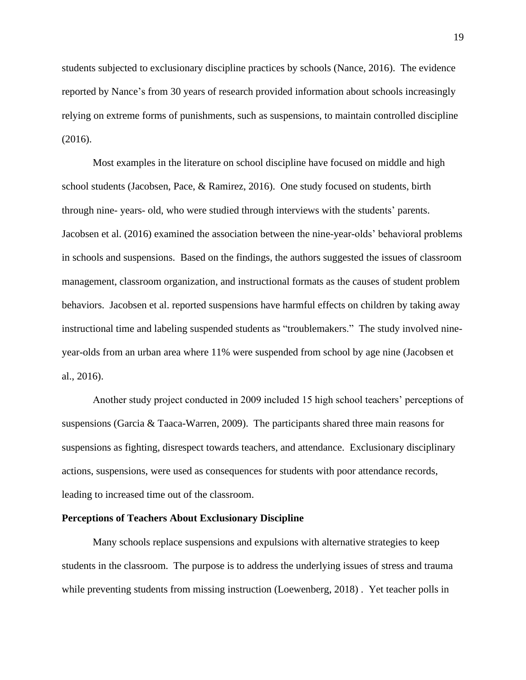students subjected to exclusionary discipline practices by schools (Nance, 2016). The evidence reported by Nance's from 30 years of research provided information about schools increasingly relying on extreme forms of punishments, such as suspensions, to maintain controlled discipline (2016).

Most examples in the literature on school discipline have focused on middle and high school students (Jacobsen, Pace, & Ramirez, 2016). One study focused on students, birth through nine- years- old, who were studied through interviews with the students' parents. Jacobsen et al. (2016) examined the association between the nine-year-olds' behavioral problems in schools and suspensions. Based on the findings, the authors suggested the issues of classroom management, classroom organization, and instructional formats as the causes of student problem behaviors. Jacobsen et al. reported suspensions have harmful effects on children by taking away instructional time and labeling suspended students as "troublemakers." The study involved nineyear-olds from an urban area where 11% were suspended from school by age nine (Jacobsen et al., 2016).

Another study project conducted in 2009 included 15 high school teachers' perceptions of suspensions (Garcia & Taaca-Warren, 2009). The participants shared three main reasons for suspensions as fighting, disrespect towards teachers, and attendance. Exclusionary disciplinary actions, suspensions, were used as consequences for students with poor attendance records, leading to increased time out of the classroom.

#### **Perceptions of Teachers About Exclusionary Discipline**

Many schools replace suspensions and expulsions with alternative strategies to keep students in the classroom. The purpose is to address the underlying issues of stress and trauma while preventing students from missing instruction (Loewenberg, 2018) . Yet teacher polls in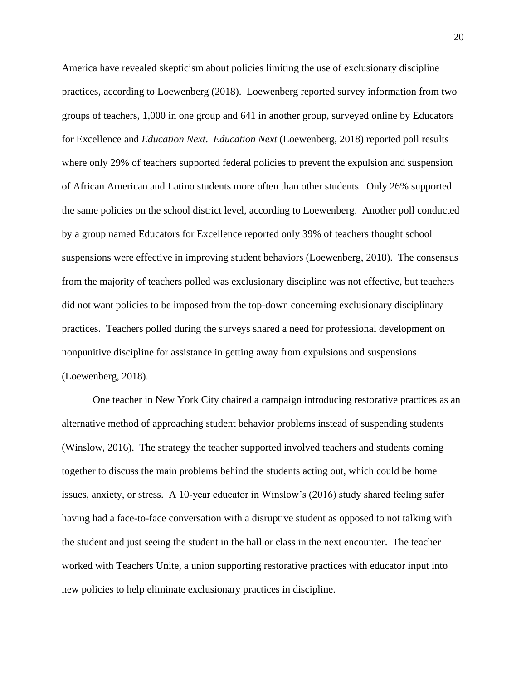America have revealed skepticism about policies limiting the use of exclusionary discipline practices, according to Loewenberg (2018). Loewenberg reported survey information from two groups of teachers, 1,000 in one group and 641 in another group, surveyed online by Educators for Excellence and *Education Next*. *Education Next* (Loewenberg, 2018) reported poll results where only 29% of teachers supported federal policies to prevent the expulsion and suspension of African American and Latino students more often than other students. Only 26% supported the same policies on the school district level, according to Loewenberg. Another poll conducted by a group named Educators for Excellence reported only 39% of teachers thought school suspensions were effective in improving student behaviors (Loewenberg, 2018). The consensus from the majority of teachers polled was exclusionary discipline was not effective, but teachers did not want policies to be imposed from the top-down concerning exclusionary disciplinary practices. Teachers polled during the surveys shared a need for professional development on nonpunitive discipline for assistance in getting away from expulsions and suspensions (Loewenberg, 2018).

One teacher in New York City chaired a campaign introducing restorative practices as an alternative method of approaching student behavior problems instead of suspending students (Winslow, 2016). The strategy the teacher supported involved teachers and students coming together to discuss the main problems behind the students acting out, which could be home issues, anxiety, or stress. A 10-year educator in Winslow's (2016) study shared feeling safer having had a face-to-face conversation with a disruptive student as opposed to not talking with the student and just seeing the student in the hall or class in the next encounter. The teacher worked with Teachers Unite, a union supporting restorative practices with educator input into new policies to help eliminate exclusionary practices in discipline.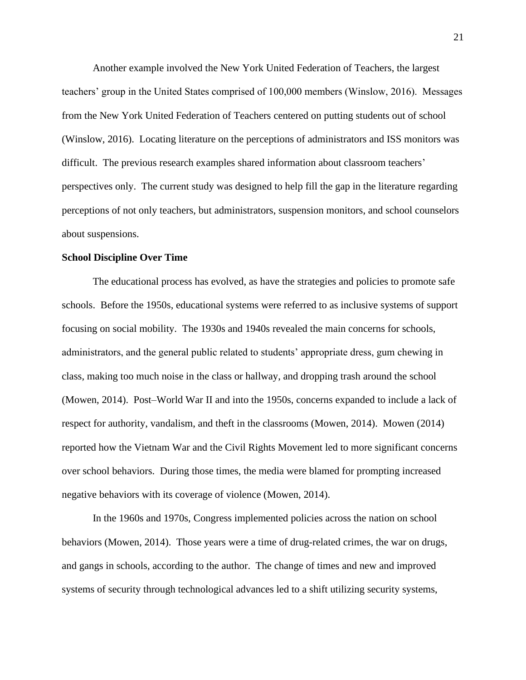Another example involved the New York United Federation of Teachers, the largest teachers' group in the United States comprised of 100,000 members (Winslow, 2016). Messages from the New York United Federation of Teachers centered on putting students out of school (Winslow, 2016). Locating literature on the perceptions of administrators and ISS monitors was difficult. The previous research examples shared information about classroom teachers' perspectives only. The current study was designed to help fill the gap in the literature regarding perceptions of not only teachers, but administrators, suspension monitors, and school counselors about suspensions.

# **School Discipline Over Time**

The educational process has evolved, as have the strategies and policies to promote safe schools. Before the 1950s, educational systems were referred to as inclusive systems of support focusing on social mobility. The 1930s and 1940s revealed the main concerns for schools, administrators, and the general public related to students' appropriate dress, gum chewing in class, making too much noise in the class or hallway, and dropping trash around the school (Mowen, 2014). Post–World War II and into the 1950s, concerns expanded to include a lack of respect for authority, vandalism, and theft in the classrooms (Mowen, 2014). Mowen (2014) reported how the Vietnam War and the Civil Rights Movement led to more significant concerns over school behaviors. During those times, the media were blamed for prompting increased negative behaviors with its coverage of violence (Mowen, 2014).

In the 1960s and 1970s, Congress implemented policies across the nation on school behaviors (Mowen, 2014). Those years were a time of drug-related crimes, the war on drugs, and gangs in schools, according to the author. The change of times and new and improved systems of security through technological advances led to a shift utilizing security systems,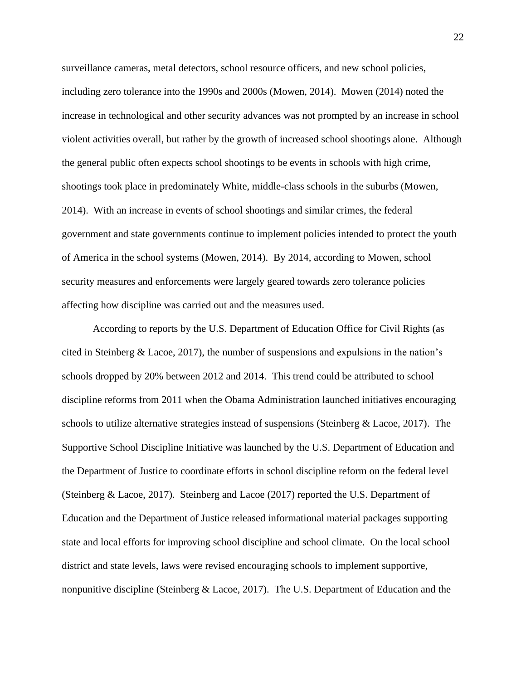surveillance cameras, metal detectors, school resource officers, and new school policies, including zero tolerance into the 1990s and 2000s (Mowen, 2014). Mowen (2014) noted the increase in technological and other security advances was not prompted by an increase in school violent activities overall, but rather by the growth of increased school shootings alone. Although the general public often expects school shootings to be events in schools with high crime, shootings took place in predominately White, middle-class schools in the suburbs (Mowen, 2014). With an increase in events of school shootings and similar crimes, the federal government and state governments continue to implement policies intended to protect the youth of America in the school systems (Mowen, 2014). By 2014, according to Mowen, school security measures and enforcements were largely geared towards zero tolerance policies affecting how discipline was carried out and the measures used.

According to reports by the U.S. Department of Education Office for Civil Rights (as cited in Steinberg & Lacoe, 2017), the number of suspensions and expulsions in the nation's schools dropped by 20% between 2012 and 2014. This trend could be attributed to school discipline reforms from 2011 when the Obama Administration launched initiatives encouraging schools to utilize alternative strategies instead of suspensions (Steinberg & Lacoe, 2017). The Supportive School Discipline Initiative was launched by the U.S. Department of Education and the Department of Justice to coordinate efforts in school discipline reform on the federal level (Steinberg & Lacoe, 2017). Steinberg and Lacoe (2017) reported the U.S. Department of Education and the Department of Justice released informational material packages supporting state and local efforts for improving school discipline and school climate. On the local school district and state levels, laws were revised encouraging schools to implement supportive, nonpunitive discipline (Steinberg & Lacoe, 2017). The U.S. Department of Education and the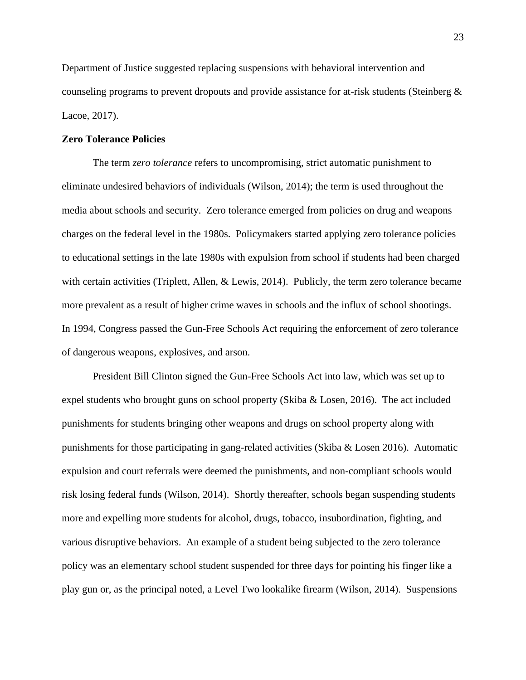Department of Justice suggested replacing suspensions with behavioral intervention and counseling programs to prevent dropouts and provide assistance for at-risk students (Steinberg & Lacoe, 2017).

# **Zero Tolerance Policies**

The term *zero tolerance* refers to uncompromising, strict automatic punishment to eliminate undesired behaviors of individuals (Wilson, 2014); the term is used throughout the media about schools and security. Zero tolerance emerged from policies on drug and weapons charges on the federal level in the 1980s. Policymakers started applying zero tolerance policies to educational settings in the late 1980s with expulsion from school if students had been charged with certain activities (Triplett, Allen, & Lewis, 2014). Publicly, the term zero tolerance became more prevalent as a result of higher crime waves in schools and the influx of school shootings. In 1994, Congress passed the Gun-Free Schools Act requiring the enforcement of zero tolerance of dangerous weapons, explosives, and arson.

President Bill Clinton signed the Gun-Free Schools Act into law, which was set up to expel students who brought guns on school property (Skiba  $&$  Losen, 2016). The act included punishments for students bringing other weapons and drugs on school property along with punishments for those participating in gang-related activities (Skiba & Losen 2016). Automatic expulsion and court referrals were deemed the punishments, and non-compliant schools would risk losing federal funds (Wilson, 2014). Shortly thereafter, schools began suspending students more and expelling more students for alcohol, drugs, tobacco, insubordination, fighting, and various disruptive behaviors. An example of a student being subjected to the zero tolerance policy was an elementary school student suspended for three days for pointing his finger like a play gun or, as the principal noted, a Level Two lookalike firearm (Wilson, 2014). Suspensions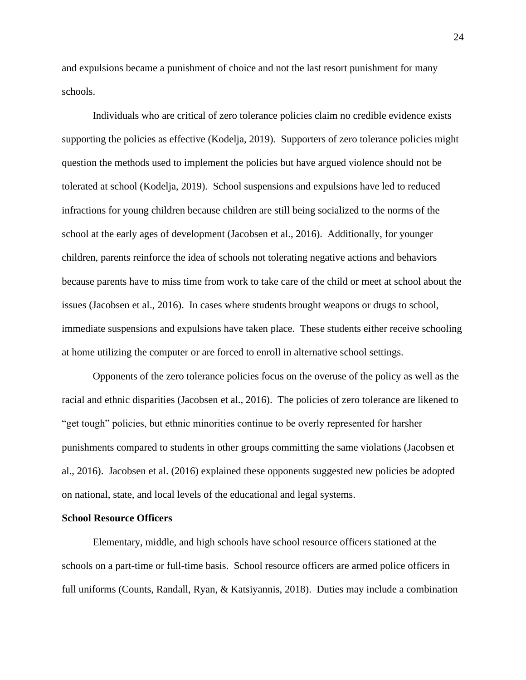and expulsions became a punishment of choice and not the last resort punishment for many schools.

Individuals who are critical of zero tolerance policies claim no credible evidence exists supporting the policies as effective (Kodelja, 2019). Supporters of zero tolerance policies might question the methods used to implement the policies but have argued violence should not be tolerated at school (Kodelja, 2019). School suspensions and expulsions have led to reduced infractions for young children because children are still being socialized to the norms of the school at the early ages of development (Jacobsen et al., 2016). Additionally, for younger children, parents reinforce the idea of schools not tolerating negative actions and behaviors because parents have to miss time from work to take care of the child or meet at school about the issues (Jacobsen et al., 2016). In cases where students brought weapons or drugs to school, immediate suspensions and expulsions have taken place. These students either receive schooling at home utilizing the computer or are forced to enroll in alternative school settings.

Opponents of the zero tolerance policies focus on the overuse of the policy as well as the racial and ethnic disparities (Jacobsen et al., 2016). The policies of zero tolerance are likened to "get tough" policies, but ethnic minorities continue to be overly represented for harsher punishments compared to students in other groups committing the same violations (Jacobsen et al., 2016). Jacobsen et al. (2016) explained these opponents suggested new policies be adopted on national, state, and local levels of the educational and legal systems.

## **School Resource Officers**

Elementary, middle, and high schools have school resource officers stationed at the schools on a part-time or full-time basis. School resource officers are armed police officers in full uniforms (Counts, Randall, Ryan, & Katsiyannis, 2018). Duties may include a combination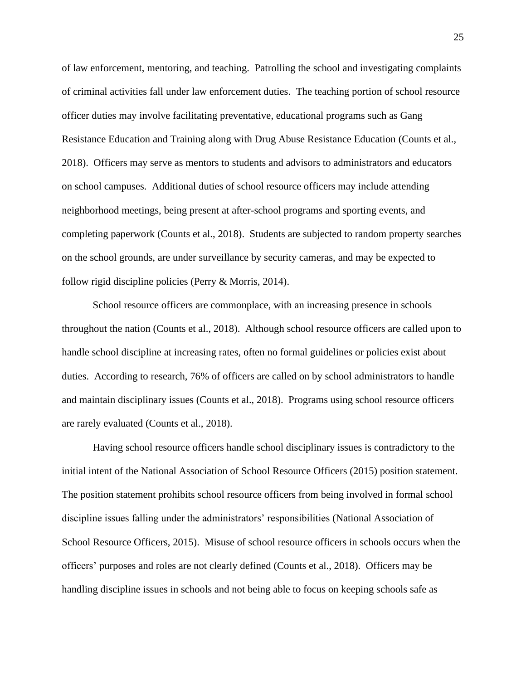of law enforcement, mentoring, and teaching. Patrolling the school and investigating complaints of criminal activities fall under law enforcement duties. The teaching portion of school resource officer duties may involve facilitating preventative, educational programs such as Gang Resistance Education and Training along with Drug Abuse Resistance Education (Counts et al., 2018). Officers may serve as mentors to students and advisors to administrators and educators on school campuses. Additional duties of school resource officers may include attending neighborhood meetings, being present at after-school programs and sporting events, and completing paperwork (Counts et al., 2018). Students are subjected to random property searches on the school grounds, are under surveillance by security cameras, and may be expected to follow rigid discipline policies (Perry & Morris, 2014).

School resource officers are commonplace, with an increasing presence in schools throughout the nation (Counts et al., 2018). Although school resource officers are called upon to handle school discipline at increasing rates, often no formal guidelines or policies exist about duties. According to research, 76% of officers are called on by school administrators to handle and maintain disciplinary issues (Counts et al., 2018). Programs using school resource officers are rarely evaluated (Counts et al., 2018).

Having school resource officers handle school disciplinary issues is contradictory to the initial intent of the National Association of School Resource Officers (2015) position statement. The position statement prohibits school resource officers from being involved in formal school discipline issues falling under the administrators' responsibilities (National Association of School Resource Officers, 2015). Misuse of school resource officers in schools occurs when the officers' purposes and roles are not clearly defined (Counts et al., 2018). Officers may be handling discipline issues in schools and not being able to focus on keeping schools safe as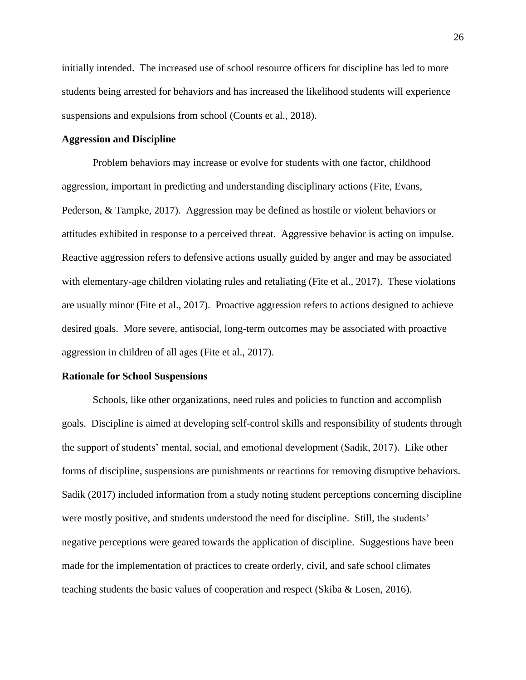initially intended. The increased use of school resource officers for discipline has led to more students being arrested for behaviors and has increased the likelihood students will experience suspensions and expulsions from school (Counts et al., 2018).

# **Aggression and Discipline**

Problem behaviors may increase or evolve for students with one factor, childhood aggression, important in predicting and understanding disciplinary actions (Fite, Evans, Pederson, & Tampke, 2017). Aggression may be defined as hostile or violent behaviors or attitudes exhibited in response to a perceived threat. Aggressive behavior is acting on impulse. Reactive aggression refers to defensive actions usually guided by anger and may be associated with elementary-age children violating rules and retaliating (Fite et al., 2017). These violations are usually minor (Fite et al., 2017). Proactive aggression refers to actions designed to achieve desired goals. More severe, antisocial, long-term outcomes may be associated with proactive aggression in children of all ages (Fite et al., 2017).

#### **Rationale for School Suspensions**

Schools, like other organizations, need rules and policies to function and accomplish goals. Discipline is aimed at developing self-control skills and responsibility of students through the support of students' mental, social, and emotional development (Sadik, 2017). Like other forms of discipline, suspensions are punishments or reactions for removing disruptive behaviors. Sadik (2017) included information from a study noting student perceptions concerning discipline were mostly positive, and students understood the need for discipline. Still, the students' negative perceptions were geared towards the application of discipline. Suggestions have been made for the implementation of practices to create orderly, civil, and safe school climates teaching students the basic values of cooperation and respect (Skiba & Losen, 2016).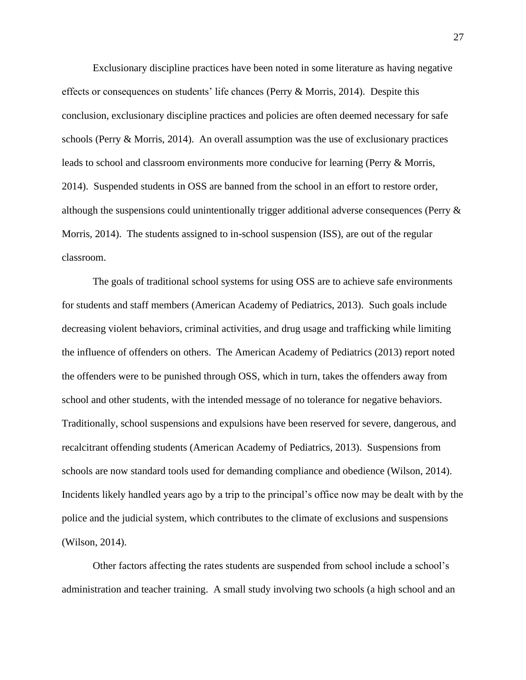Exclusionary discipline practices have been noted in some literature as having negative effects or consequences on students' life chances (Perry & Morris, 2014). Despite this conclusion, exclusionary discipline practices and policies are often deemed necessary for safe schools (Perry & Morris, 2014). An overall assumption was the use of exclusionary practices leads to school and classroom environments more conducive for learning (Perry & Morris, 2014). Suspended students in OSS are banned from the school in an effort to restore order, although the suspensions could unintentionally trigger additional adverse consequences (Perry & Morris, 2014). The students assigned to in-school suspension (ISS), are out of the regular classroom.

The goals of traditional school systems for using OSS are to achieve safe environments for students and staff members (American Academy of Pediatrics, 2013). Such goals include decreasing violent behaviors, criminal activities, and drug usage and trafficking while limiting the influence of offenders on others. The American Academy of Pediatrics (2013) report noted the offenders were to be punished through OSS, which in turn, takes the offenders away from school and other students, with the intended message of no tolerance for negative behaviors. Traditionally, school suspensions and expulsions have been reserved for severe, dangerous, and recalcitrant offending students (American Academy of Pediatrics, 2013). Suspensions from schools are now standard tools used for demanding compliance and obedience (Wilson, 2014). Incidents likely handled years ago by a trip to the principal's office now may be dealt with by the police and the judicial system, which contributes to the climate of exclusions and suspensions (Wilson, 2014).

Other factors affecting the rates students are suspended from school include a school's administration and teacher training. A small study involving two schools (a high school and an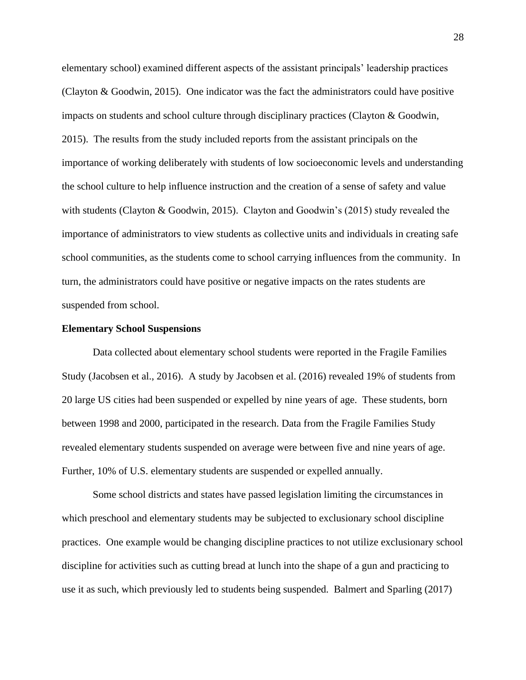elementary school) examined different aspects of the assistant principals' leadership practices (Clayton & Goodwin, 2015). One indicator was the fact the administrators could have positive impacts on students and school culture through disciplinary practices (Clayton & Goodwin, 2015). The results from the study included reports from the assistant principals on the importance of working deliberately with students of low socioeconomic levels and understanding the school culture to help influence instruction and the creation of a sense of safety and value with students (Clayton & Goodwin, 2015). Clayton and Goodwin's (2015) study revealed the importance of administrators to view students as collective units and individuals in creating safe school communities, as the students come to school carrying influences from the community. In turn, the administrators could have positive or negative impacts on the rates students are suspended from school.

#### **Elementary School Suspensions**

Data collected about elementary school students were reported in the Fragile Families Study (Jacobsen et al., 2016). A study by Jacobsen et al. (2016) revealed 19% of students from 20 large US cities had been suspended or expelled by nine years of age. These students, born between 1998 and 2000, participated in the research. Data from the Fragile Families Study revealed elementary students suspended on average were between five and nine years of age. Further, 10% of U.S. elementary students are suspended or expelled annually.

Some school districts and states have passed legislation limiting the circumstances in which preschool and elementary students may be subjected to exclusionary school discipline practices. One example would be changing discipline practices to not utilize exclusionary school discipline for activities such as cutting bread at lunch into the shape of a gun and practicing to use it as such, which previously led to students being suspended. Balmert and Sparling (2017)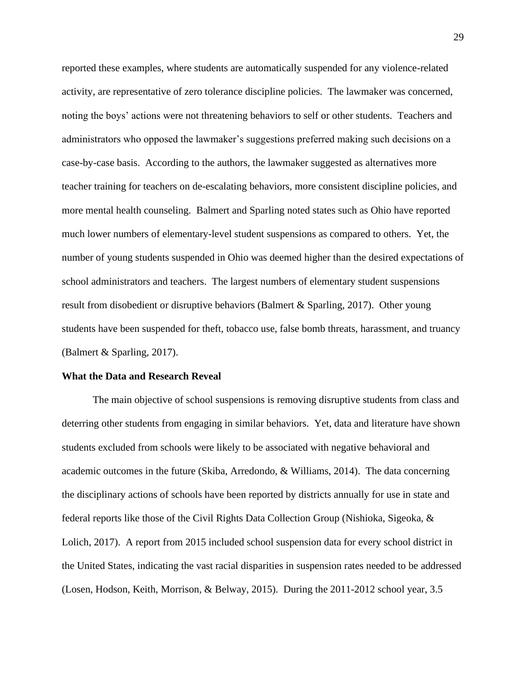reported these examples, where students are automatically suspended for any violence-related activity, are representative of zero tolerance discipline policies. The lawmaker was concerned, noting the boys' actions were not threatening behaviors to self or other students. Teachers and administrators who opposed the lawmaker's suggestions preferred making such decisions on a case-by-case basis. According to the authors, the lawmaker suggested as alternatives more teacher training for teachers on de-escalating behaviors, more consistent discipline policies, and more mental health counseling. Balmert and Sparling noted states such as Ohio have reported much lower numbers of elementary-level student suspensions as compared to others. Yet, the number of young students suspended in Ohio was deemed higher than the desired expectations of school administrators and teachers. The largest numbers of elementary student suspensions result from disobedient or disruptive behaviors (Balmert & Sparling, 2017). Other young students have been suspended for theft, tobacco use, false bomb threats, harassment, and truancy (Balmert & Sparling, 2017).

## **What the Data and Research Reveal**

The main objective of school suspensions is removing disruptive students from class and deterring other students from engaging in similar behaviors. Yet, data and literature have shown students excluded from schools were likely to be associated with negative behavioral and academic outcomes in the future (Skiba, Arredondo, & Williams, 2014). The data concerning the disciplinary actions of schools have been reported by districts annually for use in state and federal reports like those of the Civil Rights Data Collection Group (Nishioka, Sigeoka, & Lolich, 2017). A report from 2015 included school suspension data for every school district in the United States, indicating the vast racial disparities in suspension rates needed to be addressed (Losen, Hodson, Keith, Morrison, & Belway, 2015). During the 2011-2012 school year, 3.5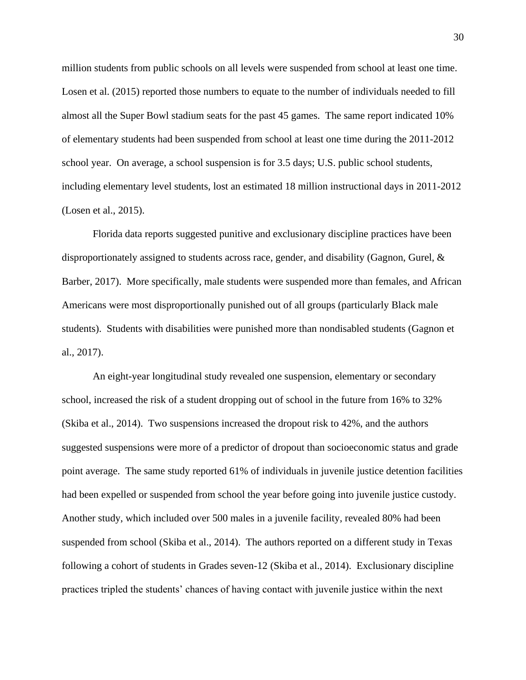million students from public schools on all levels were suspended from school at least one time. Losen et al. (2015) reported those numbers to equate to the number of individuals needed to fill almost all the Super Bowl stadium seats for the past 45 games. The same report indicated 10% of elementary students had been suspended from school at least one time during the 2011-2012 school year. On average, a school suspension is for 3.5 days; U.S. public school students, including elementary level students, lost an estimated 18 million instructional days in 2011-2012 (Losen et al., 2015).

Florida data reports suggested punitive and exclusionary discipline practices have been disproportionately assigned to students across race, gender, and disability (Gagnon, Gurel, & Barber, 2017). More specifically, male students were suspended more than females, and African Americans were most disproportionally punished out of all groups (particularly Black male students). Students with disabilities were punished more than nondisabled students (Gagnon et al., 2017).

An eight-year longitudinal study revealed one suspension, elementary or secondary school, increased the risk of a student dropping out of school in the future from 16% to 32% (Skiba et al., 2014). Two suspensions increased the dropout risk to 42%, and the authors suggested suspensions were more of a predictor of dropout than socioeconomic status and grade point average. The same study reported 61% of individuals in juvenile justice detention facilities had been expelled or suspended from school the year before going into juvenile justice custody. Another study, which included over 500 males in a juvenile facility, revealed 80% had been suspended from school (Skiba et al., 2014). The authors reported on a different study in Texas following a cohort of students in Grades seven-12 (Skiba et al., 2014). Exclusionary discipline practices tripled the students' chances of having contact with juvenile justice within the next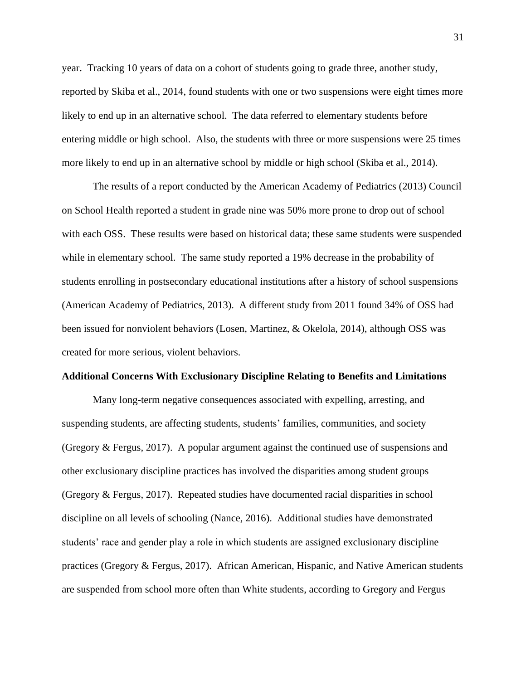year. Tracking 10 years of data on a cohort of students going to grade three, another study, reported by Skiba et al., 2014, found students with one or two suspensions were eight times more likely to end up in an alternative school. The data referred to elementary students before entering middle or high school. Also, the students with three or more suspensions were 25 times more likely to end up in an alternative school by middle or high school (Skiba et al., 2014).

The results of a report conducted by the American Academy of Pediatrics (2013) Council on School Health reported a student in grade nine was 50% more prone to drop out of school with each OSS. These results were based on historical data; these same students were suspended while in elementary school. The same study reported a 19% decrease in the probability of students enrolling in postsecondary educational institutions after a history of school suspensions (American Academy of Pediatrics, 2013). A different study from 2011 found 34% of OSS had been issued for nonviolent behaviors (Losen, Martinez, & Okelola, 2014), although OSS was created for more serious, violent behaviors.

#### **Additional Concerns With Exclusionary Discipline Relating to Benefits and Limitations**

Many long-term negative consequences associated with expelling, arresting, and suspending students, are affecting students, students' families, communities, and society (Gregory & Fergus, 2017). A popular argument against the continued use of suspensions and other exclusionary discipline practices has involved the disparities among student groups (Gregory & Fergus, 2017). Repeated studies have documented racial disparities in school discipline on all levels of schooling (Nance, 2016). Additional studies have demonstrated students' race and gender play a role in which students are assigned exclusionary discipline practices (Gregory & Fergus, 2017). African American, Hispanic, and Native American students are suspended from school more often than White students, according to Gregory and Fergus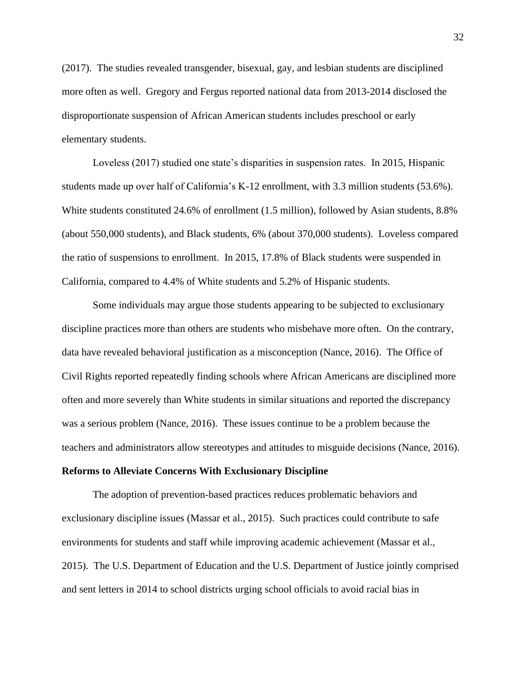(2017). The studies revealed transgender, bisexual, gay, and lesbian students are disciplined more often as well. Gregory and Fergus reported national data from 2013-2014 disclosed the disproportionate suspension of African American students includes preschool or early elementary students.

Loveless (2017) studied one state's disparities in suspension rates. In 2015, Hispanic students made up over half of California's K-12 enrollment, with 3.3 million students (53.6%). White students constituted 24.6% of enrollment (1.5 million), followed by Asian students, 8.8% (about 550,000 students), and Black students, 6% (about 370,000 students). Loveless compared the ratio of suspensions to enrollment. In 2015, 17.8% of Black students were suspended in California, compared to 4.4% of White students and 5.2% of Hispanic students.

Some individuals may argue those students appearing to be subjected to exclusionary discipline practices more than others are students who misbehave more often. On the contrary, data have revealed behavioral justification as a misconception (Nance, 2016). The Office of Civil Rights reported repeatedly finding schools where African Americans are disciplined more often and more severely than White students in similar situations and reported the discrepancy was a serious problem (Nance, 2016). These issues continue to be a problem because the teachers and administrators allow stereotypes and attitudes to misguide decisions (Nance, 2016).

# **Reforms to Alleviate Concerns With Exclusionary Discipline**

The adoption of prevention-based practices reduces problematic behaviors and exclusionary discipline issues (Massar et al., 2015). Such practices could contribute to safe environments for students and staff while improving academic achievement (Massar et al., 2015). The U.S. Department of Education and the U.S. Department of Justice jointly comprised and sent letters in 2014 to school districts urging school officials to avoid racial bias in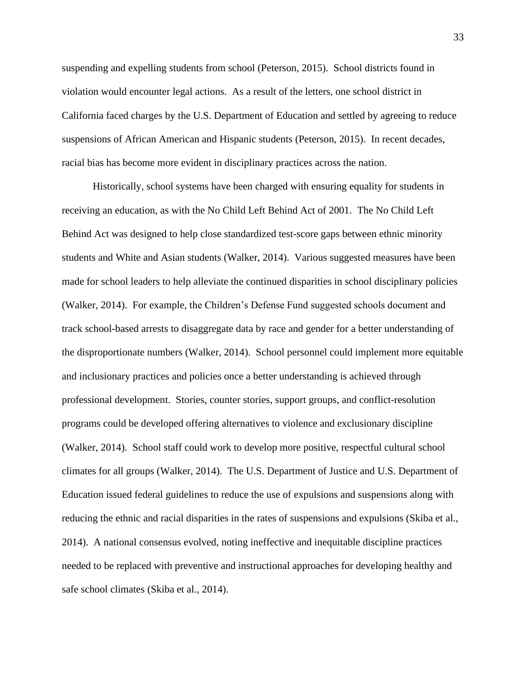suspending and expelling students from school (Peterson, 2015). School districts found in violation would encounter legal actions. As a result of the letters, one school district in California faced charges by the U.S. Department of Education and settled by agreeing to reduce suspensions of African American and Hispanic students (Peterson, 2015). In recent decades, racial bias has become more evident in disciplinary practices across the nation.

Historically, school systems have been charged with ensuring equality for students in receiving an education, as with the No Child Left Behind Act of 2001. The No Child Left Behind Act was designed to help close standardized test-score gaps between ethnic minority students and White and Asian students (Walker, 2014). Various suggested measures have been made for school leaders to help alleviate the continued disparities in school disciplinary policies (Walker, 2014). For example, the Children's Defense Fund suggested schools document and track school-based arrests to disaggregate data by race and gender for a better understanding of the disproportionate numbers (Walker, 2014). School personnel could implement more equitable and inclusionary practices and policies once a better understanding is achieved through professional development. Stories, counter stories, support groups, and conflict-resolution programs could be developed offering alternatives to violence and exclusionary discipline (Walker, 2014). School staff could work to develop more positive, respectful cultural school climates for all groups (Walker, 2014). The U.S. Department of Justice and U.S. Department of Education issued federal guidelines to reduce the use of expulsions and suspensions along with reducing the ethnic and racial disparities in the rates of suspensions and expulsions (Skiba et al., 2014). A national consensus evolved, noting ineffective and inequitable discipline practices needed to be replaced with preventive and instructional approaches for developing healthy and safe school climates (Skiba et al., 2014).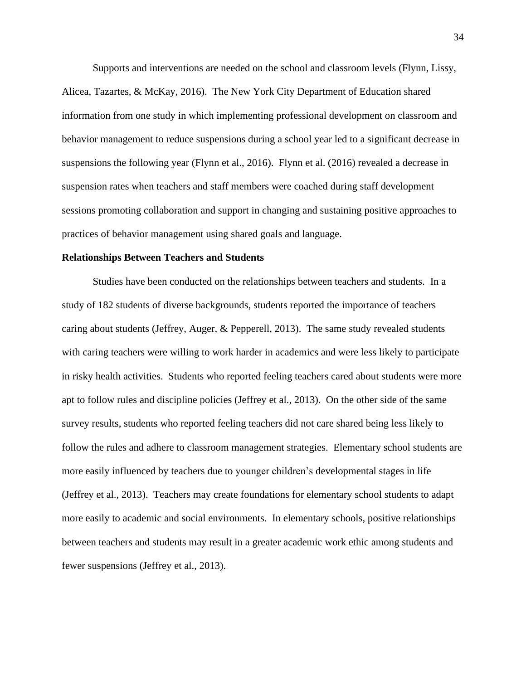Supports and interventions are needed on the school and classroom levels (Flynn, Lissy, Alicea, Tazartes, & McKay, 2016). The New York City Department of Education shared information from one study in which implementing professional development on classroom and behavior management to reduce suspensions during a school year led to a significant decrease in suspensions the following year (Flynn et al., 2016). Flynn et al. (2016) revealed a decrease in suspension rates when teachers and staff members were coached during staff development sessions promoting collaboration and support in changing and sustaining positive approaches to practices of behavior management using shared goals and language.

#### **Relationships Between Teachers and Students**

Studies have been conducted on the relationships between teachers and students. In a study of 182 students of diverse backgrounds, students reported the importance of teachers caring about students (Jeffrey, Auger, & Pepperell, 2013). The same study revealed students with caring teachers were willing to work harder in academics and were less likely to participate in risky health activities. Students who reported feeling teachers cared about students were more apt to follow rules and discipline policies (Jeffrey et al., 2013). On the other side of the same survey results, students who reported feeling teachers did not care shared being less likely to follow the rules and adhere to classroom management strategies. Elementary school students are more easily influenced by teachers due to younger children's developmental stages in life (Jeffrey et al., 2013). Teachers may create foundations for elementary school students to adapt more easily to academic and social environments. In elementary schools, positive relationships between teachers and students may result in a greater academic work ethic among students and fewer suspensions (Jeffrey et al., 2013).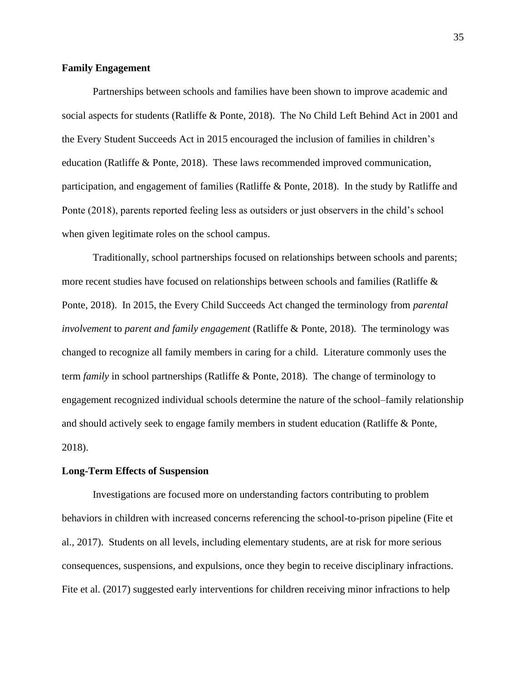# **Family Engagement**

Partnerships between schools and families have been shown to improve academic and social aspects for students (Ratliffe & Ponte, 2018). The No Child Left Behind Act in 2001 and the Every Student Succeeds Act in 2015 encouraged the inclusion of families in children's education (Ratliffe & Ponte, 2018). These laws recommended improved communication, participation, and engagement of families (Ratliffe & Ponte, 2018). In the study by Ratliffe and Ponte (2018), parents reported feeling less as outsiders or just observers in the child's school when given legitimate roles on the school campus.

Traditionally, school partnerships focused on relationships between schools and parents; more recent studies have focused on relationships between schools and families (Ratliffe & Ponte, 2018). In 2015, the Every Child Succeeds Act changed the terminology from *parental involvement* to *parent and family engagement* (Ratliffe & Ponte, 2018). The terminology was changed to recognize all family members in caring for a child. Literature commonly uses the term *family* in school partnerships (Ratliffe & Ponte, 2018). The change of terminology to engagement recognized individual schools determine the nature of the school–family relationship and should actively seek to engage family members in student education (Ratliffe & Ponte, 2018).

#### **Long-Term Effects of Suspension**

Investigations are focused more on understanding factors contributing to problem behaviors in children with increased concerns referencing the school-to-prison pipeline (Fite et al., 2017). Students on all levels, including elementary students, are at risk for more serious consequences, suspensions, and expulsions, once they begin to receive disciplinary infractions. Fite et al. (2017) suggested early interventions for children receiving minor infractions to help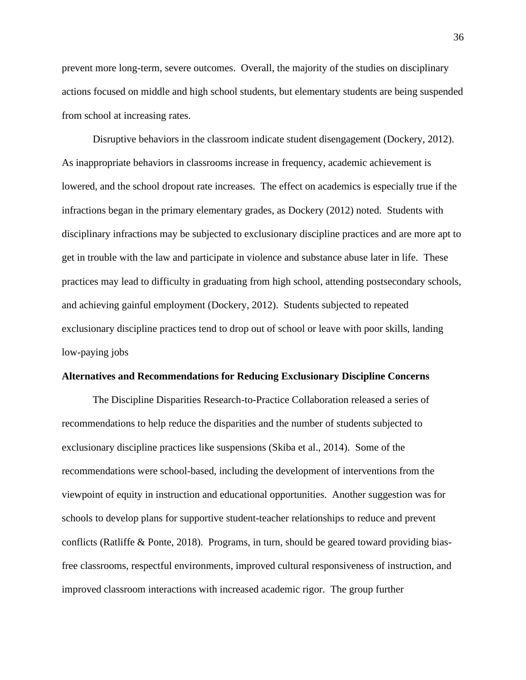prevent more long-term, severe outcomes. Overall, the majority of the studies on disciplinary actions focused on middle and high school students, but elementary students are being suspended from school at increasing rates.

Disruptive behaviors in the classroom indicate student disengagement (Dockery, 2012). As inappropriate behaviors in classrooms increase in frequency, academic achievement is lowered, and the school dropout rate increases. The effect on academics is especially true if the infractions began in the primary elementary grades, as Dockery (2012) noted. Students with disciplinary infractions may be subjected to exclusionary discipline practices and are more apt to get in trouble with the law and participate in violence and substance abuse later in life. These practices may lead to difficulty in graduating from high school, attending postsecondary schools, and achieving gainful employment (Dockery, 2012). Students subjected to repeated exclusionary discipline practices tend to drop out of school or leave with poor skills, landing low-paying jobs

#### **Alternatives and Recommendations for Reducing Exclusionary Discipline Concerns**

The Discipline Disparities Research-to-Practice Collaboration released a series of recommendations to help reduce the disparities and the number of students subjected to exclusionary discipline practices like suspensions (Skiba et al., 2014). Some of the recommendations were school-based, including the development of interventions from the viewpoint of equity in instruction and educational opportunities. Another suggestion was for schools to develop plans for supportive student-teacher relationships to reduce and prevent conflicts (Ratliffe & Ponte, 2018). Programs, in turn, should be geared toward providing biasfree classrooms, respectful environments, improved cultural responsiveness of instruction, and improved classroom interactions with increased academic rigor. The group further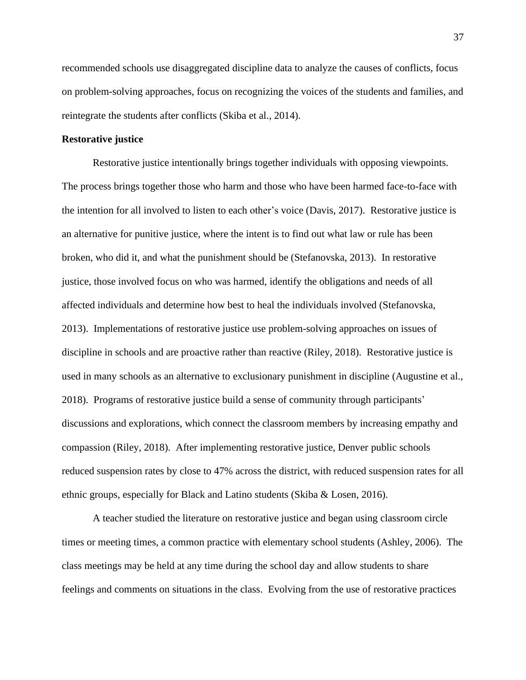recommended schools use disaggregated discipline data to analyze the causes of conflicts, focus on problem-solving approaches, focus on recognizing the voices of the students and families, and reintegrate the students after conflicts (Skiba et al., 2014).

# **Restorative justice**

Restorative justice intentionally brings together individuals with opposing viewpoints. The process brings together those who harm and those who have been harmed face-to-face with the intention for all involved to listen to each other's voice (Davis, 2017). Restorative justice is an alternative for punitive justice, where the intent is to find out what law or rule has been broken, who did it, and what the punishment should be (Stefanovska, 2013). In restorative justice, those involved focus on who was harmed, identify the obligations and needs of all affected individuals and determine how best to heal the individuals involved (Stefanovska, 2013). Implementations of restorative justice use problem-solving approaches on issues of discipline in schools and are proactive rather than reactive (Riley, 2018). Restorative justice is used in many schools as an alternative to exclusionary punishment in discipline (Augustine et al., 2018). Programs of restorative justice build a sense of community through participants' discussions and explorations, which connect the classroom members by increasing empathy and compassion (Riley, 2018). After implementing restorative justice, Denver public schools reduced suspension rates by close to 47% across the district, with reduced suspension rates for all ethnic groups, especially for Black and Latino students (Skiba & Losen, 2016).

A teacher studied the literature on restorative justice and began using classroom circle times or meeting times, a common practice with elementary school students (Ashley, 2006). The class meetings may be held at any time during the school day and allow students to share feelings and comments on situations in the class. Evolving from the use of restorative practices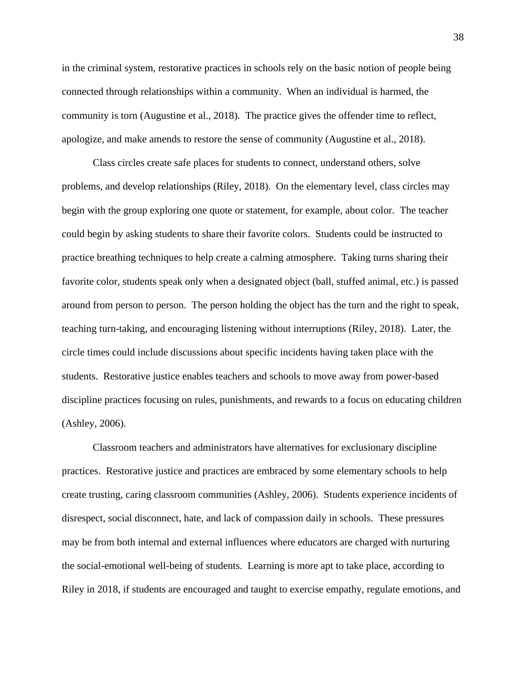in the criminal system, restorative practices in schools rely on the basic notion of people being connected through relationships within a community. When an individual is harmed, the community is torn (Augustine et al., 2018). The practice gives the offender time to reflect, apologize, and make amends to restore the sense of community (Augustine et al., 2018).

Class circles create safe places for students to connect, understand others, solve problems, and develop relationships (Riley, 2018). On the elementary level, class circles may begin with the group exploring one quote or statement, for example, about color. The teacher could begin by asking students to share their favorite colors. Students could be instructed to practice breathing techniques to help create a calming atmosphere. Taking turns sharing their favorite color, students speak only when a designated object (ball, stuffed animal, etc.) is passed around from person to person. The person holding the object has the turn and the right to speak, teaching turn-taking, and encouraging listening without interruptions (Riley, 2018). Later, the circle times could include discussions about specific incidents having taken place with the students. Restorative justice enables teachers and schools to move away from power-based discipline practices focusing on rules, punishments, and rewards to a focus on educating children (Ashley, 2006).

Classroom teachers and administrators have alternatives for exclusionary discipline practices. Restorative justice and practices are embraced by some elementary schools to help create trusting, caring classroom communities (Ashley, 2006). Students experience incidents of disrespect, social disconnect, hate, and lack of compassion daily in schools. These pressures may be from both internal and external influences where educators are charged with nurturing the social-emotional well-being of students. Learning is more apt to take place, according to Riley in 2018, if students are encouraged and taught to exercise empathy, regulate emotions, and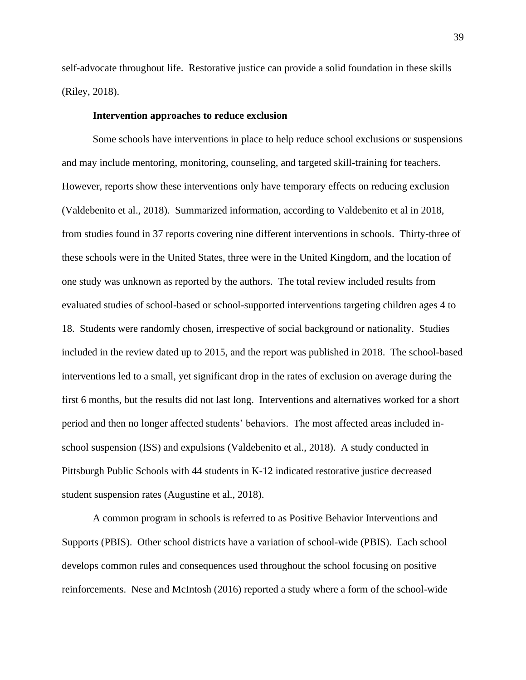self-advocate throughout life. Restorative justice can provide a solid foundation in these skills (Riley, 2018).

### **Intervention approaches to reduce exclusion**

Some schools have interventions in place to help reduce school exclusions or suspensions and may include mentoring, monitoring, counseling, and targeted skill-training for teachers. However, reports show these interventions only have temporary effects on reducing exclusion (Valdebenito et al., 2018). Summarized information, according to Valdebenito et al in 2018, from studies found in 37 reports covering nine different interventions in schools. Thirty-three of these schools were in the United States, three were in the United Kingdom, and the location of one study was unknown as reported by the authors. The total review included results from evaluated studies of school-based or school-supported interventions targeting children ages 4 to 18. Students were randomly chosen, irrespective of social background or nationality. Studies included in the review dated up to 2015, and the report was published in 2018. The school-based interventions led to a small, yet significant drop in the rates of exclusion on average during the first 6 months, but the results did not last long. Interventions and alternatives worked for a short period and then no longer affected students' behaviors. The most affected areas included inschool suspension (ISS) and expulsions (Valdebenito et al., 2018). A study conducted in Pittsburgh Public Schools with 44 students in K-12 indicated restorative justice decreased student suspension rates (Augustine et al., 2018).

A common program in schools is referred to as Positive Behavior Interventions and Supports (PBIS). Other school districts have a variation of school-wide (PBIS). Each school develops common rules and consequences used throughout the school focusing on positive reinforcements. Nese and McIntosh (2016) reported a study where a form of the school-wide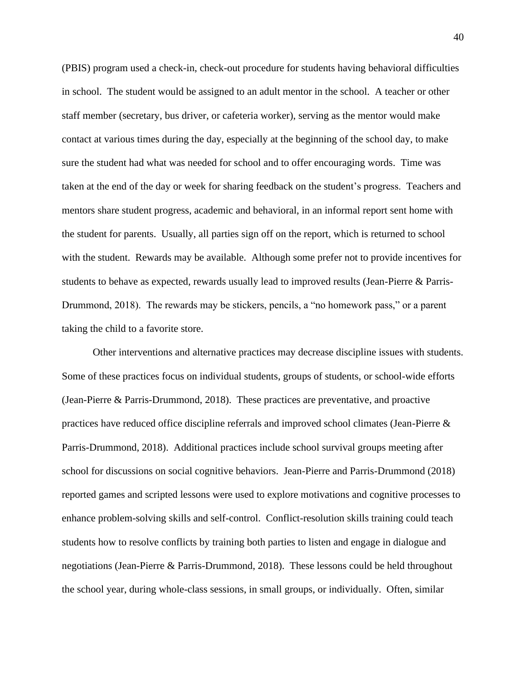(PBIS) program used a check-in, check-out procedure for students having behavioral difficulties in school. The student would be assigned to an adult mentor in the school. A teacher or other staff member (secretary, bus driver, or cafeteria worker), serving as the mentor would make contact at various times during the day, especially at the beginning of the school day, to make sure the student had what was needed for school and to offer encouraging words. Time was taken at the end of the day or week for sharing feedback on the student's progress. Teachers and mentors share student progress, academic and behavioral, in an informal report sent home with the student for parents. Usually, all parties sign off on the report, which is returned to school with the student. Rewards may be available. Although some prefer not to provide incentives for students to behave as expected, rewards usually lead to improved results (Jean-Pierre & Parris-Drummond, 2018). The rewards may be stickers, pencils, a "no homework pass," or a parent taking the child to a favorite store.

Other interventions and alternative practices may decrease discipline issues with students. Some of these practices focus on individual students, groups of students, or school-wide efforts (Jean-Pierre & Parris-Drummond, 2018). These practices are preventative, and proactive practices have reduced office discipline referrals and improved school climates (Jean-Pierre & Parris-Drummond, 2018). Additional practices include school survival groups meeting after school for discussions on social cognitive behaviors. Jean-Pierre and Parris-Drummond (2018) reported games and scripted lessons were used to explore motivations and cognitive processes to enhance problem-solving skills and self-control. Conflict-resolution skills training could teach students how to resolve conflicts by training both parties to listen and engage in dialogue and negotiations (Jean-Pierre & Parris-Drummond, 2018). These lessons could be held throughout the school year, during whole-class sessions, in small groups, or individually. Often, similar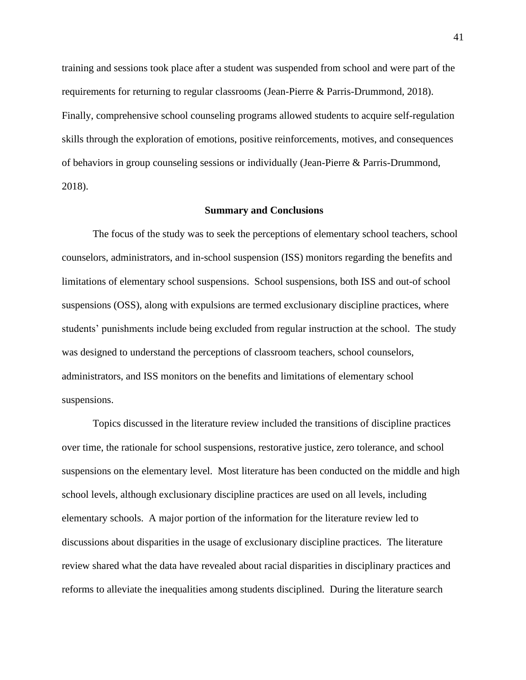training and sessions took place after a student was suspended from school and were part of the requirements for returning to regular classrooms (Jean-Pierre & Parris-Drummond, 2018). Finally, comprehensive school counseling programs allowed students to acquire self-regulation skills through the exploration of emotions, positive reinforcements, motives, and consequences of behaviors in group counseling sessions or individually (Jean-Pierre & Parris-Drummond, 2018).

#### **Summary and Conclusions**

The focus of the study was to seek the perceptions of elementary school teachers, school counselors, administrators, and in-school suspension (ISS) monitors regarding the benefits and limitations of elementary school suspensions. School suspensions, both ISS and out-of school suspensions (OSS), along with expulsions are termed exclusionary discipline practices, where students' punishments include being excluded from regular instruction at the school. The study was designed to understand the perceptions of classroom teachers, school counselors, administrators, and ISS monitors on the benefits and limitations of elementary school suspensions.

Topics discussed in the literature review included the transitions of discipline practices over time, the rationale for school suspensions, restorative justice, zero tolerance, and school suspensions on the elementary level. Most literature has been conducted on the middle and high school levels, although exclusionary discipline practices are used on all levels, including elementary schools. A major portion of the information for the literature review led to discussions about disparities in the usage of exclusionary discipline practices. The literature review shared what the data have revealed about racial disparities in disciplinary practices and reforms to alleviate the inequalities among students disciplined. During the literature search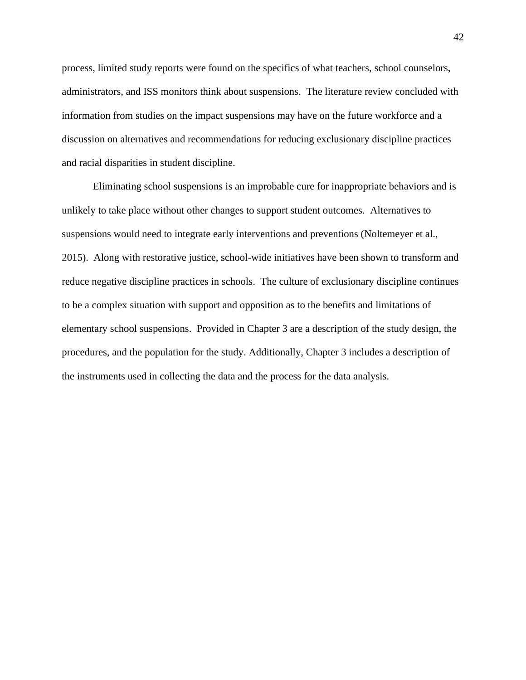process, limited study reports were found on the specifics of what teachers, school counselors, administrators, and ISS monitors think about suspensions. The literature review concluded with information from studies on the impact suspensions may have on the future workforce and a discussion on alternatives and recommendations for reducing exclusionary discipline practices and racial disparities in student discipline.

Eliminating school suspensions is an improbable cure for inappropriate behaviors and is unlikely to take place without other changes to support student outcomes. Alternatives to suspensions would need to integrate early interventions and preventions (Noltemeyer et al., 2015). Along with restorative justice, school-wide initiatives have been shown to transform and reduce negative discipline practices in schools. The culture of exclusionary discipline continues to be a complex situation with support and opposition as to the benefits and limitations of elementary school suspensions. Provided in Chapter 3 are a description of the study design, the procedures, and the population for the study. Additionally, Chapter 3 includes a description of the instruments used in collecting the data and the process for the data analysis.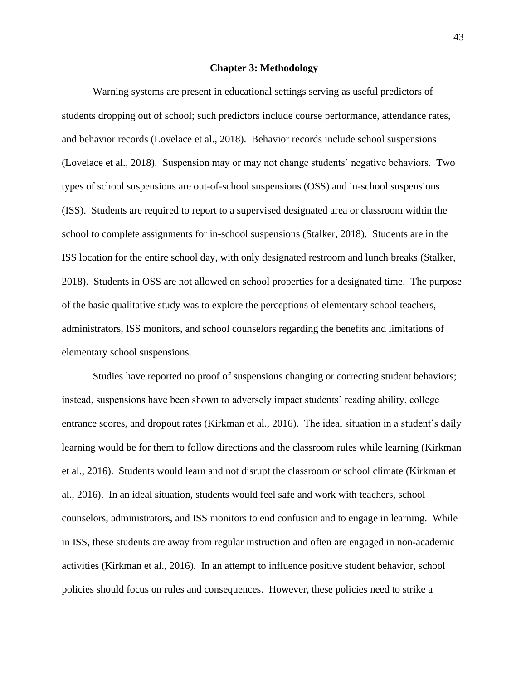#### **Chapter 3: Methodology**

Warning systems are present in educational settings serving as useful predictors of students dropping out of school; such predictors include course performance, attendance rates, and behavior records (Lovelace et al., 2018). Behavior records include school suspensions (Lovelace et al., 2018). Suspension may or may not change students' negative behaviors. Two types of school suspensions are out-of-school suspensions (OSS) and in-school suspensions (ISS). Students are required to report to a supervised designated area or classroom within the school to complete assignments for in-school suspensions (Stalker, 2018). Students are in the ISS location for the entire school day, with only designated restroom and lunch breaks (Stalker, 2018). Students in OSS are not allowed on school properties for a designated time. The purpose of the basic qualitative study was to explore the perceptions of elementary school teachers, administrators, ISS monitors, and school counselors regarding the benefits and limitations of elementary school suspensions.

Studies have reported no proof of suspensions changing or correcting student behaviors; instead, suspensions have been shown to adversely impact students' reading ability, college entrance scores, and dropout rates (Kirkman et al., 2016). The ideal situation in a student's daily learning would be for them to follow directions and the classroom rules while learning (Kirkman et al., 2016). Students would learn and not disrupt the classroom or school climate (Kirkman et al., 2016). In an ideal situation, students would feel safe and work with teachers, school counselors, administrators, and ISS monitors to end confusion and to engage in learning. While in ISS, these students are away from regular instruction and often are engaged in non-academic activities (Kirkman et al., 2016). In an attempt to influence positive student behavior, school policies should focus on rules and consequences. However, these policies need to strike a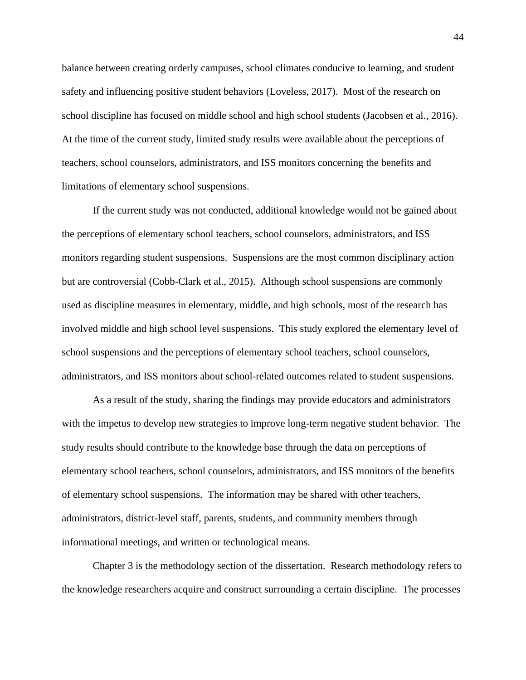balance between creating orderly campuses, school climates conducive to learning, and student safety and influencing positive student behaviors (Loveless, 2017). Most of the research on school discipline has focused on middle school and high school students (Jacobsen et al., 2016). At the time of the current study, limited study results were available about the perceptions of teachers, school counselors, administrators, and ISS monitors concerning the benefits and limitations of elementary school suspensions.

If the current study was not conducted, additional knowledge would not be gained about the perceptions of elementary school teachers, school counselors, administrators, and ISS monitors regarding student suspensions. Suspensions are the most common disciplinary action but are controversial (Cobb-Clark et al., 2015). Although school suspensions are commonly used as discipline measures in elementary, middle, and high schools, most of the research has involved middle and high school level suspensions. This study explored the elementary level of school suspensions and the perceptions of elementary school teachers, school counselors, administrators, and ISS monitors about school-related outcomes related to student suspensions.

As a result of the study, sharing the findings may provide educators and administrators with the impetus to develop new strategies to improve long-term negative student behavior. The study results should contribute to the knowledge base through the data on perceptions of elementary school teachers, school counselors, administrators, and ISS monitors of the benefits of elementary school suspensions. The information may be shared with other teachers, administrators, district-level staff, parents, students, and community members through informational meetings, and written or technological means.

Chapter 3 is the methodology section of the dissertation. Research methodology refers to the knowledge researchers acquire and construct surrounding a certain discipline. The processes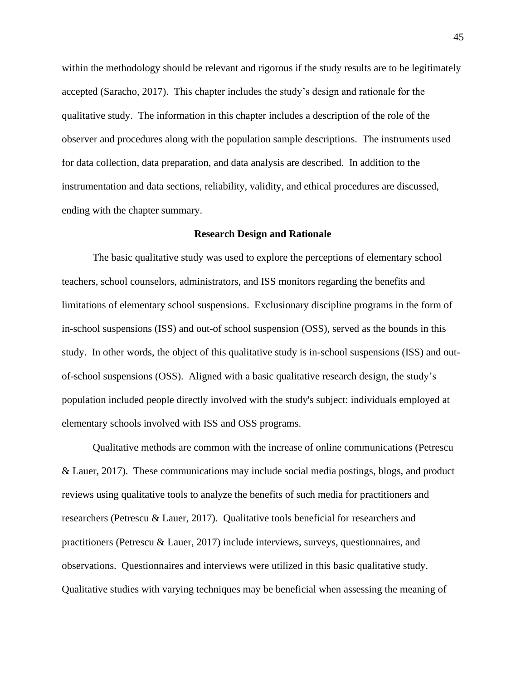within the methodology should be relevant and rigorous if the study results are to be legitimately accepted (Saracho, 2017). This chapter includes the study's design and rationale for the qualitative study. The information in this chapter includes a description of the role of the observer and procedures along with the population sample descriptions. The instruments used for data collection, data preparation, and data analysis are described. In addition to the instrumentation and data sections, reliability, validity, and ethical procedures are discussed, ending with the chapter summary.

#### **Research Design and Rationale**

The basic qualitative study was used to explore the perceptions of elementary school teachers, school counselors, administrators, and ISS monitors regarding the benefits and limitations of elementary school suspensions. Exclusionary discipline programs in the form of in-school suspensions (ISS) and out-of school suspension (OSS), served as the bounds in this study. In other words, the object of this qualitative study is in-school suspensions (ISS) and outof-school suspensions (OSS). Aligned with a basic qualitative research design, the study's population included people directly involved with the study's subject: individuals employed at elementary schools involved with ISS and OSS programs.

Qualitative methods are common with the increase of online communications (Petrescu & Lauer, 2017). These communications may include social media postings, blogs, and product reviews using qualitative tools to analyze the benefits of such media for practitioners and researchers (Petrescu & Lauer, 2017). Qualitative tools beneficial for researchers and practitioners (Petrescu & Lauer, 2017) include interviews, surveys, questionnaires, and observations. Questionnaires and interviews were utilized in this basic qualitative study. Qualitative studies with varying techniques may be beneficial when assessing the meaning of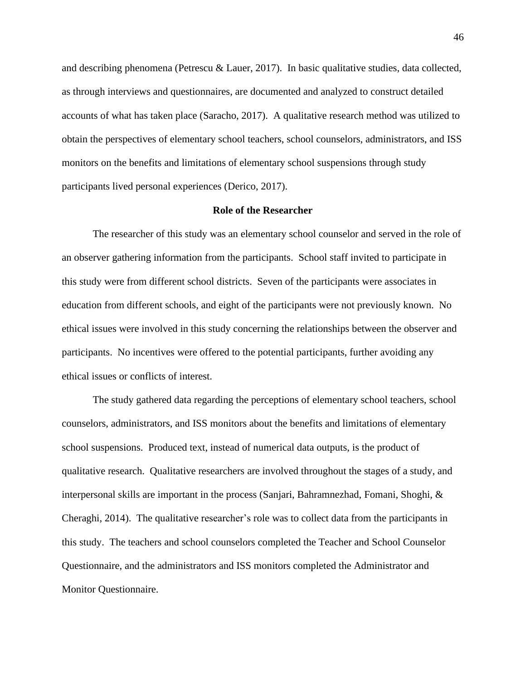and describing phenomena (Petrescu & Lauer, 2017). In basic qualitative studies, data collected, as through interviews and questionnaires, are documented and analyzed to construct detailed accounts of what has taken place (Saracho, 2017). A qualitative research method was utilized to obtain the perspectives of elementary school teachers, school counselors, administrators, and ISS monitors on the benefits and limitations of elementary school suspensions through study participants lived personal experiences (Derico, 2017).

#### **Role of the Researcher**

The researcher of this study was an elementary school counselor and served in the role of an observer gathering information from the participants. School staff invited to participate in this study were from different school districts. Seven of the participants were associates in education from different schools, and eight of the participants were not previously known. No ethical issues were involved in this study concerning the relationships between the observer and participants. No incentives were offered to the potential participants, further avoiding any ethical issues or conflicts of interest.

The study gathered data regarding the perceptions of elementary school teachers, school counselors, administrators, and ISS monitors about the benefits and limitations of elementary school suspensions. Produced text, instead of numerical data outputs, is the product of qualitative research. Qualitative researchers are involved throughout the stages of a study, and interpersonal skills are important in the process (Sanjari, Bahramnezhad, Fomani, Shoghi, & Cheraghi, 2014). The qualitative researcher's role was to collect data from the participants in this study. The teachers and school counselors completed the Teacher and School Counselor Questionnaire, and the administrators and ISS monitors completed the Administrator and Monitor Questionnaire.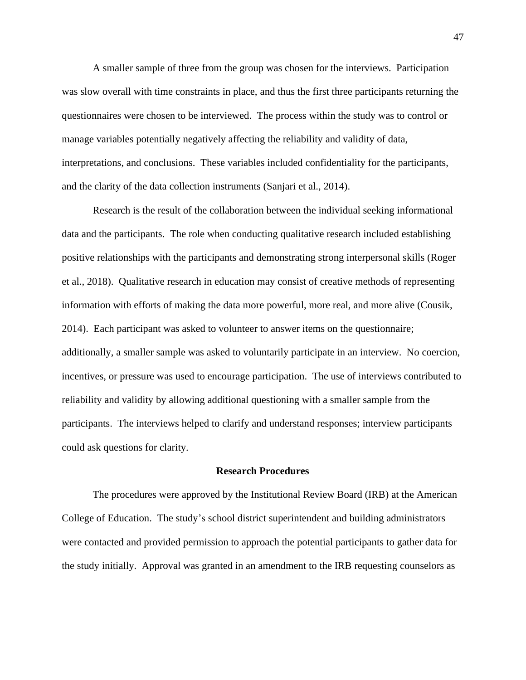A smaller sample of three from the group was chosen for the interviews. Participation was slow overall with time constraints in place, and thus the first three participants returning the questionnaires were chosen to be interviewed. The process within the study was to control or manage variables potentially negatively affecting the reliability and validity of data, interpretations, and conclusions. These variables included confidentiality for the participants, and the clarity of the data collection instruments (Sanjari et al., 2014).

Research is the result of the collaboration between the individual seeking informational data and the participants. The role when conducting qualitative research included establishing positive relationships with the participants and demonstrating strong interpersonal skills (Roger et al., 2018). Qualitative research in education may consist of creative methods of representing information with efforts of making the data more powerful, more real, and more alive (Cousik, 2014). Each participant was asked to volunteer to answer items on the questionnaire; additionally, a smaller sample was asked to voluntarily participate in an interview. No coercion, incentives, or pressure was used to encourage participation. The use of interviews contributed to reliability and validity by allowing additional questioning with a smaller sample from the participants. The interviews helped to clarify and understand responses; interview participants could ask questions for clarity.

## **Research Procedures**

The procedures were approved by the Institutional Review Board (IRB) at the American College of Education. The study's school district superintendent and building administrators were contacted and provided permission to approach the potential participants to gather data for the study initially. Approval was granted in an amendment to the IRB requesting counselors as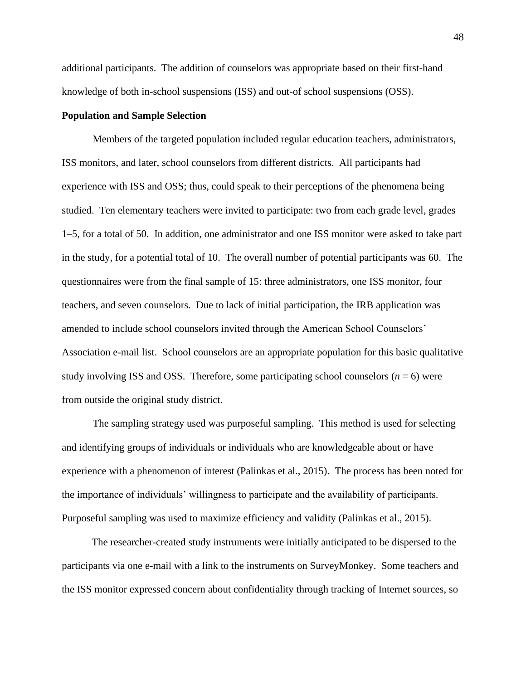additional participants. The addition of counselors was appropriate based on their first-hand knowledge of both in-school suspensions (ISS) and out-of school suspensions (OSS).

# **Population and Sample Selection**

Members of the targeted population included regular education teachers, administrators, ISS monitors, and later, school counselors from different districts. All participants had experience with ISS and OSS; thus, could speak to their perceptions of the phenomena being studied. Ten elementary teachers were invited to participate: two from each grade level, grades 1–5, for a total of 50. In addition, one administrator and one ISS monitor were asked to take part in the study, for a potential total of 10. The overall number of potential participants was 60. The questionnaires were from the final sample of 15: three administrators, one ISS monitor, four teachers, and seven counselors. Due to lack of initial participation, the IRB application was amended to include school counselors invited through the American School Counselors' Association e-mail list. School counselors are an appropriate population for this basic qualitative study involving ISS and OSS. Therefore, some participating school counselors  $(n = 6)$  were from outside the original study district.

The sampling strategy used was purposeful sampling. This method is used for selecting and identifying groups of individuals or individuals who are knowledgeable about or have experience with a phenomenon of interest (Palinkas et al., 2015). The process has been noted for the importance of individuals' willingness to participate and the availability of participants. Purposeful sampling was used to maximize efficiency and validity (Palinkas et al., 2015).

The researcher-created study instruments were initially anticipated to be dispersed to the participants via one e-mail with a link to the instruments on SurveyMonkey. Some teachers and the ISS monitor expressed concern about confidentiality through tracking of Internet sources, so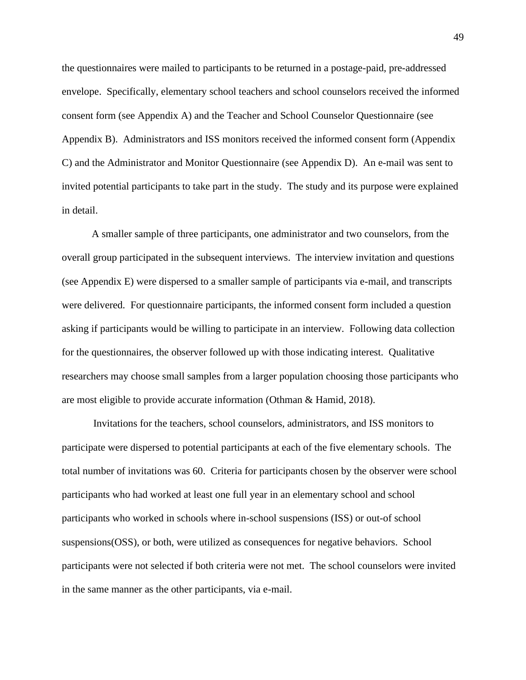the questionnaires were mailed to participants to be returned in a postage-paid, pre-addressed envelope. Specifically, elementary school teachers and school counselors received the informed consent form (see Appendix A) and the Teacher and School Counselor Questionnaire (see Appendix B). Administrators and ISS monitors received the informed consent form (Appendix C) and the Administrator and Monitor Questionnaire (see Appendix D). An e-mail was sent to invited potential participants to take part in the study. The study and its purpose were explained in detail.

A smaller sample of three participants, one administrator and two counselors, from the overall group participated in the subsequent interviews. The interview invitation and questions (see Appendix E) were dispersed to a smaller sample of participants via e-mail, and transcripts were delivered. For questionnaire participants, the informed consent form included a question asking if participants would be willing to participate in an interview. Following data collection for the questionnaires, the observer followed up with those indicating interest. Qualitative researchers may choose small samples from a larger population choosing those participants who are most eligible to provide accurate information (Othman & Hamid, 2018).

Invitations for the teachers, school counselors, administrators, and ISS monitors to participate were dispersed to potential participants at each of the five elementary schools. The total number of invitations was 60. Criteria for participants chosen by the observer were school participants who had worked at least one full year in an elementary school and school participants who worked in schools where in-school suspensions (ISS) or out-of school suspensions(OSS), or both, were utilized as consequences for negative behaviors. School participants were not selected if both criteria were not met. The school counselors were invited in the same manner as the other participants, via e-mail.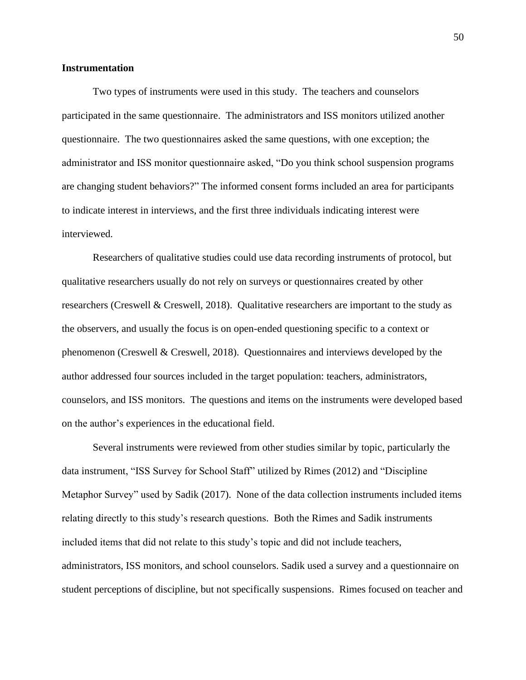## **Instrumentation**

Two types of instruments were used in this study. The teachers and counselors participated in the same questionnaire. The administrators and ISS monitors utilized another questionnaire. The two questionnaires asked the same questions, with one exception; the administrator and ISS monitor questionnaire asked, "Do you think school suspension programs are changing student behaviors?" The informed consent forms included an area for participants to indicate interest in interviews, and the first three individuals indicating interest were interviewed.

Researchers of qualitative studies could use data recording instruments of protocol, but qualitative researchers usually do not rely on surveys or questionnaires created by other researchers (Creswell & Creswell, 2018). Qualitative researchers are important to the study as the observers, and usually the focus is on open-ended questioning specific to a context or phenomenon (Creswell & Creswell, 2018). Questionnaires and interviews developed by the author addressed four sources included in the target population: teachers, administrators, counselors, and ISS monitors. The questions and items on the instruments were developed based on the author's experiences in the educational field.

Several instruments were reviewed from other studies similar by topic, particularly the data instrument, "ISS Survey for School Staff" utilized by Rimes (2012) and "Discipline Metaphor Survey" used by Sadik (2017). None of the data collection instruments included items relating directly to this study's research questions. Both the Rimes and Sadik instruments included items that did not relate to this study's topic and did not include teachers, administrators, ISS monitors, and school counselors. Sadik used a survey and a questionnaire on student perceptions of discipline, but not specifically suspensions. Rimes focused on teacher and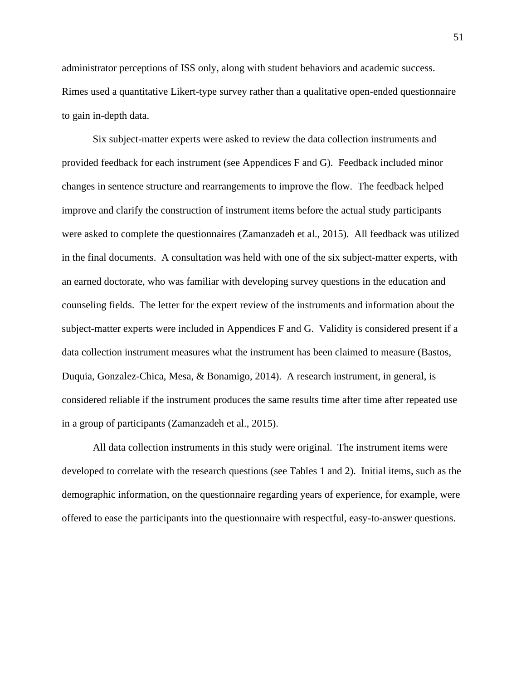administrator perceptions of ISS only, along with student behaviors and academic success. Rimes used a quantitative Likert-type survey rather than a qualitative open-ended questionnaire to gain in-depth data.

Six subject-matter experts were asked to review the data collection instruments and provided feedback for each instrument (see Appendices F and G). Feedback included minor changes in sentence structure and rearrangements to improve the flow. The feedback helped improve and clarify the construction of instrument items before the actual study participants were asked to complete the questionnaires (Zamanzadeh et al., 2015). All feedback was utilized in the final documents. A consultation was held with one of the six subject-matter experts, with an earned doctorate, who was familiar with developing survey questions in the education and counseling fields. The letter for the expert review of the instruments and information about the subject-matter experts were included in Appendices F and G. Validity is considered present if a data collection instrument measures what the instrument has been claimed to measure (Bastos, Duquia, Gonzalez-Chica, Mesa, & Bonamigo, 2014). A research instrument, in general, is considered reliable if the instrument produces the same results time after time after repeated use in a group of participants (Zamanzadeh et al., 2015).

All data collection instruments in this study were original. The instrument items were developed to correlate with the research questions (see Tables 1 and 2). Initial items, such as the demographic information, on the questionnaire regarding years of experience, for example, were offered to ease the participants into the questionnaire with respectful, easy-to-answer questions.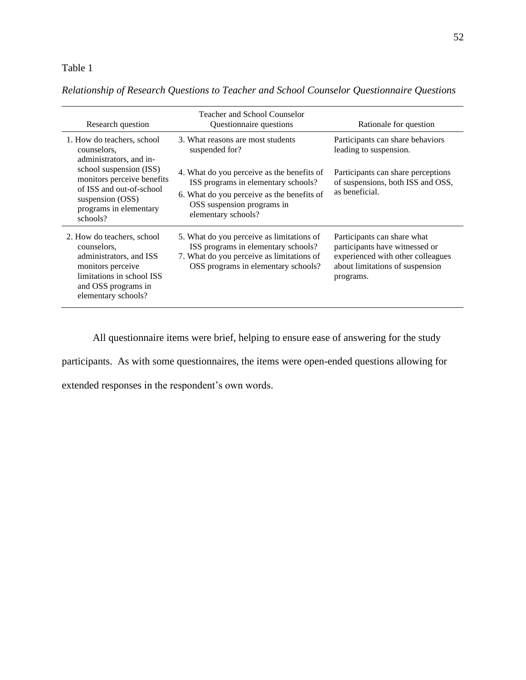# Table 1

*Relationship of Research Questions to Teacher and School Counselor Questionnaire Questions*

| Research question                                                                                                                                                                                                   | Teacher and School Counselor<br>Questionnaire questions                                                                                                                                                                                     | Rationale for question                                                                                                                                  |  |
|---------------------------------------------------------------------------------------------------------------------------------------------------------------------------------------------------------------------|---------------------------------------------------------------------------------------------------------------------------------------------------------------------------------------------------------------------------------------------|---------------------------------------------------------------------------------------------------------------------------------------------------------|--|
| 1. How do teachers, school<br>counselors,<br>administrators, and in-<br>school suspension (ISS)<br>monitors perceive benefits<br>of ISS and out-of-school<br>suspension (OSS)<br>programs in elementary<br>schools? | 3. What reasons are most students<br>suspended for?<br>4. What do you perceive as the benefits of<br>ISS programs in elementary schools?<br>6. What do you perceive as the benefits of<br>OSS suspension programs in<br>elementary schools? | Participants can share behaviors<br>leading to suspension.<br>Participants can share perceptions<br>of suspensions, both ISS and OSS,<br>as beneficial. |  |
| 2. How do teachers, school<br>counselors,<br>administrators, and ISS<br>monitors perceive<br>limitations in school ISS<br>and OSS programs in<br>elementary schools?                                                | 5. What do you perceive as limitations of<br>ISS programs in elementary schools?<br>7. What do you perceive as limitations of<br>OSS programs in elementary schools?                                                                        | Participants can share what<br>participants have witnessed or<br>experienced with other colleagues<br>about limitations of suspension<br>programs.      |  |

All questionnaire items were brief, helping to ensure ease of answering for the study

participants. As with some questionnaires, the items were open-ended questions allowing for

extended responses in the respondent's own words.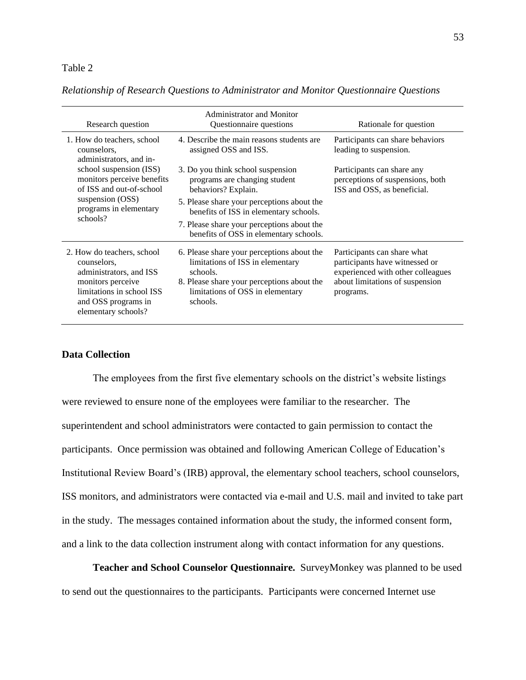# Table 2

| Research question                                                                                                                                                    | <b>Administrator and Monitor</b><br>Questionnaire questions                                                                                                                              | Rationale for question                                                                                                                             |  |
|----------------------------------------------------------------------------------------------------------------------------------------------------------------------|------------------------------------------------------------------------------------------------------------------------------------------------------------------------------------------|----------------------------------------------------------------------------------------------------------------------------------------------------|--|
| 1. How do teachers, school<br>counselors,<br>administrators, and in-                                                                                                 | 4. Describe the main reasons students are<br>assigned OSS and ISS.                                                                                                                       | Participants can share behaviors<br>leading to suspension.                                                                                         |  |
| school suspension (ISS)<br>monitors perceive benefits<br>of ISS and out-of-school<br>suspension (OSS)<br>programs in elementary<br>schools?                          | 3. Do you think school suspension<br>programs are changing student<br>behaviors? Explain.                                                                                                | Participants can share any<br>perceptions of suspensions, both<br>ISS and OSS, as beneficial.                                                      |  |
|                                                                                                                                                                      | 5. Please share your perceptions about the<br>benefits of ISS in elementary schools.<br>7. Please share your perceptions about the<br>benefits of OSS in elementary schools.             |                                                                                                                                                    |  |
| 2. How do teachers, school<br>counselors,<br>administrators, and ISS<br>monitors perceive<br>limitations in school ISS<br>and OSS programs in<br>elementary schools? | 6. Please share your perceptions about the<br>limitations of ISS in elementary<br>schools.<br>8. Please share your perceptions about the<br>limitations of OSS in elementary<br>schools. | Participants can share what<br>participants have witnessed or<br>experienced with other colleagues<br>about limitations of suspension<br>programs. |  |

# *Relationship of Research Questions to Administrator and Monitor Questionnaire Questions*

# **Data Collection**

The employees from the first five elementary schools on the district's website listings were reviewed to ensure none of the employees were familiar to the researcher. The superintendent and school administrators were contacted to gain permission to contact the participants. Once permission was obtained and following American College of Education's Institutional Review Board's (IRB) approval, the elementary school teachers, school counselors, ISS monitors, and administrators were contacted via e-mail and U.S. mail and invited to take part in the study. The messages contained information about the study, the informed consent form, and a link to the data collection instrument along with contact information for any questions.

**Teacher and School Counselor Questionnaire.** SurveyMonkey was planned to be used to send out the questionnaires to the participants. Participants were concerned Internet use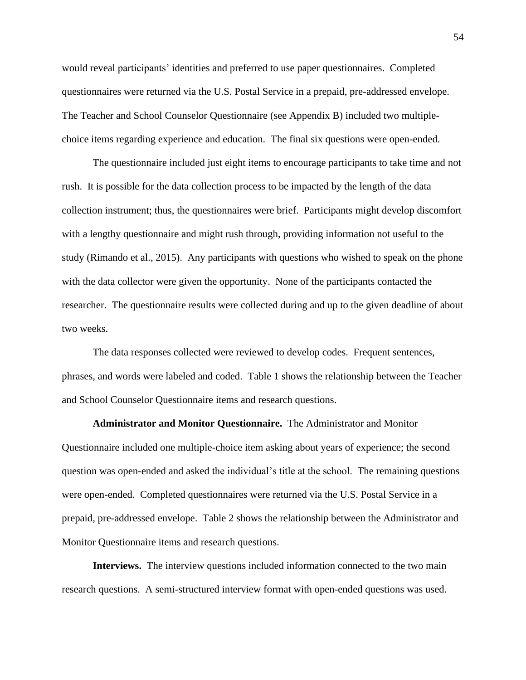would reveal participants' identities and preferred to use paper questionnaires. Completed questionnaires were returned via the U.S. Postal Service in a prepaid, pre-addressed envelope. The Teacher and School Counselor Questionnaire (see Appendix B) included two multiplechoice items regarding experience and education. The final six questions were open-ended.

The questionnaire included just eight items to encourage participants to take time and not rush. It is possible for the data collection process to be impacted by the length of the data collection instrument; thus, the questionnaires were brief. Participants might develop discomfort with a lengthy questionnaire and might rush through, providing information not useful to the study (Rimando et al., 2015). Any participants with questions who wished to speak on the phone with the data collector were given the opportunity. None of the participants contacted the researcher. The questionnaire results were collected during and up to the given deadline of about two weeks.

The data responses collected were reviewed to develop codes. Frequent sentences, phrases, and words were labeled and coded. Table 1 shows the relationship between the Teacher and School Counselor Questionnaire items and research questions.

**Administrator and Monitor Questionnaire.** The Administrator and Monitor Questionnaire included one multiple-choice item asking about years of experience; the second question was open-ended and asked the individual's title at the school. The remaining questions were open-ended. Completed questionnaires were returned via the U.S. Postal Service in a prepaid, pre-addressed envelope. Table 2 shows the relationship between the Administrator and Monitor Questionnaire items and research questions.

**Interviews.** The interview questions included information connected to the two main research questions. A semi-structured interview format with open-ended questions was used.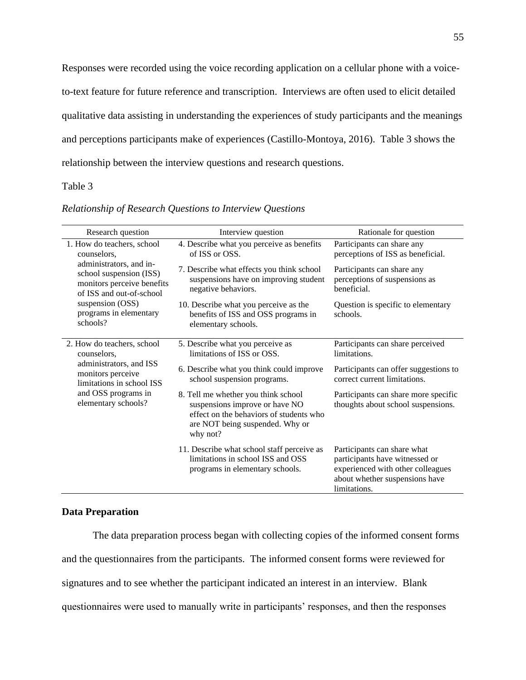Responses were recorded using the voice recording application on a cellular phone with a voiceto-text feature for future reference and transcription. Interviews are often used to elicit detailed qualitative data assisting in understanding the experiences of study participants and the meanings and perceptions participants make of experiences (Castillo-Montoya, 2016). Table 3 shows the relationship between the interview questions and research questions.

Table 3

| Research question                                                                                                                                                                                                   | Interview question                                                                                                                                              | Rationale for question                                                                                                                               |  |
|---------------------------------------------------------------------------------------------------------------------------------------------------------------------------------------------------------------------|-----------------------------------------------------------------------------------------------------------------------------------------------------------------|------------------------------------------------------------------------------------------------------------------------------------------------------|--|
| 1. How do teachers, school<br>counselors,<br>administrators, and in-<br>school suspension (ISS)<br>monitors perceive benefits<br>of ISS and out-of-school<br>suspension (OSS)<br>programs in elementary<br>schools? | 4. Describe what you perceive as benefits<br>of ISS or OSS.                                                                                                     | Participants can share any<br>perceptions of ISS as beneficial.                                                                                      |  |
|                                                                                                                                                                                                                     | 7. Describe what effects you think school<br>suspensions have on improving student<br>negative behaviors.                                                       | Participants can share any<br>perceptions of suspensions as<br>beneficial.                                                                           |  |
|                                                                                                                                                                                                                     | 10. Describe what you perceive as the<br>benefits of ISS and OSS programs in<br>elementary schools.                                                             | Question is specific to elementary<br>schools.                                                                                                       |  |
| 2. How do teachers, school<br>counselors,<br>administrators, and ISS<br>monitors perceive<br>limitations in school ISS<br>and OSS programs in<br>elementary schools?                                                | 5. Describe what you perceive as<br>limitations of ISS or OSS.                                                                                                  | Participants can share perceived<br>limitations.                                                                                                     |  |
|                                                                                                                                                                                                                     | 6. Describe what you think could improve<br>school suspension programs.                                                                                         | Participants can offer suggestions to<br>correct current limitations.                                                                                |  |
|                                                                                                                                                                                                                     | 8. Tell me whether you think school<br>suspensions improve or have NO<br>effect on the behaviors of students who<br>are NOT being suspended. Why or<br>why not? | Participants can share more specific<br>thoughts about school suspensions.                                                                           |  |
|                                                                                                                                                                                                                     | 11. Describe what school staff perceive as<br>limitations in school ISS and OSS<br>programs in elementary schools.                                              | Participants can share what<br>participants have witnessed or<br>experienced with other colleagues<br>about whether suspensions have<br>limitations. |  |

|  |  | Relationship of Research Questions to Interview Questions |  |  |
|--|--|-----------------------------------------------------------|--|--|
|--|--|-----------------------------------------------------------|--|--|

# **Data Preparation**

The data preparation process began with collecting copies of the informed consent forms and the questionnaires from the participants. The informed consent forms were reviewed for signatures and to see whether the participant indicated an interest in an interview. Blank questionnaires were used to manually write in participants' responses, and then the responses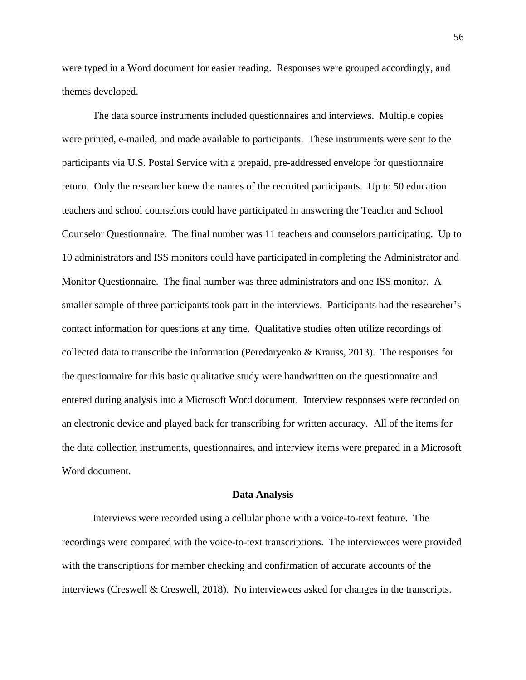were typed in a Word document for easier reading. Responses were grouped accordingly, and themes developed.

The data source instruments included questionnaires and interviews. Multiple copies were printed, e-mailed, and made available to participants. These instruments were sent to the participants via U.S. Postal Service with a prepaid, pre-addressed envelope for questionnaire return. Only the researcher knew the names of the recruited participants. Up to 50 education teachers and school counselors could have participated in answering the Teacher and School Counselor Questionnaire. The final number was 11 teachers and counselors participating. Up to 10 administrators and ISS monitors could have participated in completing the Administrator and Monitor Questionnaire. The final number was three administrators and one ISS monitor. A smaller sample of three participants took part in the interviews. Participants had the researcher's contact information for questions at any time. Qualitative studies often utilize recordings of collected data to transcribe the information (Peredaryenko & Krauss, 2013). The responses for the questionnaire for this basic qualitative study were handwritten on the questionnaire and entered during analysis into a Microsoft Word document. Interview responses were recorded on an electronic device and played back for transcribing for written accuracy. All of the items for the data collection instruments, questionnaires, and interview items were prepared in a Microsoft Word document.

#### **Data Analysis**

Interviews were recorded using a cellular phone with a voice-to-text feature. The recordings were compared with the voice-to-text transcriptions. The interviewees were provided with the transcriptions for member checking and confirmation of accurate accounts of the interviews (Creswell & Creswell, 2018). No interviewees asked for changes in the transcripts.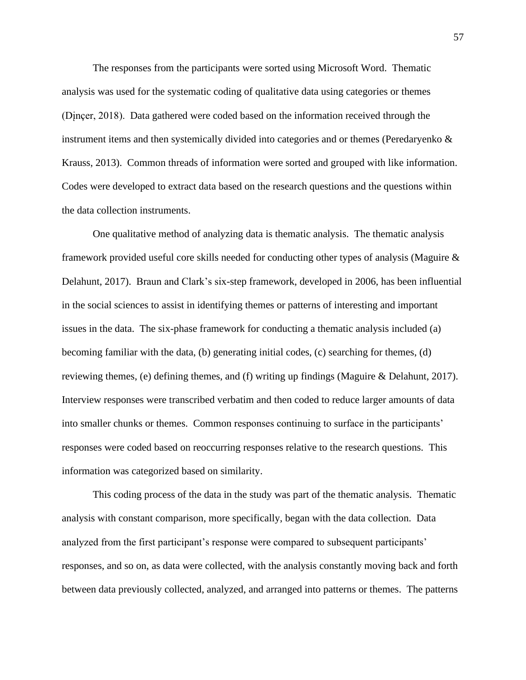The responses from the participants were sorted using Microsoft Word. Thematic analysis was used for the systematic coding of qualitative data using categories or themes (Dįnçer, 2018). Data gathered were coded based on the information received through the instrument items and then systemically divided into categories and or themes (Peredaryenko & Krauss, 2013). Common threads of information were sorted and grouped with like information. Codes were developed to extract data based on the research questions and the questions within the data collection instruments.

One qualitative method of analyzing data is thematic analysis. The thematic analysis framework provided useful core skills needed for conducting other types of analysis (Maguire & Delahunt, 2017). Braun and Clark's six-step framework, developed in 2006, has been influential in the social sciences to assist in identifying themes or patterns of interesting and important issues in the data. The six-phase framework for conducting a thematic analysis included (a) becoming familiar with the data,  $(b)$  generating initial codes,  $(c)$  searching for themes,  $(d)$ reviewing themes, (e) defining themes, and (f) writing up findings (Maguire & Delahunt, 2017). Interview responses were transcribed verbatim and then coded to reduce larger amounts of data into smaller chunks or themes. Common responses continuing to surface in the participants' responses were coded based on reoccurring responses relative to the research questions. This information was categorized based on similarity.

This coding process of the data in the study was part of the thematic analysis. Thematic analysis with constant comparison, more specifically, began with the data collection. Data analyzed from the first participant's response were compared to subsequent participants' responses, and so on, as data were collected, with the analysis constantly moving back and forth between data previously collected, analyzed, and arranged into patterns or themes. The patterns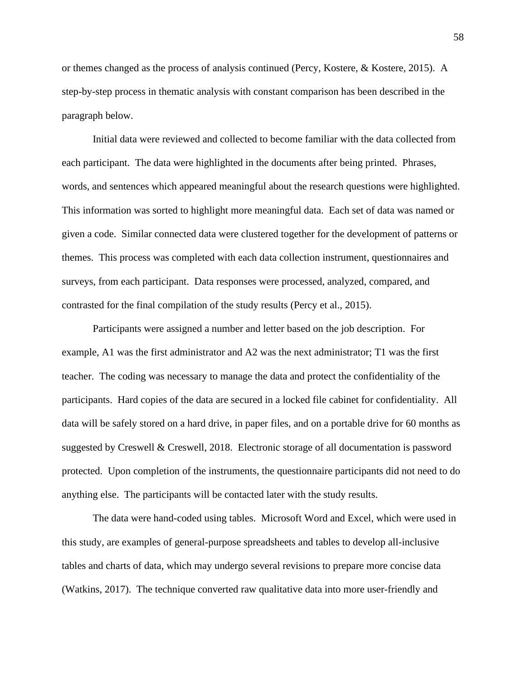or themes changed as the process of analysis continued (Percy, Kostere, & Kostere, 2015). A step-by-step process in thematic analysis with constant comparison has been described in the paragraph below.

Initial data were reviewed and collected to become familiar with the data collected from each participant. The data were highlighted in the documents after being printed. Phrases, words, and sentences which appeared meaningful about the research questions were highlighted. This information was sorted to highlight more meaningful data. Each set of data was named or given a code. Similar connected data were clustered together for the development of patterns or themes. This process was completed with each data collection instrument, questionnaires and surveys, from each participant. Data responses were processed, analyzed, compared, and contrasted for the final compilation of the study results (Percy et al., 2015).

Participants were assigned a number and letter based on the job description. For example, A1 was the first administrator and A2 was the next administrator; T1 was the first teacher. The coding was necessary to manage the data and protect the confidentiality of the participants. Hard copies of the data are secured in a locked file cabinet for confidentiality. All data will be safely stored on a hard drive, in paper files, and on a portable drive for 60 months as suggested by Creswell & Creswell, 2018. Electronic storage of all documentation is password protected. Upon completion of the instruments, the questionnaire participants did not need to do anything else. The participants will be contacted later with the study results.

The data were hand-coded using tables. Microsoft Word and Excel, which were used in this study, are examples of general-purpose spreadsheets and tables to develop all-inclusive tables and charts of data, which may undergo several revisions to prepare more concise data (Watkins, 2017). The technique converted raw qualitative data into more user-friendly and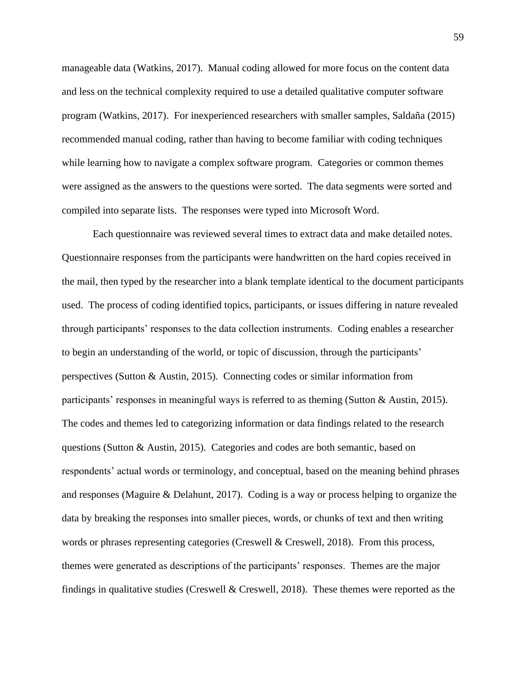manageable data (Watkins, 2017). Manual coding allowed for more focus on the content data and less on the technical complexity required to use a detailed qualitative computer software program (Watkins, 2017). For inexperienced researchers with smaller samples, Saldaña (2015) recommended manual coding, rather than having to become familiar with coding techniques while learning how to navigate a complex software program. Categories or common themes were assigned as the answers to the questions were sorted. The data segments were sorted and compiled into separate lists. The responses were typed into Microsoft Word.

Each questionnaire was reviewed several times to extract data and make detailed notes. Questionnaire responses from the participants were handwritten on the hard copies received in the mail, then typed by the researcher into a blank template identical to the document participants used. The process of coding identified topics, participants, or issues differing in nature revealed through participants' responses to the data collection instruments. Coding enables a researcher to begin an understanding of the world, or topic of discussion, through the participants' perspectives (Sutton & Austin, 2015). Connecting codes or similar information from participants' responses in meaningful ways is referred to as theming (Sutton & Austin, 2015). The codes and themes led to categorizing information or data findings related to the research questions (Sutton & Austin, 2015). Categories and codes are both semantic, based on respondents' actual words or terminology, and conceptual, based on the meaning behind phrases and responses (Maguire & Delahunt, 2017). Coding is a way or process helping to organize the data by breaking the responses into smaller pieces, words, or chunks of text and then writing words or phrases representing categories (Creswell & Creswell, 2018). From this process, themes were generated as descriptions of the participants' responses. Themes are the major findings in qualitative studies (Creswell & Creswell, 2018). These themes were reported as the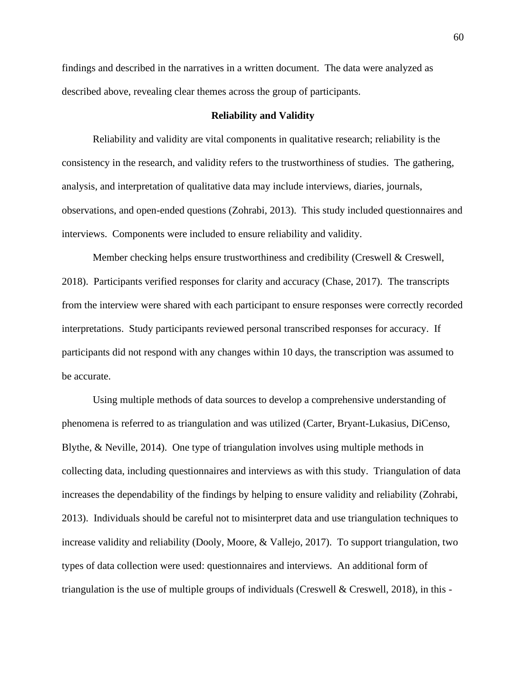findings and described in the narratives in a written document. The data were analyzed as described above, revealing clear themes across the group of participants.

#### **Reliability and Validity**

Reliability and validity are vital components in qualitative research; reliability is the consistency in the research, and validity refers to the trustworthiness of studies. The gathering, analysis, and interpretation of qualitative data may include interviews, diaries, journals, observations, and open-ended questions (Zohrabi, 2013). This study included questionnaires and interviews. Components were included to ensure reliability and validity.

Member checking helps ensure trustworthiness and credibility (Creswell & Creswell, 2018). Participants verified responses for clarity and accuracy (Chase, 2017). The transcripts from the interview were shared with each participant to ensure responses were correctly recorded interpretations. Study participants reviewed personal transcribed responses for accuracy. If participants did not respond with any changes within 10 days, the transcription was assumed to be accurate.

Using multiple methods of data sources to develop a comprehensive understanding of phenomena is referred to as triangulation and was utilized (Carter, Bryant-Lukasius, DiCenso, Blythe, & Neville, 2014). One type of triangulation involves using multiple methods in collecting data, including questionnaires and interviews as with this study. Triangulation of data increases the dependability of the findings by helping to ensure validity and reliability (Zohrabi, 2013). Individuals should be careful not to misinterpret data and use triangulation techniques to increase validity and reliability (Dooly, Moore, & Vallejo, 2017). To support triangulation, two types of data collection were used: questionnaires and interviews. An additional form of triangulation is the use of multiple groups of individuals (Creswell & Creswell, 2018), in this -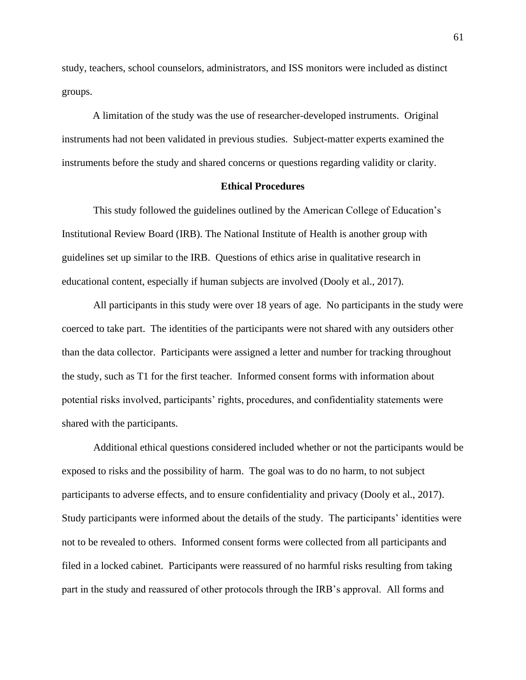study, teachers, school counselors, administrators, and ISS monitors were included as distinct groups.

A limitation of the study was the use of researcher-developed instruments. Original instruments had not been validated in previous studies. Subject-matter experts examined the instruments before the study and shared concerns or questions regarding validity or clarity.

# **Ethical Procedures**

This study followed the guidelines outlined by the American College of Education's Institutional Review Board (IRB). The National Institute of Health is another group with guidelines set up similar to the IRB. Questions of ethics arise in qualitative research in educational content, especially if human subjects are involved (Dooly et al., 2017).

All participants in this study were over 18 years of age. No participants in the study were coerced to take part. The identities of the participants were not shared with any outsiders other than the data collector. Participants were assigned a letter and number for tracking throughout the study, such as T1 for the first teacher. Informed consent forms with information about potential risks involved, participants' rights, procedures, and confidentiality statements were shared with the participants.

Additional ethical questions considered included whether or not the participants would be exposed to risks and the possibility of harm. The goal was to do no harm, to not subject participants to adverse effects, and to ensure confidentiality and privacy (Dooly et al., 2017). Study participants were informed about the details of the study. The participants' identities were not to be revealed to others. Informed consent forms were collected from all participants and filed in a locked cabinet. Participants were reassured of no harmful risks resulting from taking part in the study and reassured of other protocols through the IRB's approval. All forms and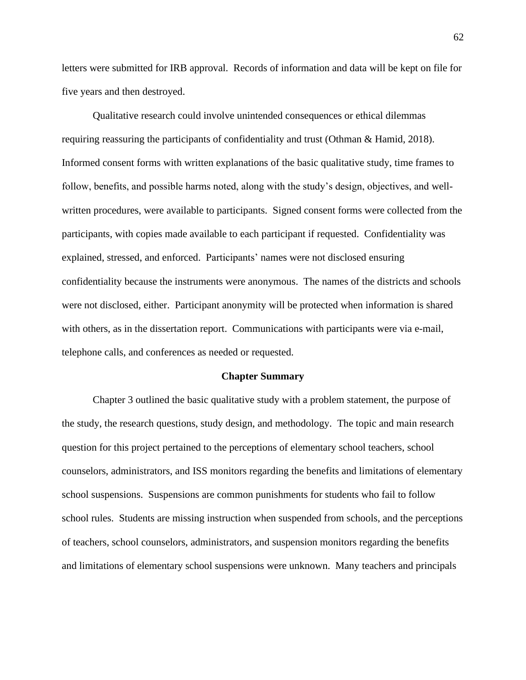letters were submitted for IRB approval. Records of information and data will be kept on file for five years and then destroyed.

Qualitative research could involve unintended consequences or ethical dilemmas requiring reassuring the participants of confidentiality and trust (Othman & Hamid, 2018). Informed consent forms with written explanations of the basic qualitative study, time frames to follow, benefits, and possible harms noted, along with the study's design, objectives, and wellwritten procedures, were available to participants. Signed consent forms were collected from the participants, with copies made available to each participant if requested. Confidentiality was explained, stressed, and enforced. Participants' names were not disclosed ensuring confidentiality because the instruments were anonymous. The names of the districts and schools were not disclosed, either. Participant anonymity will be protected when information is shared with others, as in the dissertation report. Communications with participants were via e-mail, telephone calls, and conferences as needed or requested.

#### **Chapter Summary**

Chapter 3 outlined the basic qualitative study with a problem statement, the purpose of the study, the research questions, study design, and methodology. The topic and main research question for this project pertained to the perceptions of elementary school teachers, school counselors, administrators, and ISS monitors regarding the benefits and limitations of elementary school suspensions. Suspensions are common punishments for students who fail to follow school rules. Students are missing instruction when suspended from schools, and the perceptions of teachers, school counselors, administrators, and suspension monitors regarding the benefits and limitations of elementary school suspensions were unknown. Many teachers and principals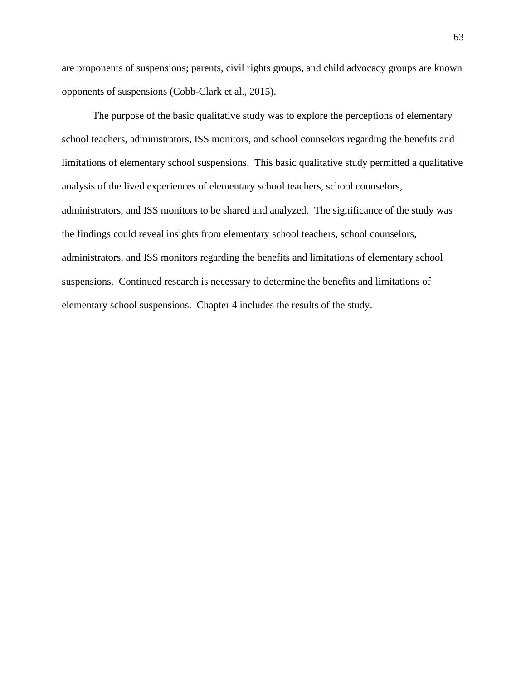are proponents of suspensions; parents, civil rights groups, and child advocacy groups are known opponents of suspensions (Cobb-Clark et al., 2015).

The purpose of the basic qualitative study was to explore the perceptions of elementary school teachers, administrators, ISS monitors, and school counselors regarding the benefits and limitations of elementary school suspensions. This basic qualitative study permitted a qualitative analysis of the lived experiences of elementary school teachers, school counselors, administrators, and ISS monitors to be shared and analyzed. The significance of the study was the findings could reveal insights from elementary school teachers, school counselors, administrators, and ISS monitors regarding the benefits and limitations of elementary school suspensions. Continued research is necessary to determine the benefits and limitations of elementary school suspensions. Chapter 4 includes the results of the study.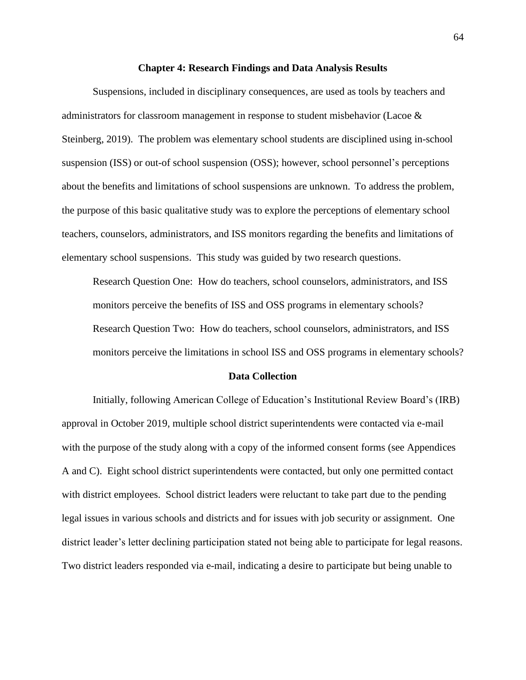#### **Chapter 4: Research Findings and Data Analysis Results**

Suspensions, included in disciplinary consequences, are used as tools by teachers and administrators for classroom management in response to student misbehavior (Lacoe & Steinberg, 2019). The problem was elementary school students are disciplined using in-school suspension (ISS) or out-of school suspension (OSS); however, school personnel's perceptions about the benefits and limitations of school suspensions are unknown. To address the problem, the purpose of this basic qualitative study was to explore the perceptions of elementary school teachers, counselors, administrators, and ISS monitors regarding the benefits and limitations of elementary school suspensions. This study was guided by two research questions.

Research Question One: How do teachers, school counselors, administrators, and ISS monitors perceive the benefits of ISS and OSS programs in elementary schools? Research Question Two: How do teachers, school counselors, administrators, and ISS monitors perceive the limitations in school ISS and OSS programs in elementary schools?

#### **Data Collection**

Initially, following American College of Education's Institutional Review Board's (IRB) approval in October 2019, multiple school district superintendents were contacted via e-mail with the purpose of the study along with a copy of the informed consent forms (see Appendices A and C). Eight school district superintendents were contacted, but only one permitted contact with district employees. School district leaders were reluctant to take part due to the pending legal issues in various schools and districts and for issues with job security or assignment. One district leader's letter declining participation stated not being able to participate for legal reasons. Two district leaders responded via e-mail, indicating a desire to participate but being unable to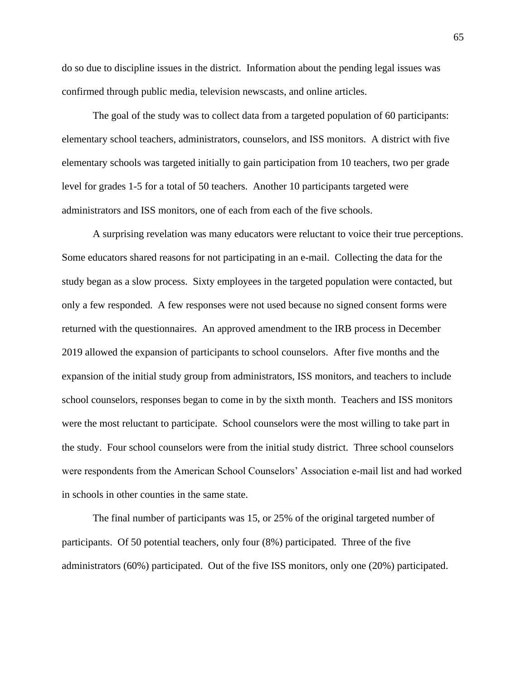do so due to discipline issues in the district. Information about the pending legal issues was confirmed through public media, television newscasts, and online articles.

The goal of the study was to collect data from a targeted population of 60 participants: elementary school teachers, administrators, counselors, and ISS monitors. A district with five elementary schools was targeted initially to gain participation from 10 teachers, two per grade level for grades 1-5 for a total of 50 teachers. Another 10 participants targeted were administrators and ISS monitors, one of each from each of the five schools.

A surprising revelation was many educators were reluctant to voice their true perceptions. Some educators shared reasons for not participating in an e-mail. Collecting the data for the study began as a slow process. Sixty employees in the targeted population were contacted, but only a few responded. A few responses were not used because no signed consent forms were returned with the questionnaires. An approved amendment to the IRB process in December 2019 allowed the expansion of participants to school counselors. After five months and the expansion of the initial study group from administrators, ISS monitors, and teachers to include school counselors, responses began to come in by the sixth month. Teachers and ISS monitors were the most reluctant to participate. School counselors were the most willing to take part in the study. Four school counselors were from the initial study district. Three school counselors were respondents from the American School Counselors' Association e-mail list and had worked in schools in other counties in the same state.

The final number of participants was 15, or 25% of the original targeted number of participants. Of 50 potential teachers, only four (8%) participated. Three of the five administrators (60%) participated. Out of the five ISS monitors, only one (20%) participated.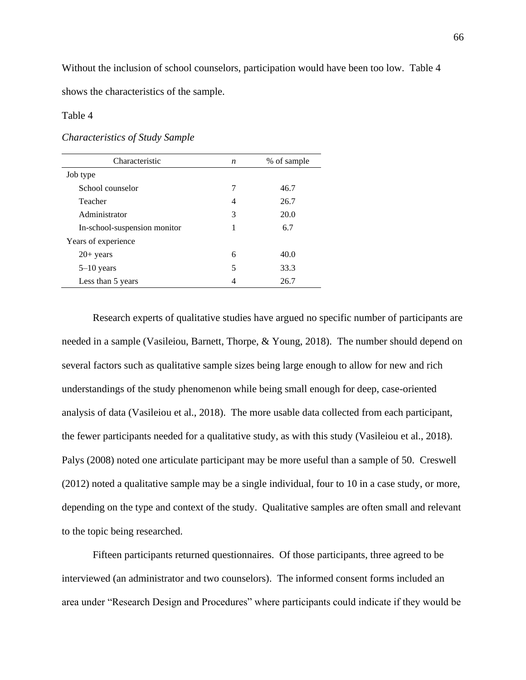Without the inclusion of school counselors, participation would have been too low. Table 4

shows the characteristics of the sample.

# Table 4

| Characteristic               | n | % of sample |
|------------------------------|---|-------------|
| Job type                     |   |             |
| School counselor             | 7 | 46.7        |
| Teacher                      | 4 | 26.7        |
| Administrator                | 3 | 20.0        |
| In-school-suspension monitor | 1 | 6.7         |
| Years of experience          |   |             |
| $20+$ years                  | 6 | 40.0        |
| $5-10$ years                 | 5 | 33.3        |
| Less than 5 years            |   | 26.7        |

## *Characteristics of Study Sample*

Research experts of qualitative studies have argued no specific number of participants are needed in a sample (Vasileiou, Barnett, Thorpe, & Young, 2018). The number should depend on several factors such as qualitative sample sizes being large enough to allow for new and rich understandings of the study phenomenon while being small enough for deep, case-oriented analysis of data (Vasileiou et al., 2018). The more usable data collected from each participant, the fewer participants needed for a qualitative study, as with this study (Vasileiou et al., 2018). Palys (2008) noted one articulate participant may be more useful than a sample of 50. Creswell (2012) noted a qualitative sample may be a single individual, four to 10 in a case study, or more, depending on the type and context of the study. Qualitative samples are often small and relevant to the topic being researched.

Fifteen participants returned questionnaires. Of those participants, three agreed to be interviewed (an administrator and two counselors). The informed consent forms included an area under "Research Design and Procedures" where participants could indicate if they would be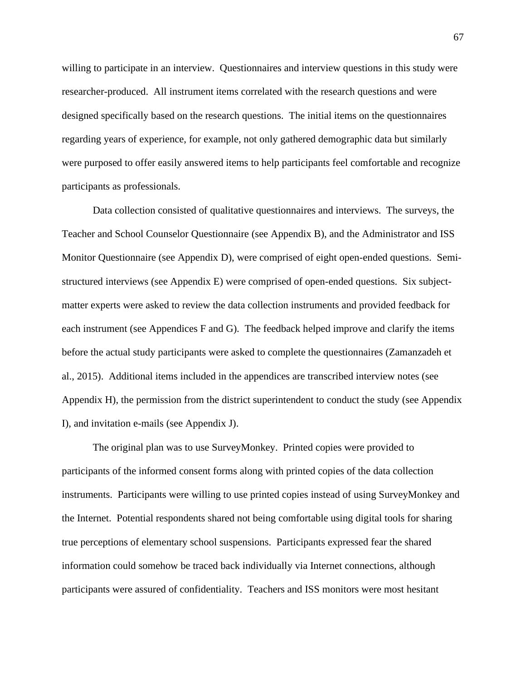willing to participate in an interview. Questionnaires and interview questions in this study were researcher-produced. All instrument items correlated with the research questions and were designed specifically based on the research questions. The initial items on the questionnaires regarding years of experience, for example, not only gathered demographic data but similarly were purposed to offer easily answered items to help participants feel comfortable and recognize participants as professionals.

Data collection consisted of qualitative questionnaires and interviews. The surveys, the Teacher and School Counselor Questionnaire (see Appendix B), and the Administrator and ISS Monitor Questionnaire (see Appendix D), were comprised of eight open-ended questions. Semistructured interviews (see Appendix E) were comprised of open-ended questions. Six subjectmatter experts were asked to review the data collection instruments and provided feedback for each instrument (see Appendices F and G). The feedback helped improve and clarify the items before the actual study participants were asked to complete the questionnaires (Zamanzadeh et al., 2015). Additional items included in the appendices are transcribed interview notes (see Appendix H), the permission from the district superintendent to conduct the study (see Appendix I), and invitation e-mails (see Appendix J).

The original plan was to use SurveyMonkey. Printed copies were provided to participants of the informed consent forms along with printed copies of the data collection instruments. Participants were willing to use printed copies instead of using SurveyMonkey and the Internet. Potential respondents shared not being comfortable using digital tools for sharing true perceptions of elementary school suspensions. Participants expressed fear the shared information could somehow be traced back individually via Internet connections, although participants were assured of confidentiality. Teachers and ISS monitors were most hesitant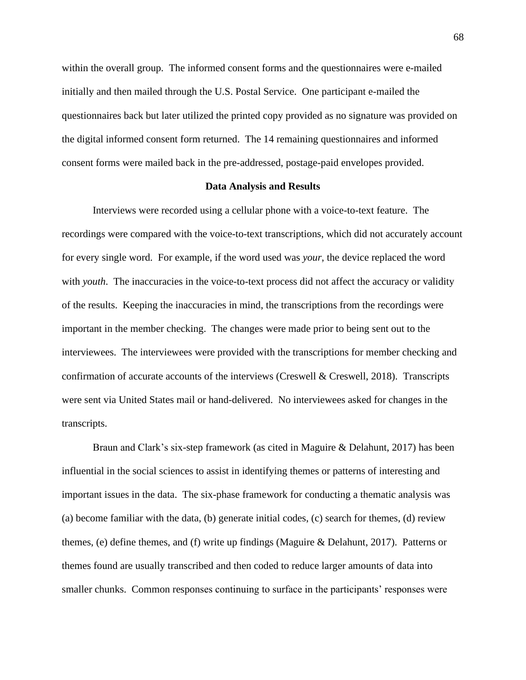within the overall group. The informed consent forms and the questionnaires were e-mailed initially and then mailed through the U.S. Postal Service. One participant e-mailed the questionnaires back but later utilized the printed copy provided as no signature was provided on the digital informed consent form returned. The 14 remaining questionnaires and informed consent forms were mailed back in the pre-addressed, postage-paid envelopes provided.

## **Data Analysis and Results**

Interviews were recorded using a cellular phone with a voice-to-text feature. The recordings were compared with the voice-to-text transcriptions, which did not accurately account for every single word. For example, if the word used was *your*, the device replaced the word with *youth*. The inaccuracies in the voice-to-text process did not affect the accuracy or validity of the results. Keeping the inaccuracies in mind, the transcriptions from the recordings were important in the member checking. The changes were made prior to being sent out to the interviewees. The interviewees were provided with the transcriptions for member checking and confirmation of accurate accounts of the interviews (Creswell & Creswell, 2018). Transcripts were sent via United States mail or hand-delivered. No interviewees asked for changes in the transcripts.

Braun and Clark's six-step framework (as cited in Maguire & Delahunt, 2017) has been influential in the social sciences to assist in identifying themes or patterns of interesting and important issues in the data. The six-phase framework for conducting a thematic analysis was (a) become familiar with the data, (b) generate initial codes, (c) search for themes, (d) review themes, (e) define themes, and (f) write up findings (Maguire & Delahunt, 2017). Patterns or themes found are usually transcribed and then coded to reduce larger amounts of data into smaller chunks. Common responses continuing to surface in the participants' responses were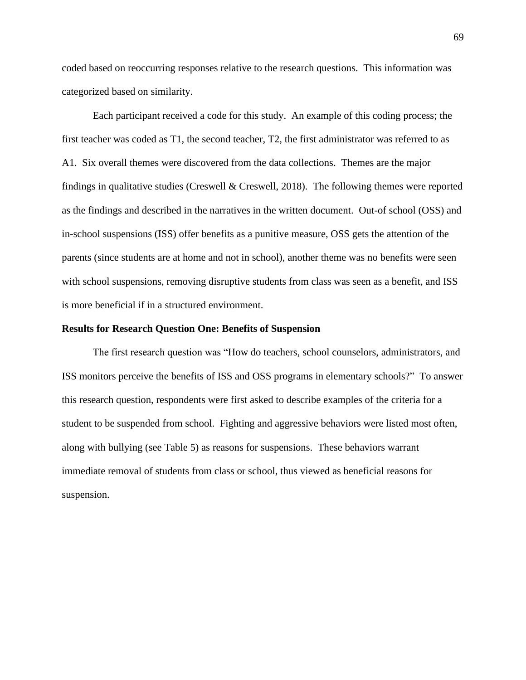coded based on reoccurring responses relative to the research questions. This information was categorized based on similarity.

Each participant received a code for this study. An example of this coding process; the first teacher was coded as T1, the second teacher, T2, the first administrator was referred to as A1. Six overall themes were discovered from the data collections. Themes are the major findings in qualitative studies (Creswell & Creswell, 2018). The following themes were reported as the findings and described in the narratives in the written document. Out-of school (OSS) and in-school suspensions (ISS) offer benefits as a punitive measure, OSS gets the attention of the parents (since students are at home and not in school), another theme was no benefits were seen with school suspensions, removing disruptive students from class was seen as a benefit, and ISS is more beneficial if in a structured environment.

## **Results for Research Question One: Benefits of Suspension**

The first research question was "How do teachers, school counselors, administrators, and ISS monitors perceive the benefits of ISS and OSS programs in elementary schools?" To answer this research question, respondents were first asked to describe examples of the criteria for a student to be suspended from school. Fighting and aggressive behaviors were listed most often, along with bullying (see Table 5) as reasons for suspensions. These behaviors warrant immediate removal of students from class or school, thus viewed as beneficial reasons for suspension.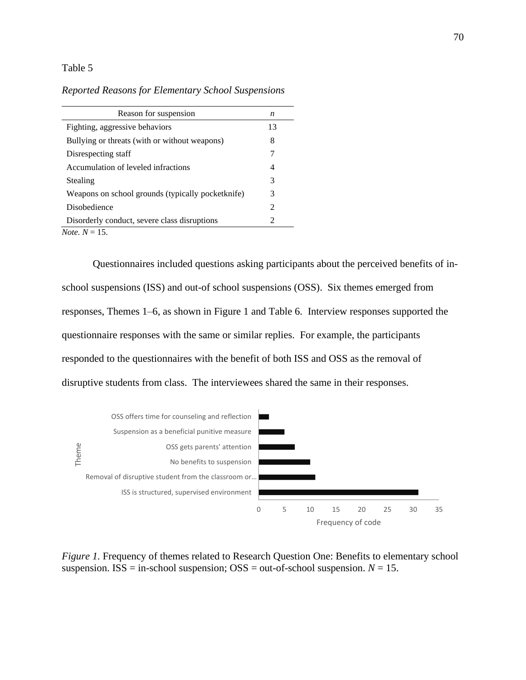### Table 5

| Reported Reasons for Elementary School Suspensions |  |  |  |
|----------------------------------------------------|--|--|--|
|----------------------------------------------------|--|--|--|

| Reason for suspension                             | n                           |
|---------------------------------------------------|-----------------------------|
| Fighting, aggressive behaviors                    | 13                          |
| Bullying or threats (with or without weapons)     | 8                           |
| Disrespecting staff                               | 7                           |
| Accumulation of leveled infractions               | 4                           |
| Stealing                                          | 3                           |
| Weapons on school grounds (typically pocketknife) | 3                           |
| Disobedience                                      | $\mathcal{D}_{\mathcal{L}}$ |
| Disorderly conduct, severe class disruptions      | 2                           |
| <i>Note</i> , $N = 15$ .                          |                             |

Questionnaires included questions asking participants about the perceived benefits of inschool suspensions (ISS) and out-of school suspensions (OSS). Six themes emerged from responses, Themes 1–6, as shown in Figure 1 and Table 6. Interview responses supported the questionnaire responses with the same or similar replies. For example, the participants responded to the questionnaires with the benefit of both ISS and OSS as the removal of disruptive students from class. The interviewees shared the same in their responses.



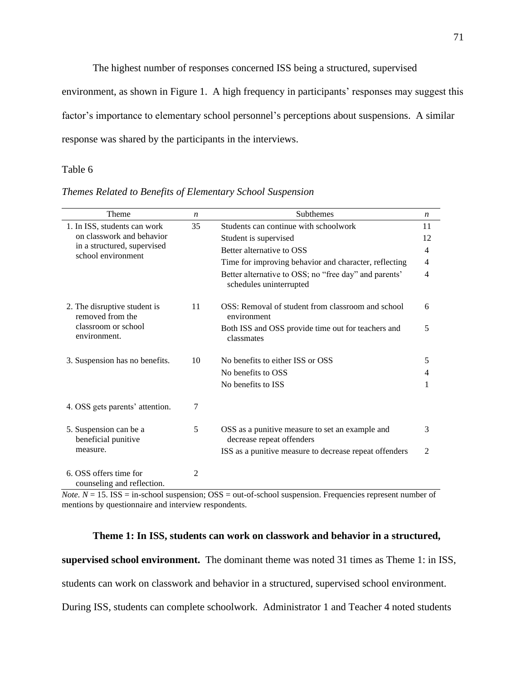The highest number of responses concerned ISS being a structured, supervised environment, as shown in Figure 1. A high frequency in participants' responses may suggest this factor's importance to elementary school personnel's perceptions about suspensions. A similar response was shared by the participants in the interviews.

# Table 6

| Theme                                                | $\boldsymbol{n}$ | Subthemes                                                                        | $\boldsymbol{n}$ |  |
|------------------------------------------------------|------------------|----------------------------------------------------------------------------------|------------------|--|
| 1. In ISS, students can work                         | 35               | Students can continue with schoolwork                                            |                  |  |
| on classwork and behavior                            |                  | Student is supervised                                                            | 12               |  |
| in a structured, supervised<br>school environment    |                  | Better alternative to OSS                                                        | $\overline{4}$   |  |
|                                                      |                  | Time for improving behavior and character, reflecting                            | $\overline{4}$   |  |
|                                                      |                  | Better alternative to OSS; no "free day" and parents'<br>schedules uninterrupted | $\overline{4}$   |  |
| 2. The disruptive student is<br>removed from the     | 11               | OSS: Removal of student from classroom and school<br>environment                 | 6                |  |
| classroom or school<br>environment.                  |                  | Both ISS and OSS provide time out for teachers and<br>classmates                 | 5                |  |
| 3. Suspension has no benefits.                       | 10               | No benefits to either ISS or OSS                                                 | 5                |  |
|                                                      |                  | No benefits to OSS                                                               | 4                |  |
|                                                      |                  | No benefits to ISS                                                               | 1                |  |
| 4. OSS gets parents' attention.                      | 7                |                                                                                  |                  |  |
| 5. Suspension can be a<br>beneficial punitive        | 5                | OSS as a punitive measure to set an example and<br>decrease repeat offenders     | 3                |  |
| measure.                                             |                  | ISS as a punitive measure to decrease repeat offenders                           | 2                |  |
| 6. OSS offers time for<br>counseling and reflection. | $\overline{2}$   |                                                                                  |                  |  |

*Themes Related to Benefits of Elementary School Suspension*

 $Note. N = 15. ISS = in-school suspension; OSS = out-of-school suspension. Frequencies represent number of$ mentions by questionnaire and interview respondents.

### **Theme 1: In ISS, students can work on classwork and behavior in a structured,**

**supervised school environment.** The dominant theme was noted 31 times as Theme 1: in ISS, students can work on classwork and behavior in a structured, supervised school environment. During ISS, students can complete schoolwork. Administrator 1 and Teacher 4 noted students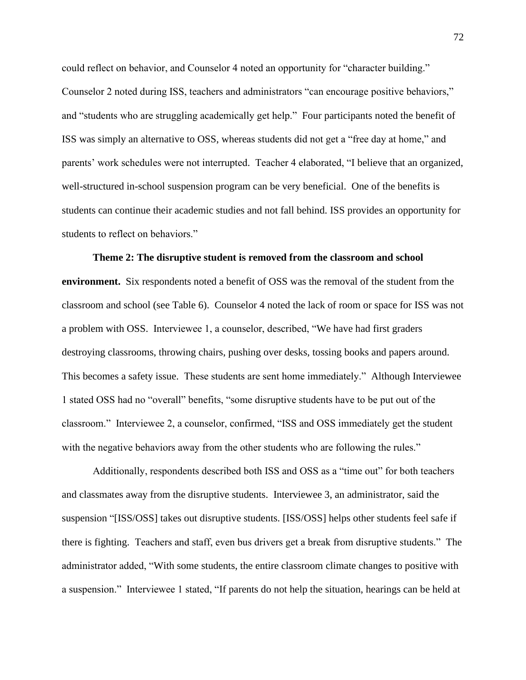could reflect on behavior, and Counselor 4 noted an opportunity for "character building." Counselor 2 noted during ISS, teachers and administrators "can encourage positive behaviors," and "students who are struggling academically get help." Four participants noted the benefit of ISS was simply an alternative to OSS, whereas students did not get a "free day at home," and parents' work schedules were not interrupted. Teacher 4 elaborated, "I believe that an organized, well-structured in-school suspension program can be very beneficial. One of the benefits is students can continue their academic studies and not fall behind. ISS provides an opportunity for students to reflect on behaviors."

#### **Theme 2: The disruptive student is removed from the classroom and school**

**environment.** Six respondents noted a benefit of OSS was the removal of the student from the classroom and school (see Table 6). Counselor 4 noted the lack of room or space for ISS was not a problem with OSS. Interviewee 1, a counselor, described, "We have had first graders destroying classrooms, throwing chairs, pushing over desks, tossing books and papers around. This becomes a safety issue. These students are sent home immediately." Although Interviewee 1 stated OSS had no "overall" benefits, "some disruptive students have to be put out of the classroom." Interviewee 2, a counselor, confirmed, "ISS and OSS immediately get the student with the negative behaviors away from the other students who are following the rules."

Additionally, respondents described both ISS and OSS as a "time out" for both teachers and classmates away from the disruptive students. Interviewee 3, an administrator, said the suspension "[ISS/OSS] takes out disruptive students. [ISS/OSS] helps other students feel safe if there is fighting. Teachers and staff, even bus drivers get a break from disruptive students." The administrator added, "With some students, the entire classroom climate changes to positive with a suspension." Interviewee 1 stated, "If parents do not help the situation, hearings can be held at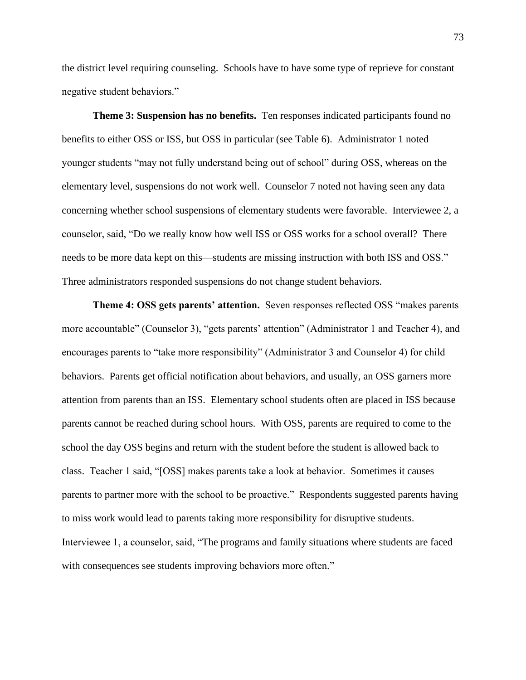the district level requiring counseling. Schools have to have some type of reprieve for constant negative student behaviors."

**Theme 3: Suspension has no benefits.** Ten responses indicated participants found no benefits to either OSS or ISS, but OSS in particular (see Table 6). Administrator 1 noted younger students "may not fully understand being out of school" during OSS, whereas on the elementary level, suspensions do not work well. Counselor 7 noted not having seen any data concerning whether school suspensions of elementary students were favorable. Interviewee 2, a counselor, said, "Do we really know how well ISS or OSS works for a school overall? There needs to be more data kept on this—students are missing instruction with both ISS and OSS." Three administrators responded suspensions do not change student behaviors.

**Theme 4: OSS gets parents' attention.** Seven responses reflected OSS "makes parents more accountable" (Counselor 3), "gets parents' attention" (Administrator 1 and Teacher 4), and encourages parents to "take more responsibility" (Administrator 3 and Counselor 4) for child behaviors. Parents get official notification about behaviors, and usually, an OSS garners more attention from parents than an ISS. Elementary school students often are placed in ISS because parents cannot be reached during school hours. With OSS, parents are required to come to the school the day OSS begins and return with the student before the student is allowed back to class. Teacher 1 said, "[OSS] makes parents take a look at behavior. Sometimes it causes parents to partner more with the school to be proactive." Respondents suggested parents having to miss work would lead to parents taking more responsibility for disruptive students. Interviewee 1, a counselor, said, "The programs and family situations where students are faced with consequences see students improving behaviors more often."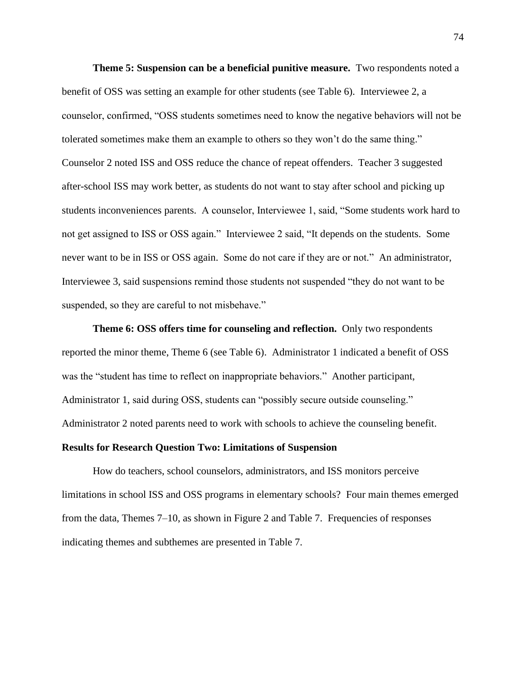**Theme 5: Suspension can be a beneficial punitive measure.** Two respondents noted a benefit of OSS was setting an example for other students (see Table 6). Interviewee 2, a counselor, confirmed, "OSS students sometimes need to know the negative behaviors will not be tolerated sometimes make them an example to others so they won't do the same thing." Counselor 2 noted ISS and OSS reduce the chance of repeat offenders. Teacher 3 suggested after-school ISS may work better, as students do not want to stay after school and picking up students inconveniences parents. A counselor, Interviewee 1, said, "Some students work hard to not get assigned to ISS or OSS again." Interviewee 2 said, "It depends on the students. Some never want to be in ISS or OSS again. Some do not care if they are or not." An administrator, Interviewee 3, said suspensions remind those students not suspended "they do not want to be suspended, so they are careful to not misbehave."

**Theme 6: OSS offers time for counseling and reflection.** Only two respondents reported the minor theme, Theme 6 (see Table 6). Administrator 1 indicated a benefit of OSS was the "student has time to reflect on inappropriate behaviors." Another participant, Administrator 1, said during OSS, students can "possibly secure outside counseling." Administrator 2 noted parents need to work with schools to achieve the counseling benefit.

## **Results for Research Question Two: Limitations of Suspension**

How do teachers, school counselors, administrators, and ISS monitors perceive limitations in school ISS and OSS programs in elementary schools? Four main themes emerged from the data, Themes 7–10, as shown in Figure 2 and Table 7. Frequencies of responses indicating themes and subthemes are presented in Table 7.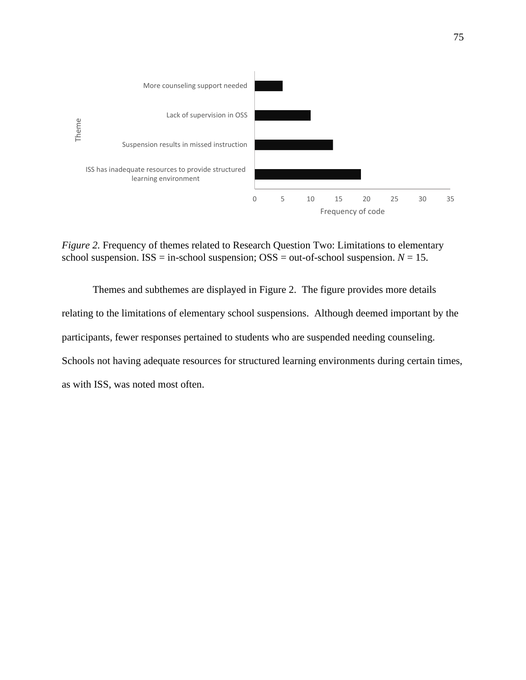

*Figure 2.* Frequency of themes related to Research Question Two: Limitations to elementary school suspension. ISS = in-school suspension;  $OSS = out-of-school$  suspension.  $N = 15$ .

Themes and subthemes are displayed in Figure 2. The figure provides more details relating to the limitations of elementary school suspensions. Although deemed important by the participants, fewer responses pertained to students who are suspended needing counseling. Schools not having adequate resources for structured learning environments during certain times, as with ISS, was noted most often.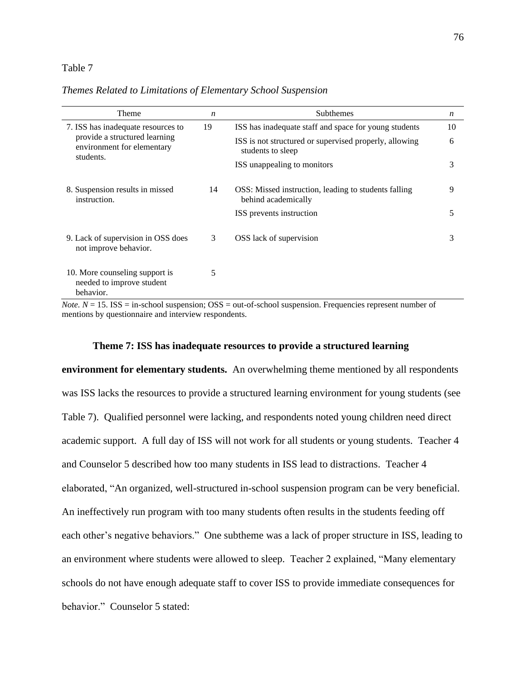#### Table 7

|  |  | Themes Related to Limitations of Elementary School Suspension |  |  |
|--|--|---------------------------------------------------------------|--|--|
|  |  |                                                               |  |  |

| Theme                                                                    | $\boldsymbol{n}$ | <b>Subthemes</b>                                                            | n  |
|--------------------------------------------------------------------------|------------------|-----------------------------------------------------------------------------|----|
| 7. ISS has inadequate resources to                                       | 19               | ISS has inadequate staff and space for young students                       | 10 |
| provide a structured learning<br>environment for elementary<br>students. |                  | ISS is not structured or supervised properly, allowing<br>students to sleep | 6  |
|                                                                          |                  | ISS unappealing to monitors                                                 | 3  |
| 8. Suspension results in missed<br>instruction.                          | 14               | OSS: Missed instruction, leading to students falling<br>behind academically | 9  |
|                                                                          |                  | ISS prevents instruction                                                    | 5  |
| 9. Lack of supervision in OSS does<br>not improve behavior.              | 3                | OSS lack of supervision                                                     | 3  |
| 10. More counseling support is<br>needed to improve student<br>behavior. | 5                |                                                                             |    |

*Note.*  $N = 15$ . ISS = in-school suspension;  $OSS = out-of-school$  suspension. Frequencies represent number of mentions by questionnaire and interview respondents.

### **Theme 7: ISS has inadequate resources to provide a structured learning**

**environment for elementary students.** An overwhelming theme mentioned by all respondents was ISS lacks the resources to provide a structured learning environment for young students (see Table 7). Qualified personnel were lacking, and respondents noted young children need direct academic support. A full day of ISS will not work for all students or young students. Teacher 4 and Counselor 5 described how too many students in ISS lead to distractions. Teacher 4 elaborated, "An organized, well-structured in-school suspension program can be very beneficial. An ineffectively run program with too many students often results in the students feeding off each other's negative behaviors." One subtheme was a lack of proper structure in ISS, leading to an environment where students were allowed to sleep. Teacher 2 explained, "Many elementary schools do not have enough adequate staff to cover ISS to provide immediate consequences for behavior." Counselor 5 stated: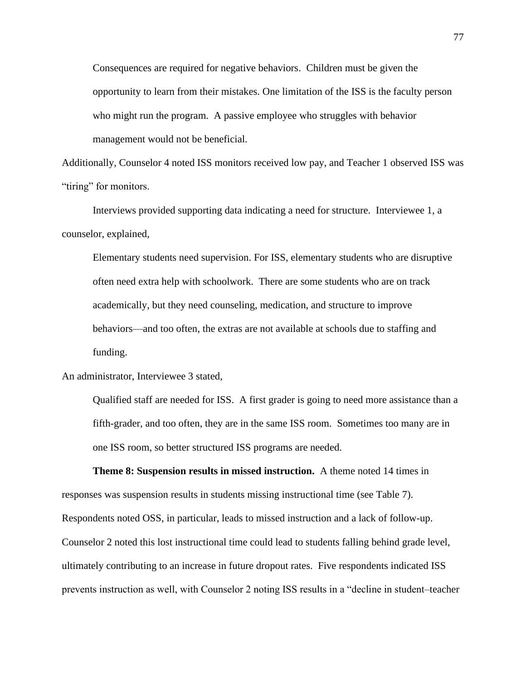Consequences are required for negative behaviors. Children must be given the opportunity to learn from their mistakes. One limitation of the ISS is the faculty person who might run the program. A passive employee who struggles with behavior management would not be beneficial.

Additionally, Counselor 4 noted ISS monitors received low pay, and Teacher 1 observed ISS was "tiring" for monitors.

Interviews provided supporting data indicating a need for structure. Interviewee 1, a counselor, explained,

Elementary students need supervision. For ISS, elementary students who are disruptive often need extra help with schoolwork. There are some students who are on track academically, but they need counseling, medication, and structure to improve behaviors—and too often, the extras are not available at schools due to staffing and funding.

An administrator, Interviewee 3 stated,

Qualified staff are needed for ISS. A first grader is going to need more assistance than a fifth-grader, and too often, they are in the same ISS room. Sometimes too many are in one ISS room, so better structured ISS programs are needed.

**Theme 8: Suspension results in missed instruction.** A theme noted 14 times in responses was suspension results in students missing instructional time (see Table 7). Respondents noted OSS, in particular, leads to missed instruction and a lack of follow-up. Counselor 2 noted this lost instructional time could lead to students falling behind grade level, ultimately contributing to an increase in future dropout rates. Five respondents indicated ISS prevents instruction as well, with Counselor 2 noting ISS results in a "decline in student–teacher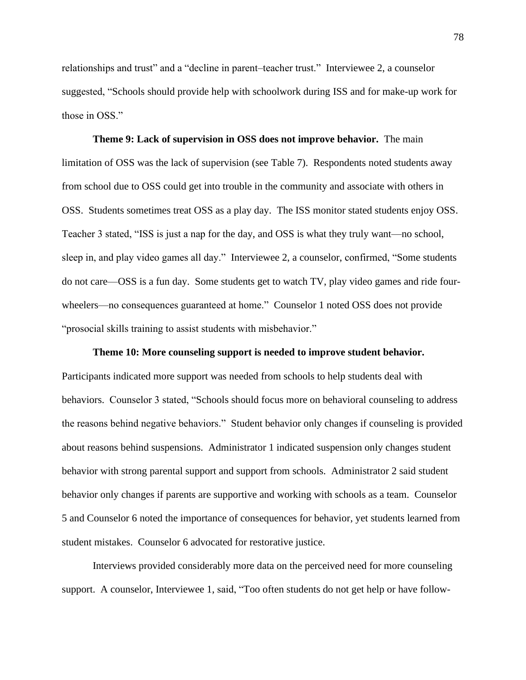relationships and trust" and a "decline in parent–teacher trust." Interviewee 2, a counselor suggested, "Schools should provide help with schoolwork during ISS and for make-up work for those in OSS."

**Theme 9: Lack of supervision in OSS does not improve behavior.** The main limitation of OSS was the lack of supervision (see Table 7). Respondents noted students away from school due to OSS could get into trouble in the community and associate with others in OSS. Students sometimes treat OSS as a play day. The ISS monitor stated students enjoy OSS. Teacher 3 stated, "ISS is just a nap for the day, and OSS is what they truly want—no school, sleep in, and play video games all day." Interviewee 2, a counselor, confirmed, "Some students do not care—OSS is a fun day. Some students get to watch TV, play video games and ride fourwheelers—no consequences guaranteed at home." Counselor 1 noted OSS does not provide "prosocial skills training to assist students with misbehavior."

### **Theme 10: More counseling support is needed to improve student behavior.**

Participants indicated more support was needed from schools to help students deal with behaviors. Counselor 3 stated, "Schools should focus more on behavioral counseling to address the reasons behind negative behaviors." Student behavior only changes if counseling is provided about reasons behind suspensions. Administrator 1 indicated suspension only changes student behavior with strong parental support and support from schools. Administrator 2 said student behavior only changes if parents are supportive and working with schools as a team. Counselor 5 and Counselor 6 noted the importance of consequences for behavior, yet students learned from student mistakes. Counselor 6 advocated for restorative justice.

Interviews provided considerably more data on the perceived need for more counseling support. A counselor, Interviewee 1, said, "Too often students do not get help or have follow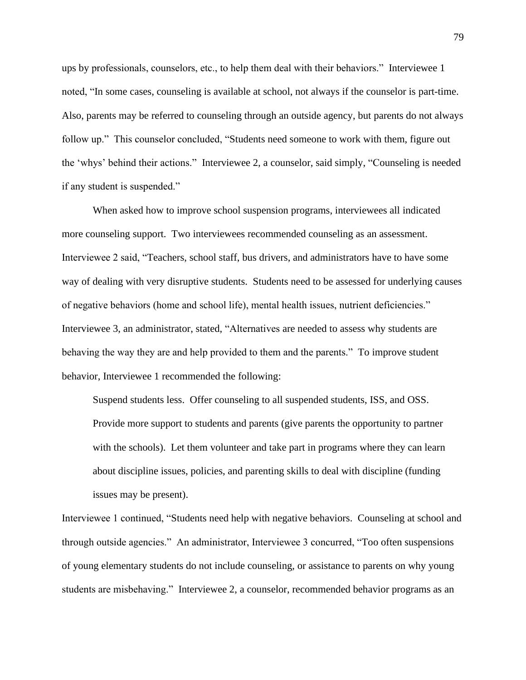ups by professionals, counselors, etc., to help them deal with their behaviors." Interviewee 1 noted, "In some cases, counseling is available at school, not always if the counselor is part-time. Also, parents may be referred to counseling through an outside agency, but parents do not always follow up." This counselor concluded, "Students need someone to work with them, figure out the 'whys' behind their actions." Interviewee 2, a counselor, said simply, "Counseling is needed if any student is suspended."

When asked how to improve school suspension programs, interviewees all indicated more counseling support. Two interviewees recommended counseling as an assessment. Interviewee 2 said, "Teachers, school staff, bus drivers, and administrators have to have some way of dealing with very disruptive students. Students need to be assessed for underlying causes of negative behaviors (home and school life), mental health issues, nutrient deficiencies." Interviewee 3, an administrator, stated, "Alternatives are needed to assess why students are behaving the way they are and help provided to them and the parents." To improve student behavior, Interviewee 1 recommended the following:

Suspend students less. Offer counseling to all suspended students, ISS, and OSS. Provide more support to students and parents (give parents the opportunity to partner with the schools). Let them volunteer and take part in programs where they can learn about discipline issues, policies, and parenting skills to deal with discipline (funding issues may be present).

Interviewee 1 continued, "Students need help with negative behaviors. Counseling at school and through outside agencies." An administrator, Interviewee 3 concurred, "Too often suspensions of young elementary students do not include counseling, or assistance to parents on why young students are misbehaving." Interviewee 2, a counselor, recommended behavior programs as an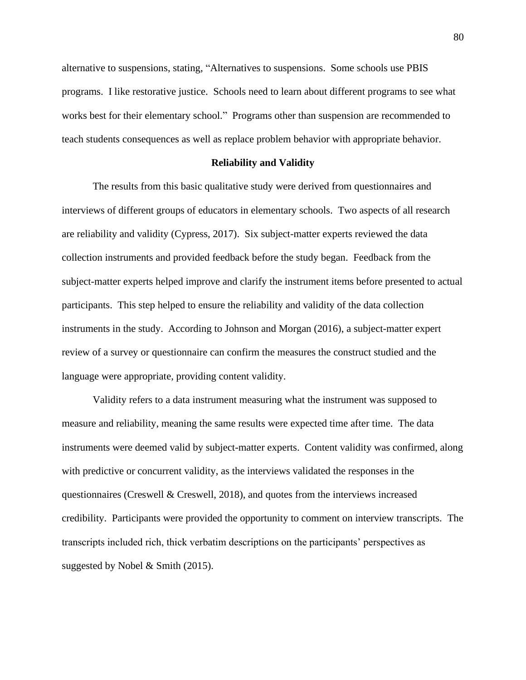alternative to suspensions, stating, "Alternatives to suspensions. Some schools use PBIS programs. I like restorative justice. Schools need to learn about different programs to see what works best for their elementary school." Programs other than suspension are recommended to teach students consequences as well as replace problem behavior with appropriate behavior.

#### **Reliability and Validity**

The results from this basic qualitative study were derived from questionnaires and interviews of different groups of educators in elementary schools. Two aspects of all research are reliability and validity (Cypress, 2017). Six subject-matter experts reviewed the data collection instruments and provided feedback before the study began. Feedback from the subject-matter experts helped improve and clarify the instrument items before presented to actual participants. This step helped to ensure the reliability and validity of the data collection instruments in the study. According to Johnson and Morgan (2016), a subject-matter expert review of a survey or questionnaire can confirm the measures the construct studied and the language were appropriate, providing content validity.

Validity refers to a data instrument measuring what the instrument was supposed to measure and reliability, meaning the same results were expected time after time. The data instruments were deemed valid by subject-matter experts. Content validity was confirmed, along with predictive or concurrent validity, as the interviews validated the responses in the questionnaires (Creswell & Creswell, 2018), and quotes from the interviews increased credibility. Participants were provided the opportunity to comment on interview transcripts. The transcripts included rich, thick verbatim descriptions on the participants' perspectives as suggested by Nobel & Smith (2015).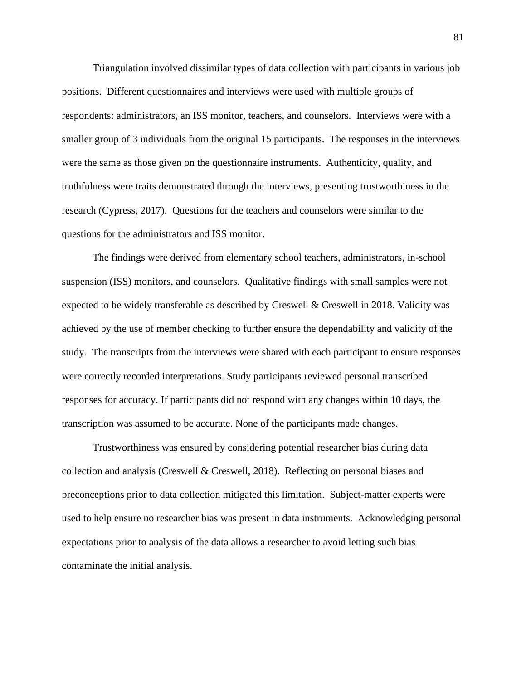Triangulation involved dissimilar types of data collection with participants in various job positions. Different questionnaires and interviews were used with multiple groups of respondents: administrators, an ISS monitor, teachers, and counselors. Interviews were with a smaller group of 3 individuals from the original 15 participants. The responses in the interviews were the same as those given on the questionnaire instruments. Authenticity, quality, and truthfulness were traits demonstrated through the interviews, presenting trustworthiness in the research (Cypress, 2017). Questions for the teachers and counselors were similar to the questions for the administrators and ISS monitor.

The findings were derived from elementary school teachers, administrators, in-school suspension (ISS) monitors, and counselors. Qualitative findings with small samples were not expected to be widely transferable as described by Creswell & Creswell in 2018. Validity was achieved by the use of member checking to further ensure the dependability and validity of the study. The transcripts from the interviews were shared with each participant to ensure responses were correctly recorded interpretations. Study participants reviewed personal transcribed responses for accuracy. If participants did not respond with any changes within 10 days, the transcription was assumed to be accurate. None of the participants made changes.

Trustworthiness was ensured by considering potential researcher bias during data collection and analysis (Creswell & Creswell, 2018). Reflecting on personal biases and preconceptions prior to data collection mitigated this limitation. Subject-matter experts were used to help ensure no researcher bias was present in data instruments. Acknowledging personal expectations prior to analysis of the data allows a researcher to avoid letting such bias contaminate the initial analysis.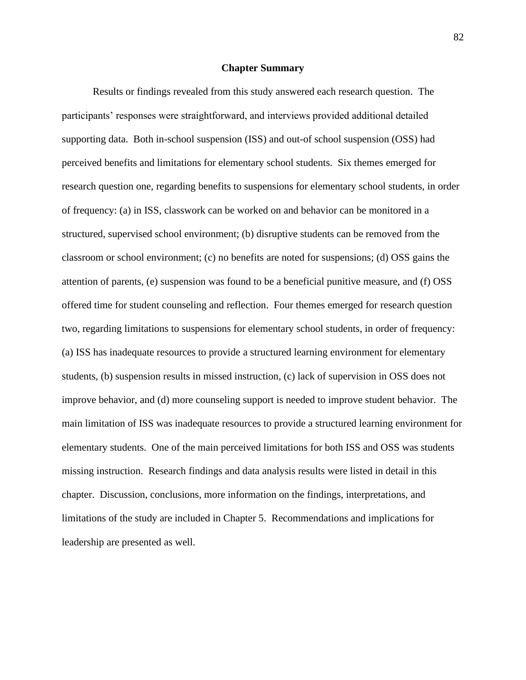#### **Chapter Summary**

Results or findings revealed from this study answered each research question. The participants' responses were straightforward, and interviews provided additional detailed supporting data. Both in-school suspension (ISS) and out-of school suspension (OSS) had perceived benefits and limitations for elementary school students. Six themes emerged for research question one, regarding benefits to suspensions for elementary school students, in order of frequency: (a) in ISS, classwork can be worked on and behavior can be monitored in a structured, supervised school environment; (b) disruptive students can be removed from the classroom or school environment; (c) no benefits are noted for suspensions; (d) OSS gains the attention of parents, (e) suspension was found to be a beneficial punitive measure, and (f) OSS offered time for student counseling and reflection. Four themes emerged for research question two, regarding limitations to suspensions for elementary school students, in order of frequency: (a) ISS has inadequate resources to provide a structured learning environment for elementary students, (b) suspension results in missed instruction, (c) lack of supervision in OSS does not improve behavior, and (d) more counseling support is needed to improve student behavior. The main limitation of ISS was inadequate resources to provide a structured learning environment for elementary students. One of the main perceived limitations for both ISS and OSS was students missing instruction. Research findings and data analysis results were listed in detail in this chapter. Discussion, conclusions, more information on the findings, interpretations, and limitations of the study are included in Chapter 5. Recommendations and implications for leadership are presented as well.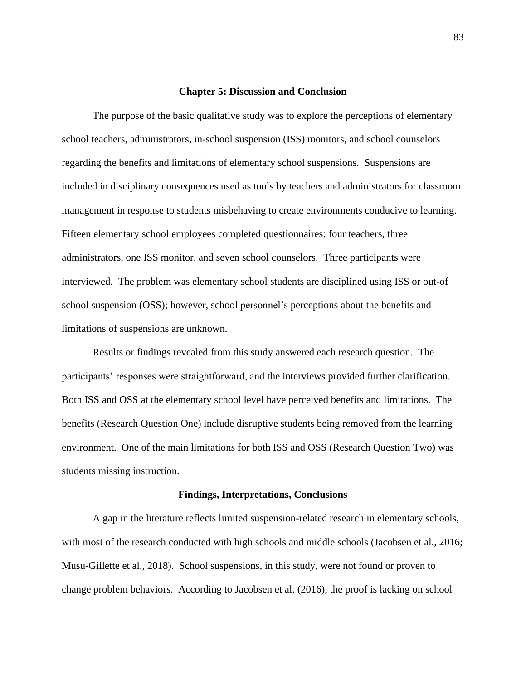### **Chapter 5: Discussion and Conclusion**

The purpose of the basic qualitative study was to explore the perceptions of elementary school teachers, administrators, in-school suspension (ISS) monitors, and school counselors regarding the benefits and limitations of elementary school suspensions. Suspensions are included in disciplinary consequences used as tools by teachers and administrators for classroom management in response to students misbehaving to create environments conducive to learning. Fifteen elementary school employees completed questionnaires: four teachers, three administrators, one ISS monitor, and seven school counselors. Three participants were interviewed. The problem was elementary school students are disciplined using ISS or out-of school suspension (OSS); however, school personnel's perceptions about the benefits and limitations of suspensions are unknown.

Results or findings revealed from this study answered each research question. The participants' responses were straightforward, and the interviews provided further clarification. Both ISS and OSS at the elementary school level have perceived benefits and limitations. The benefits (Research Question One) include disruptive students being removed from the learning environment. One of the main limitations for both ISS and OSS (Research Question Two) was students missing instruction.

#### **Findings, Interpretations, Conclusions**

A gap in the literature reflects limited suspension-related research in elementary schools, with most of the research conducted with high schools and middle schools (Jacobsen et al., 2016; Musu-Gillette et al., 2018). School suspensions, in this study, were not found or proven to change problem behaviors. According to Jacobsen et al. (2016), the proof is lacking on school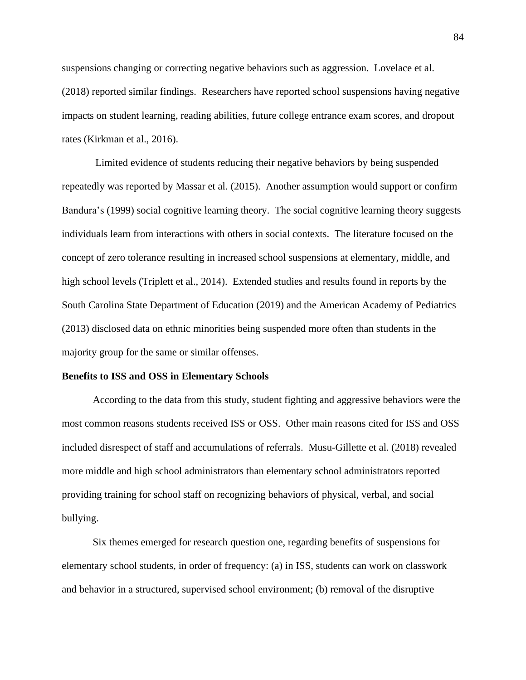suspensions changing or correcting negative behaviors such as aggression. Lovelace et al. (2018) reported similar findings. Researchers have reported school suspensions having negative impacts on student learning, reading abilities, future college entrance exam scores, and dropout rates (Kirkman et al., 2016).

Limited evidence of students reducing their negative behaviors by being suspended repeatedly was reported by Massar et al. (2015). Another assumption would support or confirm Bandura's (1999) social cognitive learning theory. The social cognitive learning theory suggests individuals learn from interactions with others in social contexts. The literature focused on the concept of zero tolerance resulting in increased school suspensions at elementary, middle, and high school levels (Triplett et al., 2014). Extended studies and results found in reports by the South Carolina State Department of Education (2019) and the American Academy of Pediatrics (2013) disclosed data on ethnic minorities being suspended more often than students in the majority group for the same or similar offenses.

#### **Benefits to ISS and OSS in Elementary Schools**

According to the data from this study, student fighting and aggressive behaviors were the most common reasons students received ISS or OSS. Other main reasons cited for ISS and OSS included disrespect of staff and accumulations of referrals. Musu-Gillette et al. (2018) revealed more middle and high school administrators than elementary school administrators reported providing training for school staff on recognizing behaviors of physical, verbal, and social bullying.

Six themes emerged for research question one, regarding benefits of suspensions for elementary school students, in order of frequency: (a) in ISS, students can work on classwork and behavior in a structured, supervised school environment; (b) removal of the disruptive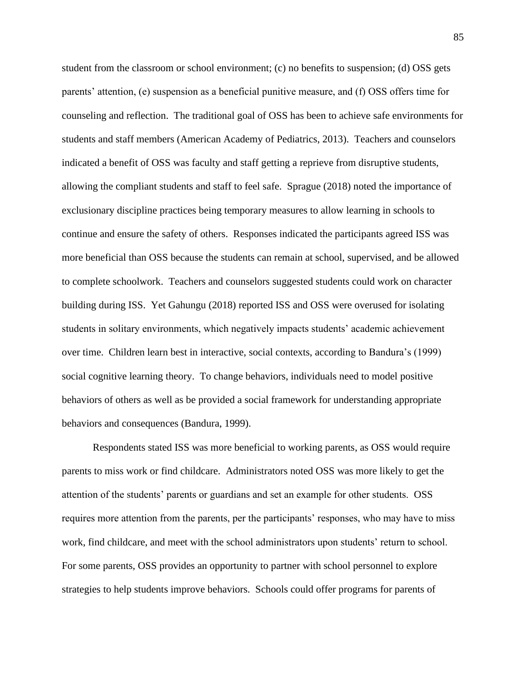student from the classroom or school environment; (c) no benefits to suspension; (d) OSS gets parents' attention, (e) suspension as a beneficial punitive measure, and (f) OSS offers time for counseling and reflection. The traditional goal of OSS has been to achieve safe environments for students and staff members (American Academy of Pediatrics, 2013). Teachers and counselors indicated a benefit of OSS was faculty and staff getting a reprieve from disruptive students, allowing the compliant students and staff to feel safe. Sprague (2018) noted the importance of exclusionary discipline practices being temporary measures to allow learning in schools to continue and ensure the safety of others. Responses indicated the participants agreed ISS was more beneficial than OSS because the students can remain at school, supervised, and be allowed to complete schoolwork. Teachers and counselors suggested students could work on character building during ISS. Yet Gahungu (2018) reported ISS and OSS were overused for isolating students in solitary environments, which negatively impacts students' academic achievement over time. Children learn best in interactive, social contexts, according to Bandura's (1999) social cognitive learning theory. To change behaviors, individuals need to model positive behaviors of others as well as be provided a social framework for understanding appropriate behaviors and consequences (Bandura, 1999).

Respondents stated ISS was more beneficial to working parents, as OSS would require parents to miss work or find childcare. Administrators noted OSS was more likely to get the attention of the students' parents or guardians and set an example for other students. OSS requires more attention from the parents, per the participants' responses, who may have to miss work, find childcare, and meet with the school administrators upon students' return to school. For some parents, OSS provides an opportunity to partner with school personnel to explore strategies to help students improve behaviors. Schools could offer programs for parents of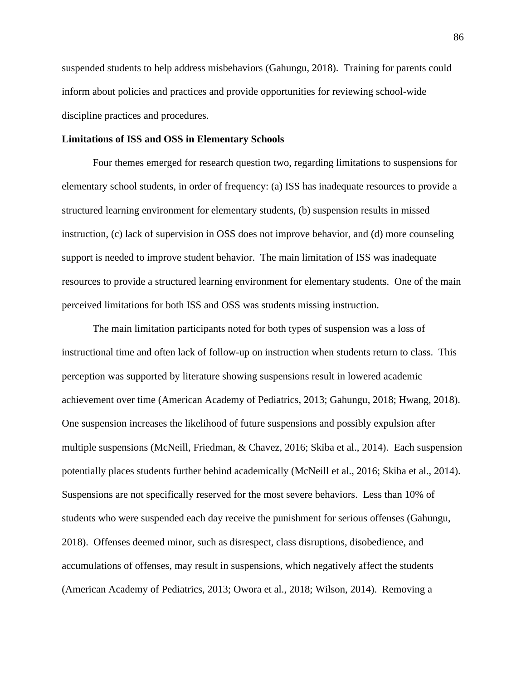suspended students to help address misbehaviors (Gahungu, 2018). Training for parents could inform about policies and practices and provide opportunities for reviewing school-wide discipline practices and procedures.

#### **Limitations of ISS and OSS in Elementary Schools**

Four themes emerged for research question two, regarding limitations to suspensions for elementary school students, in order of frequency: (a) ISS has inadequate resources to provide a structured learning environment for elementary students, (b) suspension results in missed instruction, (c) lack of supervision in OSS does not improve behavior, and (d) more counseling support is needed to improve student behavior. The main limitation of ISS was inadequate resources to provide a structured learning environment for elementary students. One of the main perceived limitations for both ISS and OSS was students missing instruction.

The main limitation participants noted for both types of suspension was a loss of instructional time and often lack of follow-up on instruction when students return to class. This perception was supported by literature showing suspensions result in lowered academic achievement over time (American Academy of Pediatrics, 2013; Gahungu, 2018; Hwang, 2018). One suspension increases the likelihood of future suspensions and possibly expulsion after multiple suspensions (McNeill, Friedman, & Chavez, 2016; Skiba et al., 2014). Each suspension potentially places students further behind academically (McNeill et al., 2016; Skiba et al., 2014). Suspensions are not specifically reserved for the most severe behaviors. Less than 10% of students who were suspended each day receive the punishment for serious offenses (Gahungu, 2018). Offenses deemed minor, such as disrespect, class disruptions, disobedience, and accumulations of offenses, may result in suspensions, which negatively affect the students (American Academy of Pediatrics, 2013; Owora et al., 2018; Wilson, 2014). Removing a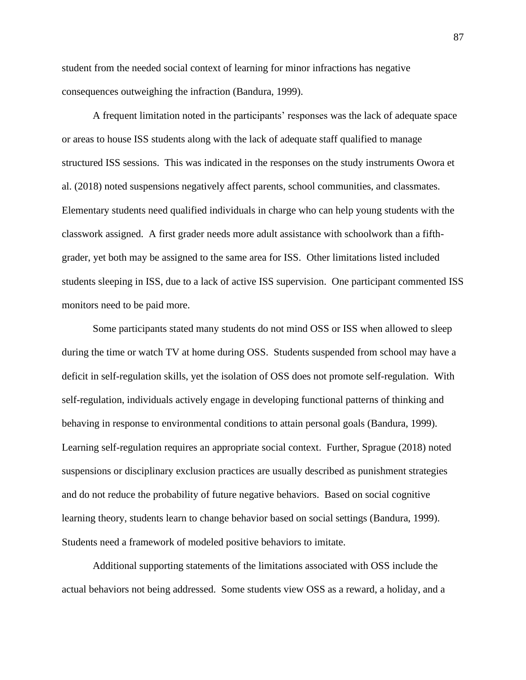student from the needed social context of learning for minor infractions has negative consequences outweighing the infraction (Bandura, 1999).

A frequent limitation noted in the participants' responses was the lack of adequate space or areas to house ISS students along with the lack of adequate staff qualified to manage structured ISS sessions. This was indicated in the responses on the study instruments Owora et al. (2018) noted suspensions negatively affect parents, school communities, and classmates. Elementary students need qualified individuals in charge who can help young students with the classwork assigned. A first grader needs more adult assistance with schoolwork than a fifthgrader, yet both may be assigned to the same area for ISS. Other limitations listed included students sleeping in ISS, due to a lack of active ISS supervision. One participant commented ISS monitors need to be paid more.

Some participants stated many students do not mind OSS or ISS when allowed to sleep during the time or watch TV at home during OSS. Students suspended from school may have a deficit in self-regulation skills, yet the isolation of OSS does not promote self-regulation. With self-regulation, individuals actively engage in developing functional patterns of thinking and behaving in response to environmental conditions to attain personal goals (Bandura, 1999). Learning self-regulation requires an appropriate social context. Further, Sprague (2018) noted suspensions or disciplinary exclusion practices are usually described as punishment strategies and do not reduce the probability of future negative behaviors. Based on social cognitive learning theory, students learn to change behavior based on social settings (Bandura, 1999). Students need a framework of modeled positive behaviors to imitate.

Additional supporting statements of the limitations associated with OSS include the actual behaviors not being addressed. Some students view OSS as a reward, a holiday, and a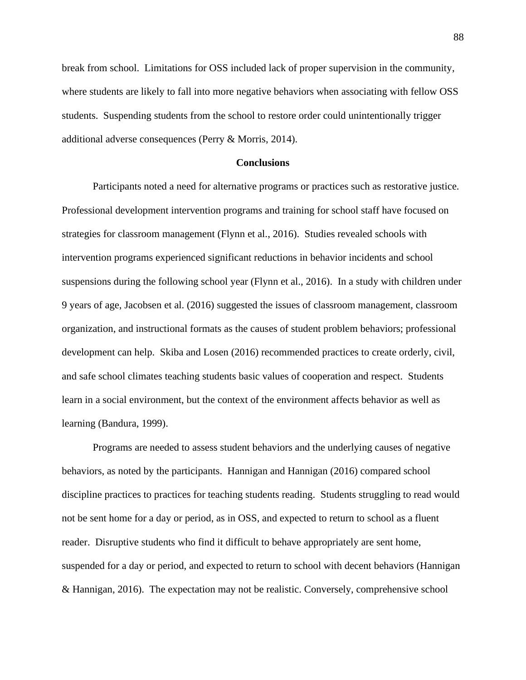break from school. Limitations for OSS included lack of proper supervision in the community, where students are likely to fall into more negative behaviors when associating with fellow OSS students. Suspending students from the school to restore order could unintentionally trigger additional adverse consequences (Perry & Morris, 2014).

### **Conclusions**

Participants noted a need for alternative programs or practices such as restorative justice. Professional development intervention programs and training for school staff have focused on strategies for classroom management (Flynn et al., 2016). Studies revealed schools with intervention programs experienced significant reductions in behavior incidents and school suspensions during the following school year (Flynn et al., 2016). In a study with children under 9 years of age, Jacobsen et al. (2016) suggested the issues of classroom management, classroom organization, and instructional formats as the causes of student problem behaviors; professional development can help. Skiba and Losen (2016) recommended practices to create orderly, civil, and safe school climates teaching students basic values of cooperation and respect. Students learn in a social environment, but the context of the environment affects behavior as well as learning (Bandura, 1999).

Programs are needed to assess student behaviors and the underlying causes of negative behaviors, as noted by the participants. Hannigan and Hannigan (2016) compared school discipline practices to practices for teaching students reading. Students struggling to read would not be sent home for a day or period, as in OSS, and expected to return to school as a fluent reader. Disruptive students who find it difficult to behave appropriately are sent home, suspended for a day or period, and expected to return to school with decent behaviors (Hannigan & Hannigan, 2016). The expectation may not be realistic. Conversely, comprehensive school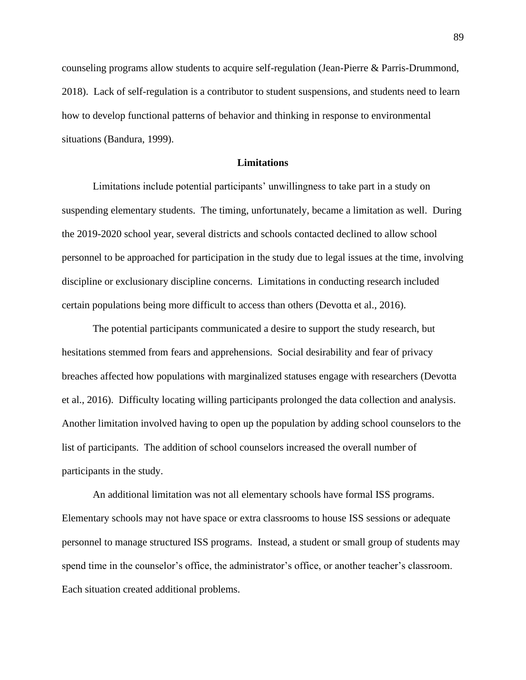counseling programs allow students to acquire self-regulation (Jean-Pierre & Parris-Drummond, 2018). Lack of self-regulation is a contributor to student suspensions, and students need to learn how to develop functional patterns of behavior and thinking in response to environmental situations (Bandura, 1999).

## **Limitations**

Limitations include potential participants' unwillingness to take part in a study on suspending elementary students. The timing, unfortunately, became a limitation as well. During the 2019-2020 school year, several districts and schools contacted declined to allow school personnel to be approached for participation in the study due to legal issues at the time, involving discipline or exclusionary discipline concerns. Limitations in conducting research included certain populations being more difficult to access than others (Devotta et al., 2016).

The potential participants communicated a desire to support the study research, but hesitations stemmed from fears and apprehensions. Social desirability and fear of privacy breaches affected how populations with marginalized statuses engage with researchers (Devotta et al., 2016). Difficulty locating willing participants prolonged the data collection and analysis. Another limitation involved having to open up the population by adding school counselors to the list of participants. The addition of school counselors increased the overall number of participants in the study.

An additional limitation was not all elementary schools have formal ISS programs. Elementary schools may not have space or extra classrooms to house ISS sessions or adequate personnel to manage structured ISS programs. Instead, a student or small group of students may spend time in the counselor's office, the administrator's office, or another teacher's classroom. Each situation created additional problems.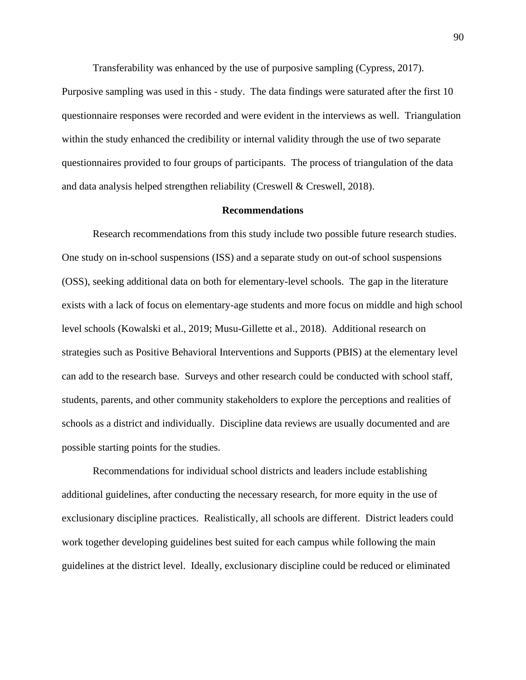Transferability was enhanced by the use of purposive sampling (Cypress, 2017).

Purposive sampling was used in this - study. The data findings were saturated after the first 10 questionnaire responses were recorded and were evident in the interviews as well. Triangulation within the study enhanced the credibility or internal validity through the use of two separate questionnaires provided to four groups of participants. The process of triangulation of the data and data analysis helped strengthen reliability (Creswell & Creswell, 2018).

### **Recommendations**

Research recommendations from this study include two possible future research studies. One study on in-school suspensions (ISS) and a separate study on out-of school suspensions (OSS), seeking additional data on both for elementary-level schools. The gap in the literature exists with a lack of focus on elementary-age students and more focus on middle and high school level schools (Kowalski et al., 2019; Musu-Gillette et al., 2018). Additional research on strategies such as Positive Behavioral Interventions and Supports (PBIS) at the elementary level can add to the research base. Surveys and other research could be conducted with school staff, students, parents, and other community stakeholders to explore the perceptions and realities of schools as a district and individually. Discipline data reviews are usually documented and are possible starting points for the studies.

Recommendations for individual school districts and leaders include establishing additional guidelines, after conducting the necessary research, for more equity in the use of exclusionary discipline practices. Realistically, all schools are different. District leaders could work together developing guidelines best suited for each campus while following the main guidelines at the district level. Ideally, exclusionary discipline could be reduced or eliminated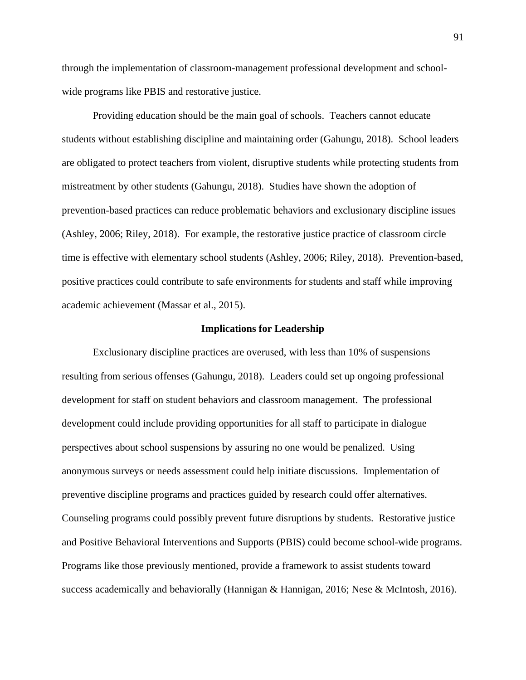through the implementation of classroom-management professional development and schoolwide programs like PBIS and restorative justice.

Providing education should be the main goal of schools. Teachers cannot educate students without establishing discipline and maintaining order (Gahungu, 2018). School leaders are obligated to protect teachers from violent, disruptive students while protecting students from mistreatment by other students (Gahungu, 2018). Studies have shown the adoption of prevention-based practices can reduce problematic behaviors and exclusionary discipline issues (Ashley, 2006; Riley, 2018). For example, the restorative justice practice of classroom circle time is effective with elementary school students (Ashley, 2006; Riley, 2018). Prevention-based, positive practices could contribute to safe environments for students and staff while improving academic achievement (Massar et al., 2015).

#### **Implications for Leadership**

Exclusionary discipline practices are overused, with less than 10% of suspensions resulting from serious offenses (Gahungu, 2018). Leaders could set up ongoing professional development for staff on student behaviors and classroom management. The professional development could include providing opportunities for all staff to participate in dialogue perspectives about school suspensions by assuring no one would be penalized. Using anonymous surveys or needs assessment could help initiate discussions. Implementation of preventive discipline programs and practices guided by research could offer alternatives. Counseling programs could possibly prevent future disruptions by students. Restorative justice and Positive Behavioral Interventions and Supports (PBIS) could become school-wide programs. Programs like those previously mentioned, provide a framework to assist students toward success academically and behaviorally (Hannigan & Hannigan, 2016; Nese & McIntosh, 2016).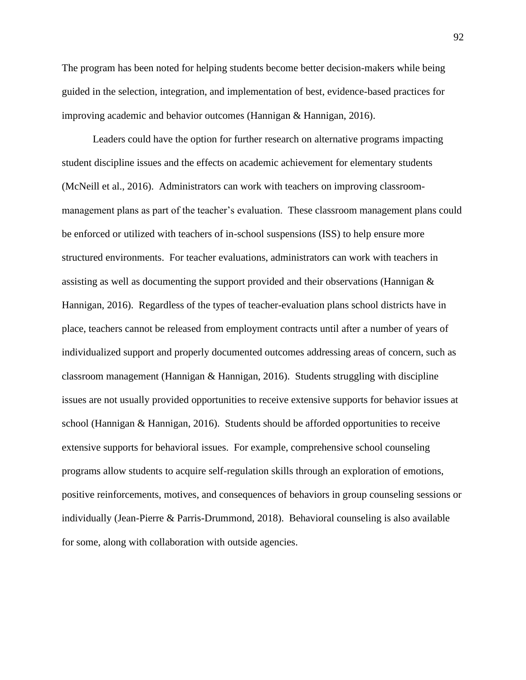The program has been noted for helping students become better decision-makers while being guided in the selection, integration, and implementation of best, evidence-based practices for improving academic and behavior outcomes (Hannigan & Hannigan, 2016).

Leaders could have the option for further research on alternative programs impacting student discipline issues and the effects on academic achievement for elementary students (McNeill et al., 2016). Administrators can work with teachers on improving classroommanagement plans as part of the teacher's evaluation. These classroom management plans could be enforced or utilized with teachers of in-school suspensions (ISS) to help ensure more structured environments. For teacher evaluations, administrators can work with teachers in assisting as well as documenting the support provided and their observations (Hannigan & Hannigan, 2016). Regardless of the types of teacher-evaluation plans school districts have in place, teachers cannot be released from employment contracts until after a number of years of individualized support and properly documented outcomes addressing areas of concern, such as classroom management (Hannigan & Hannigan, 2016). Students struggling with discipline issues are not usually provided opportunities to receive extensive supports for behavior issues at school (Hannigan & Hannigan, 2016). Students should be afforded opportunities to receive extensive supports for behavioral issues. For example, comprehensive school counseling programs allow students to acquire self-regulation skills through an exploration of emotions, positive reinforcements, motives, and consequences of behaviors in group counseling sessions or individually (Jean-Pierre & Parris-Drummond, 2018). Behavioral counseling is also available for some, along with collaboration with outside agencies.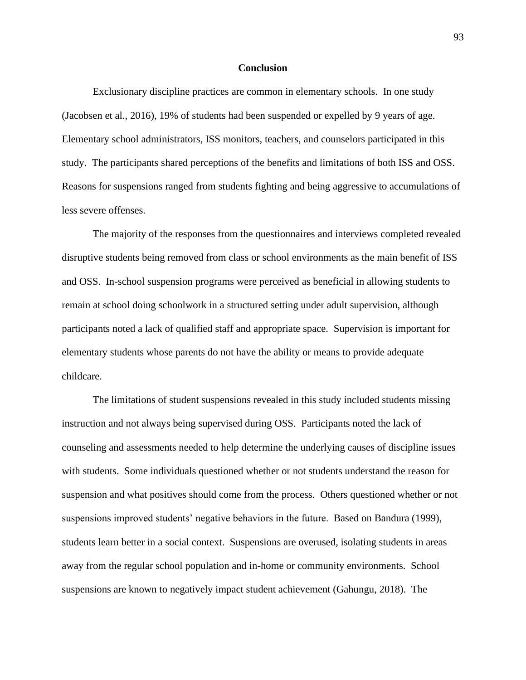### **Conclusion**

Exclusionary discipline practices are common in elementary schools. In one study (Jacobsen et al., 2016), 19% of students had been suspended or expelled by 9 years of age. Elementary school administrators, ISS monitors, teachers, and counselors participated in this study. The participants shared perceptions of the benefits and limitations of both ISS and OSS. Reasons for suspensions ranged from students fighting and being aggressive to accumulations of less severe offenses.

The majority of the responses from the questionnaires and interviews completed revealed disruptive students being removed from class or school environments as the main benefit of ISS and OSS. In-school suspension programs were perceived as beneficial in allowing students to remain at school doing schoolwork in a structured setting under adult supervision, although participants noted a lack of qualified staff and appropriate space. Supervision is important for elementary students whose parents do not have the ability or means to provide adequate childcare.

The limitations of student suspensions revealed in this study included students missing instruction and not always being supervised during OSS. Participants noted the lack of counseling and assessments needed to help determine the underlying causes of discipline issues with students. Some individuals questioned whether or not students understand the reason for suspension and what positives should come from the process. Others questioned whether or not suspensions improved students' negative behaviors in the future. Based on Bandura (1999), students learn better in a social context. Suspensions are overused, isolating students in areas away from the regular school population and in-home or community environments. School suspensions are known to negatively impact student achievement (Gahungu, 2018). The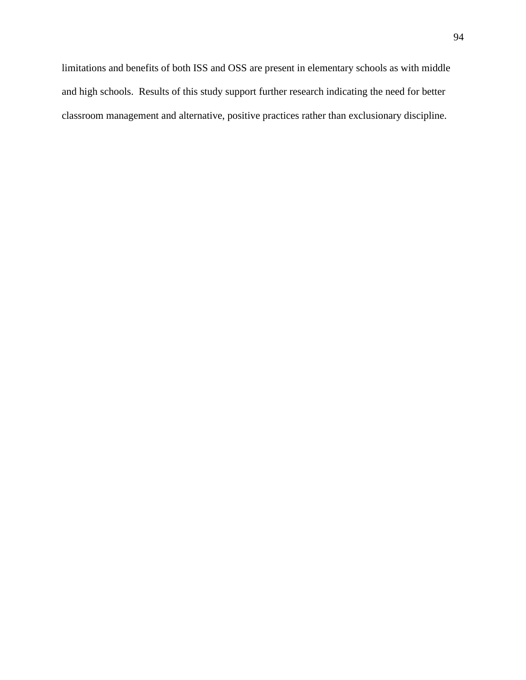limitations and benefits of both ISS and OSS are present in elementary schools as with middle and high schools. Results of this study support further research indicating the need for better classroom management and alternative, positive practices rather than exclusionary discipline.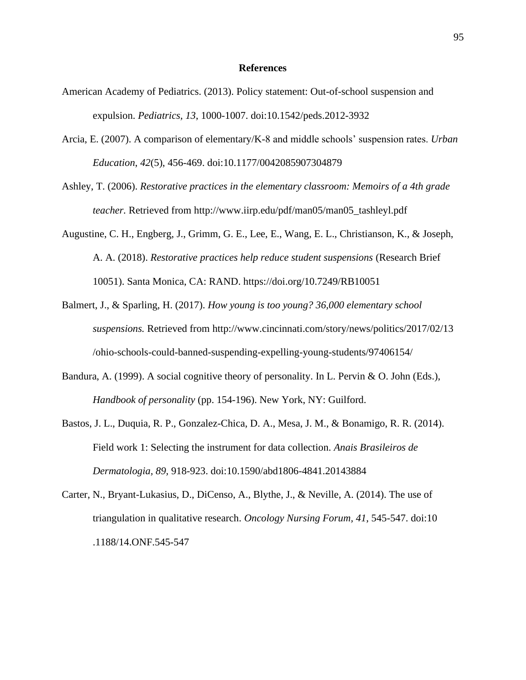### **References**

- American Academy of Pediatrics. (2013). Policy statement: Out-of-school suspension and expulsion. *Pediatrics, 13*, 1000-1007. doi:10.1542/peds.2012-3932
- Arcia, E. (2007). A comparison of elementary/K-8 and middle schools' suspension rates. *Urban Education*, *42*(5), 456-469. doi:10.1177/0042085907304879
- Ashley, T. (2006). *Restorative practices in the elementary classroom: Memoirs of a 4th grade teacher.* Retrieved from http://www.iirp.edu/pdf/man05/man05\_tashleyl.pdf
- Augustine, C. H., Engberg, J., Grimm, G. E., Lee, E., Wang, E. L., Christianson, K., & Joseph, A. A. (2018). *Restorative practices help reduce student suspensions* (Research Brief 10051). Santa Monica, CA: RAND. https://doi.org/10.7249/RB10051
- Balmert, J., & Sparling, H. (2017). *How young is too young? 36,000 elementary school suspensions.* Retrieved from http://www.cincinnati.com/story/news/politics/2017/02/13 /ohio-schools-could-banned-suspending-expelling-young-students/97406154/
- Bandura, A. (1999). A social cognitive theory of personality. In L. Pervin & O. John (Eds.), *Handbook of personality* (pp. 154-196). New York, NY: Guilford.
- Bastos, J. L., Duquia, R. P., Gonzalez-Chica, D. A., Mesa, J. M., & Bonamigo, R. R. (2014). Field work 1: Selecting the instrument for data collection. *Anais Brasileiros de Dermatologia, 89,* 918-923. doi:10.1590/abd1806-4841.20143884
- Carter, N., Bryant-Lukasius, D., DiCenso, A., Blythe, J., & Neville, A. (2014). The use of triangulation in qualitative research. *Oncology Nursing Forum, 41*, 545-547. doi:10 .1188/14.ONF.545-547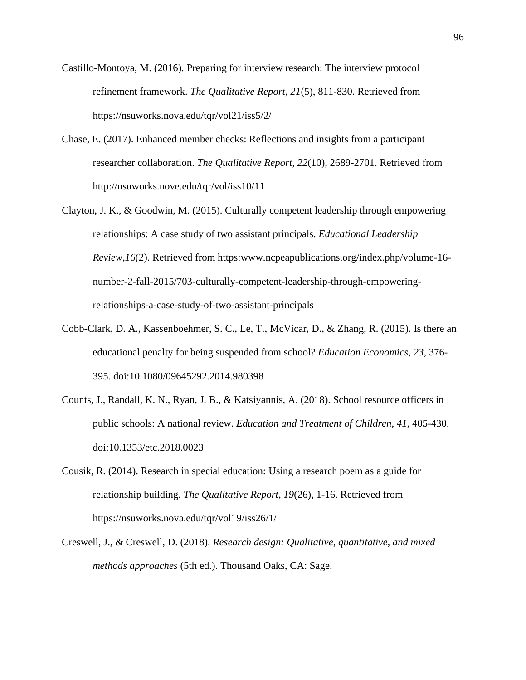- Castillo-Montoya, M. (2016). Preparing for interview research: The interview protocol refinement framework. *The Qualitative Report, 21*(5), 811-830. Retrieved from https://nsuworks.nova.edu/tqr/vol21/iss5/2/
- Chase, E. (2017). Enhanced member checks: Reflections and insights from a participant– researcher collaboration. *The Qualitative Report, 22*(10), 2689-2701. Retrieved from http://nsuworks.nove.edu/tqr/vol/iss10/11
- Clayton, J. K., & Goodwin, M. (2015). Culturally competent leadership through empowering relationships: A case study of two assistant principals. *Educational Leadership Review,16*(2). Retrieved from https:www.ncpeapublications.org/index.php/volume-16 number-2-fall-2015/703-culturally-competent-leadership-through-empoweringrelationships-a-case-study-of-two-assistant-principals
- Cobb-Clark, D. A., Kassenboehmer, S. C., Le, T[., McVicar, D.,](https://pure.qub.ac.uk/portal/en/persons/duncan-mcvicar(7f7343fd-469b-4743-9e14-f21f4f1d68ad).html) & Zhang, R. (2015). [Is there an](https://pure.qub.ac.uk/portal/en/publications/is-there-an-educational-penalty-for-being-suspended-from-school(4fd1e727-6f76-4d42-a371-bf8357d91a13).html)  [educational penalty for being suspended from school?](https://pure.qub.ac.uk/portal/en/publications/is-there-an-educational-penalty-for-being-suspended-from-school(4fd1e727-6f76-4d42-a371-bf8357d91a13).html) *[Ed](https://pure.qub.ac.uk/portal/en/publications/is-there-an-educational-penalty-for-being-suspended-from-school(4fd1e727-6f76-4d42-a371-bf8357d91a13).html)ucation Economics*, *23*, 376- 395. doi:10.1080/09645292.2014.980398
- Counts, J., Randall, K. N., Ryan, J. B., & Katsiyannis, A. (2018). School resource officers in public schools: A national review. *Education and Treatment of Children, 41*, 405-430. doi:10.1353/etc.2018.0023
- Cousik, R. (2014). Research in special education: Using a research poem as a guide for relationship building. *The Qualitative Report, 19*(26), 1-16. Retrieved from https://nsuworks.nova.edu/tqr/vol19/iss26/1/
- Creswell, J., & Creswell, D. (2018). *Research design: Qualitative, quantitative, and mixed methods approaches* (5th ed.). Thousand Oaks, CA: Sage.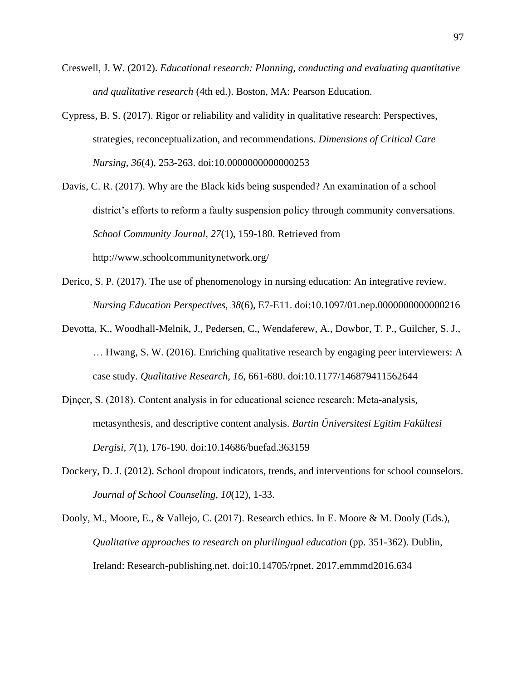- Creswell, J. W. (2012). *Educational research: Planning, conducting and evaluating quantitative and qualitative research* (4th ed.). Boston, MA: Pearson Education.
- Cypress, B. S. (2017). Rigor or reliability and validity in qualitative research: Perspectives, strategies, reconceptualization, and recommendations*. Dimensions of Critical Care Nursing, 36*(4), 253-263. doi:10.0000000000000253
- Davis, C. R. (2017). Why are the Black kids being suspended? An examination of a school district's efforts to reform a faulty suspension policy through community conversations. *School Community Journal, 27*(1), 159-180. Retrieved from http://www.schoolcommunitynetwork.org/
- Derico, S. P. (2017). The use of phenomenology in nursing education: An integrative review. *Nursing Education Perspectives, 38*(6), E7-E11. doi:10.1097/01.nep.0000000000000216
- Devotta, K., Woodhall-Melnik, J., Pedersen, C., Wendaferew, A., Dowbor, T. P., Guilcher, S. J., … Hwang, S. W. (2016). Enriching qualitative research by engaging peer interviewers: A case study. *Qualitative Research*, *16*, 661-680. doi:10.1177/146879411562644
- Dįnçer, S. (2018). Content analysis in for educational science research: Meta-analysis, metasynthesis, and descriptive content analysis. *Bartin Üniversitesi Egitim Fakültesi Dergisi, 7*(1), 176-190. doi:10.14686/buefad.363159
- Dockery, D. J. (2012). School dropout indicators, trends, and interventions for school counselors. *Journal of School Counseling, 10*(12), 1-33.
- Dooly, M., Moore, E., & Vallejo, C. (2017). Research ethics. In E. Moore & M. Dooly (Eds.), *Qualitative approaches to research on plurilingual education* (pp. 351-362). Dublin, Ireland: Research-publishing.net. doi:10.14705/rpnet. 2017.emmmd2016.634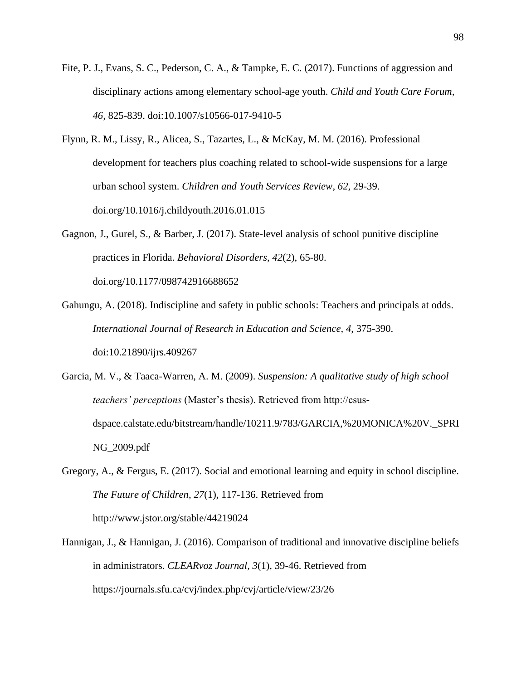- Fite, P. J., Evans, S. C., Pederson, C. A., & Tampke, E. C. (2017). Functions of aggression and disciplinary actions among elementary school-age youth. *Child and Youth Care Forum, 46,* 825-839. doi:10.1007/s10566-017-9410-5
- Flynn, R. M., Lissy, R., Alicea, S., Tazartes, L., & McKay, M. M. (2016). Professional development for teachers plus coaching related to school-wide suspensions for a large urban school system. *Children and Youth Services Review, 62,* 29-39. doi.org/10.1016/j.childyouth.2016.01.015
- Gagnon, J., Gurel, S., & Barber, J. (2017). State-level analysis of school punitive discipline practices in Florida. *Behavioral Disorders, 42*(2), 65-80. doi.org/10.1177/098742916688652
- Gahungu, A. (2018). Indiscipline and safety in public schools: Teachers and principals at odds. *International Journal of Research in Education and Science, 4*, 375-390. doi:10.21890/ijrs.409267
- Garcia, M. V., & Taaca-Warren, A. M. (2009). *Suspension: A qualitative study of high school teachers' perceptions* (Master's thesis). Retrieved from http://csusdspace.calstate.edu/bitstream/handle/10211.9/783/GARCIA,%20MONICA%20V.\_SPRI NG\_2009.pdf
- Gregory, A., & Fergus, E. (2017). Social and emotional learning and equity in school discipline. *The Future of Children*, *27*(1), 117-136. Retrieved from http://www.jstor.org/stable/44219024
- Hannigan, J., & Hannigan, J. (2016). Comparison of traditional and innovative discipline beliefs in administrators. *CLEARvoz Journal, 3*(1), 39-46. Retrieved from https://journals.sfu.ca/cvj/index.php/cvj/article/view/23/26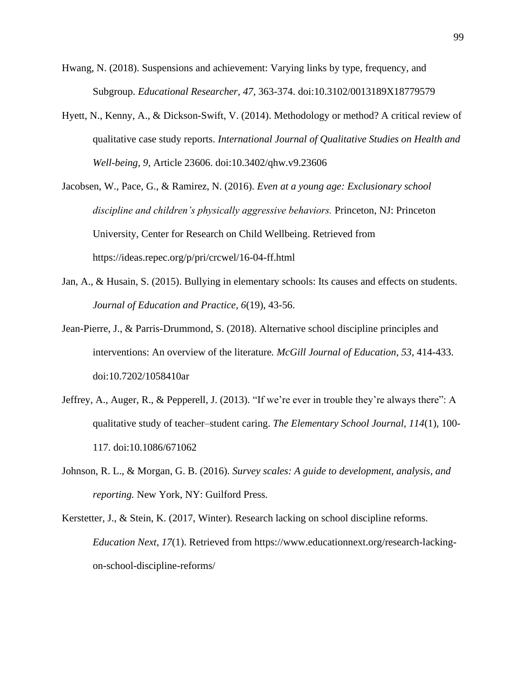- Hwang, N. (2018). Suspensions and achievement: Varying links by type, frequency, and Subgroup. *Educational Researcher, 47*, 363-374. doi:10.3102/0013189X18779579
- Hyett, N., Kenny, A., & Dickson-Swift, V. (2014). Methodology or method? A critical review of qualitative case study reports. *International Journal of Qualitative Studies on Health and Well-being, 9,* Article 23606. doi:10.3402/qhw.v9.23606
- Jacobsen, W., Pace, G., & Ramirez, N. (2016). *Even at a young age: Exclusionary school discipline and children's physically aggressive behaviors.* Princeton, NJ: Princeton University, Center for Research on Child Wellbeing. Retrieved from https://ideas.repec.org/p/pri/crcwel/16-04-ff.html
- Jan, A., & Husain, S. (2015). Bullying in elementary schools: Its causes and effects on students. *Journal of Education and Practice, 6*(19), 43-56.
- Jean-Pierre, J., & Parris-Drummond, S. (2018). Alternative school discipline principles and interventions: An overview of the literature*. McGill Journal of Education*, *53*, 414-433. doi:10.7202/1058410ar
- Jeffrey, A., Auger, R., & Pepperell, J. (2013). "If we're ever in trouble they're always there": A qualitative study of teacher–student caring. *The Elementary School Journal, 114*(1), 100- 117. doi:10.1086/671062
- Johnson, R. L., & Morgan, G. B. (2016). *Survey scales: A guide to development, analysis, and reporting.* New York, NY: Guilford Press.
- Kerstetter, J., & Stein, K. (2017, Winter). Research lacking on school discipline reforms. *Education Next*, *17*(1). Retrieved from https://www.educationnext.org/research-lackingon-school-discipline-reforms/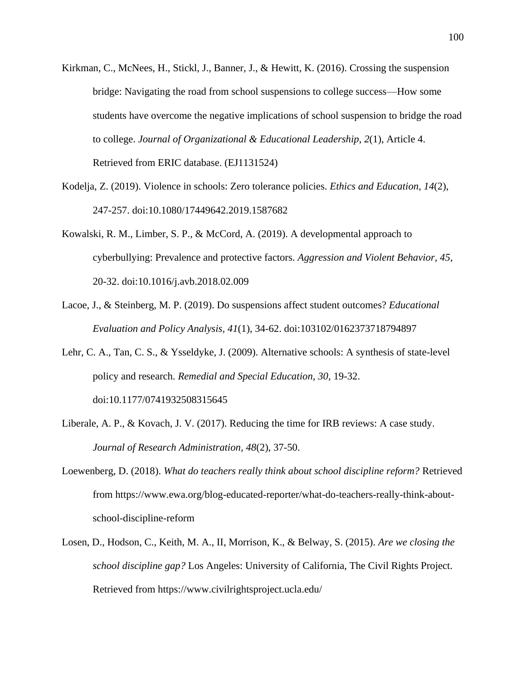- Kirkman, C., McNees, H., Stickl, J., Banner, J., & Hewitt, K. (2016). Crossing the suspension bridge: Navigating the road from school suspensions to college success—How some students have overcome the negative implications of school suspension to bridge the road to college. *Journal of Organizational & Educational Leadership*, *2*(1), Article 4. Retrieved from ERIC database. (EJ1131524)
- Kodelja, Z. (2019). Violence in schools: Zero tolerance policies. *Ethics and Education*, *14*(2), 247-257. doi:10.1080/17449642.2019.1587682
- Kowalski, R. M., Limber, S. P., & McCord, A. (2019). A developmental approach to cyberbullying: Prevalence and protective factors. *Aggression and Violent Behavior, 45,* 20-32. doi:10.1016/j.avb.2018.02.009
- Lacoe, J., & Steinberg, M. P. (2019). Do suspensions affect student outcomes? *Educational Evaluation and Policy Analysis, 41*(1), 34-62. doi:103102/0162373718794897
- Lehr, C. A., Tan, C. S., & Ysseldyke, J. (2009). Alternative schools: A synthesis of state-level policy and research. *Remedial and Special Education, 30,* 19-32. doi:10.1177/0741932508315645
- Liberale, A. P., & Kovach, J. V. (2017). Reducing the time for IRB reviews: A case study. *Journal of Research Administration, 48*(2), 37-50.
- Loewenberg, D. (2018). *What do teachers really think about school discipline reform?* Retrieved from https://www.ewa.org/blog-educated-reporter/what-do-teachers-really-think-aboutschool-discipline-reform
- Losen, D., Hodson, C., Keith, M. A., II, Morrison, K., & Belway, S. (2015). *Are we closing the school discipline gap?* Los Angeles: University of California, The Civil Rights Project. Retrieved from https://www.civilrightsproject.ucla.edu/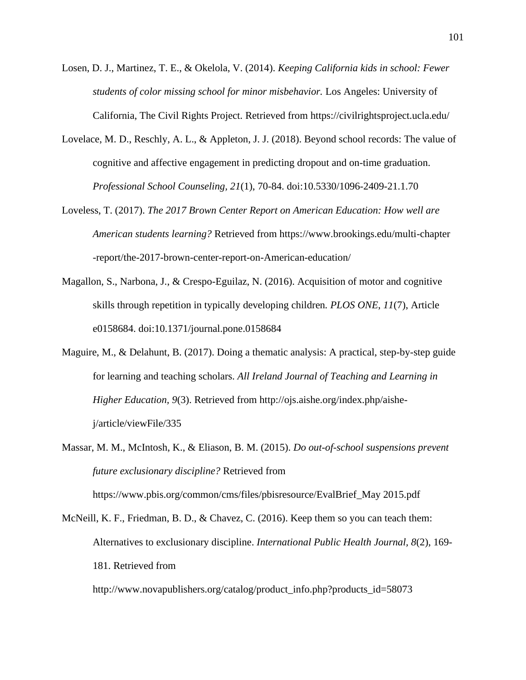- Losen, D. J., Martinez, T. E., & Okelola, V. (2014). *Keeping California kids in school: Fewer students of color missing school for minor misbehavior.* Los Angeles: University of California, The Civil Rights Project. Retrieved from https://civilrightsproject.ucla.edu/
- Lovelace, M. D., Reschly, A. L., & Appleton, J. J. (2018). Beyond school records: The value of cognitive and affective engagement in predicting dropout and on-time graduation. *Professional School Counseling, 21*(1), 70-84. doi:10.5330/1096-2409-21.1.70
- Loveless, T. (2017). *The 2017 Brown Center Report on American Education: How well are American students learning?* Retrieved from https://www.brookings.edu/multi-chapter -report/the-2017-brown-center-report-on-American-education/
- Magallon, S., Narbona, J., & Crespo-Eguilaz, N. (2016). Acquisition of motor and cognitive skills through repetition in typically developing children*. PLOS ONE*, *11*(7), Article e0158684. doi:10.1371/journal.pone.0158684
- Maguire, M., & Delahunt, B. (2017). Doing a thematic analysis: A practical, step-by-step guide for learning and teaching scholars. *All Ireland Journal of Teaching and Learning in Higher Education, 9*(3). Retrieved from http://ojs.aishe.org/index.php/aishej/article/viewFile/335
- Massar, M. M., McIntosh, K., & Eliason, B. M. (2015). *Do out-of-school suspensions prevent future exclusionary discipline?* Retrieved from

https://www.pbis.org/common/cms/files/pbisresource/EvalBrief\_May 2015.pdf McNeill, K. F., Friedman, B. D., & Chavez, C. (2016). Keep them so you can teach them:

Alternatives to exclusionary discipline. *International Public Health Journal, 8*(2), 169- 181. Retrieved from

http://www.novapublishers.org/catalog/product\_info.php?products\_id=58073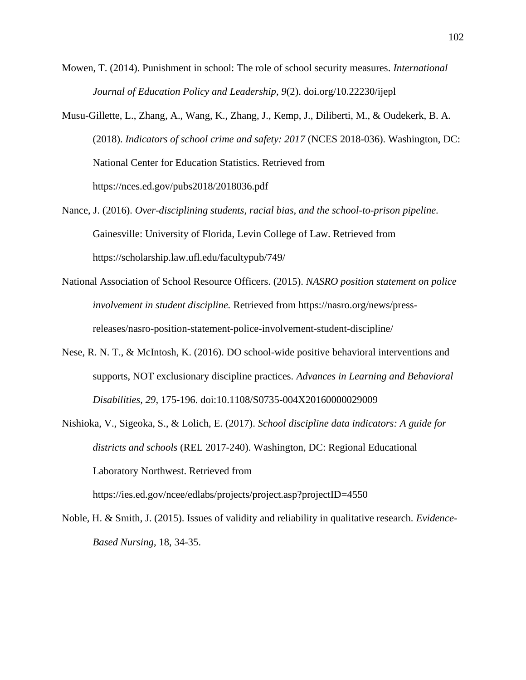- Mowen, T. (2014). Punishment in school: The role of school security measures. *International Journal of Education Policy and Leadership, 9*(2). doi.org/10.22230/ijepl
- Musu-Gillette, L., Zhang, A., Wang, K., Zhang, J., Kemp, J., Diliberti, M., & Oudekerk, B. A. (2018). *Indicators of school crime and safety: 2017* (NCES 2018-036). Washington, DC: National Center for Education Statistics. Retrieved from https://nces.ed.gov/pubs2018/2018036.pdf
- Nance, J. (2016). *Over-disciplining students, racial bias, and the school-to-prison pipeline.*  Gainesville: University of Florida, Levin College of Law. Retrieved from https://scholarship.law.ufl.edu/facultypub/749/
- National Association of School Resource Officers. (2015). *NASRO position statement on police involvement in student discipline.* Retrieved from https://nasro.org/news/pressreleases/nasro-position-statement-police-involvement-student-discipline/
- Nese, R. N. T., & McIntosh, K. (2016). DO school-wide positive behavioral interventions and supports, NOT exclusionary discipline practices. *Advances in Learning and Behavioral Disabilities, 29,* 175-196. doi:10.1108/S0735-004X20160000029009
- Nishioka, V., Sigeoka, S., & Lolich, E. (2017). *School discipline data indicators: A guide for districts and schools* (REL 2017-240). Washington, DC: Regional Educational Laboratory Northwest. Retrieved from https://ies.ed.gov/ncee/edlabs/projects/project.asp?projectID=4550
- Noble, H. & Smith, J. (2015). Issues of validity and reliability in qualitative research*. Evidence-Based Nursing*, 18, 34-35.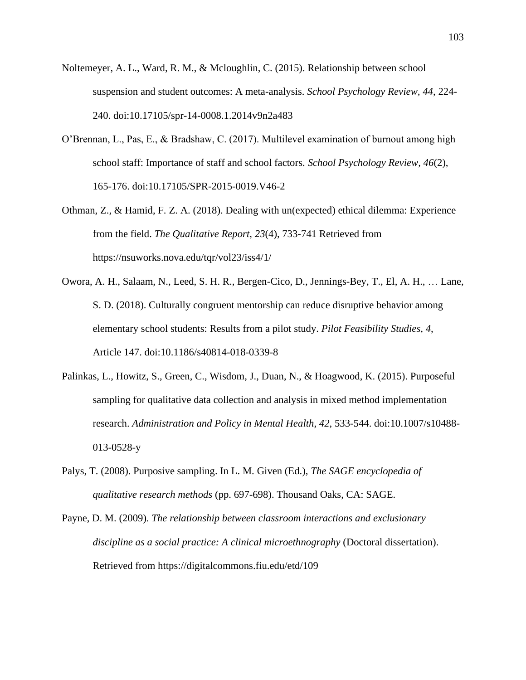- Noltemeyer, A. L., Ward, R. M., & Mcloughlin, C. (2015). Relationship between school suspension and student outcomes: A meta-analysis. *School Psychology Review, 44*, 224- 240. doi:10.17105/spr-14-0008.1.2014v9n2a483
- O'Brennan, L., Pas, E., & Bradshaw, C. (2017). Multilevel examination of burnout among high school staff: Importance of staff and school factors. *School Psychology Review, 46*(2), 165-176. doi:10.17105/SPR-2015-0019.V46-2
- Othman, Z., & Hamid, F. Z. A. (2018). Dealing with un(expected) ethical dilemma: Experience from the field. *The Qualitative Report, 23*(4), 733-741 Retrieved from https://nsuworks.nova.edu/tqr/vol23/iss4/1/
- Owora, A. H., Salaam, N., Leed, S. H. R., Bergen-Cico, D., Jennings-Bey, T., El, A. H., … Lane, S. D. (2018). Culturally congruent mentorship can reduce disruptive behavior among elementary school students: Results from a pilot study. *Pilot Feasibility Studies, 4*, Article 147. doi:10.1186/s40814-018-0339-8
- Palinkas, L., Howitz, S., Green, C., Wisdom, J., Duan, N., & Hoagwood, K. (2015). Purposeful sampling for qualitative data collection and analysis in mixed method implementation research. *Administration and Policy in Mental Health*, *42*, 533-544. doi:10.1007/s10488- 013-0528-y
- Palys, T. (2008). Purposive sampling. In L. M. Given (Ed.), *The SAGE encyclopedia of qualitative research methods* (pp. 697-698). Thousand Oaks, CA: SAGE.
- Payne, D. M. (2009). *The relationship between classroom interactions and exclusionary discipline as a social practice: A clinical microethnography* (Doctoral dissertation). Retrieved from https://digitalcommons.fiu.edu/etd/109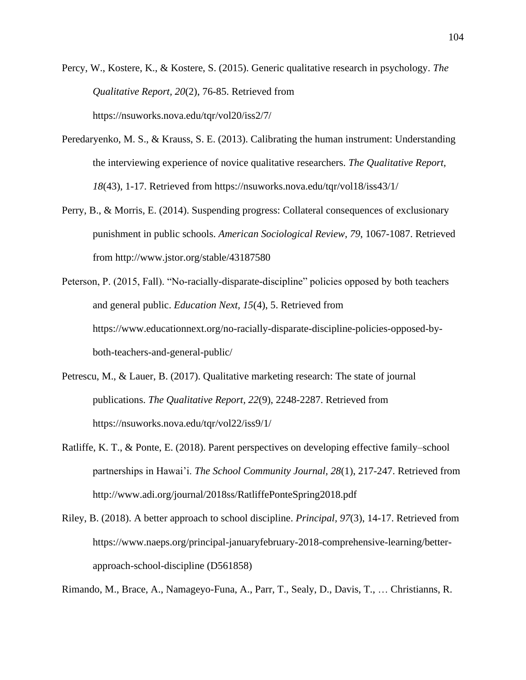Percy, W., Kostere, K., & Kostere, S. (2015). Generic qualitative research in psychology. *The Qualitative Report, 20*(2), 76-85. Retrieved from https://nsuworks.nova.edu/tqr/vol20/iss2/7/

- Peredaryenko, M. S., & Krauss, S. E. (2013). Calibrating the human instrument: Understanding the interviewing experience of novice qualitative researchers. *The Qualitative Report, 18*(43), 1-17. Retrieved from https://nsuworks.nova.edu/tqr/vol18/iss43/1/
- Perry, B., & Morris, E. (2014). Suspending progress: Collateral consequences of exclusionary punishment in public schools. *American Sociological Review*, *79*, 1067-1087. Retrieved from http://www.jstor.org/stable/43187580
- Peterson, P. (2015, Fall). "No-racially-disparate-discipline" policies opposed by both teachers and general public. *Education Next, 15*(4), 5. Retrieved from https://www.educationnext.org/no-racially-disparate-discipline-policies-opposed-byboth-teachers-and-general-public/
- Petrescu, M., & Lauer, B. (2017). Qualitative marketing research: The state of journal publications. *The Qualitative Report, 22*(9), 2248-2287. Retrieved from https://nsuworks.nova.edu/tqr/vol22/iss9/1/
- Ratliffe, K. T., & Ponte, E. (2018). Parent perspectives on developing effective family–school partnerships in Hawai'i. *The School Community Journal, 28*(1), 217-247. Retrieved from http://www.adi.org/journal/2018ss/RatliffePonteSpring2018.pdf
- Riley, B. (2018). A better approach to school discipline. *Principal, 97*(3), 14-17. Retrieved from https://www.naeps.org/principal-januaryfebruary-2018-comprehensive-learning/betterapproach-school-discipline (D561858)

Rimando, M., Brace, A., Namageyo-Funa, A., Parr, T., Sealy, D., Davis, T., … Christianns, R.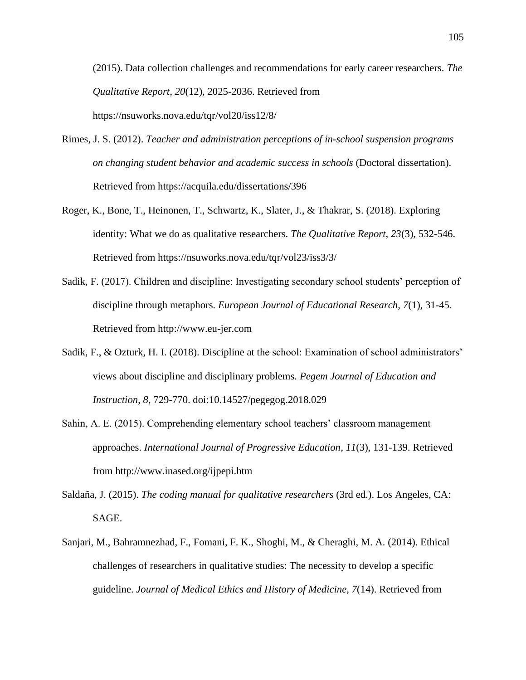(2015). Data collection challenges and recommendations for early career researchers. *The Qualitative Report, 20*(12), 2025-2036. Retrieved from https://nsuworks.nova.edu/tqr/vol20/iss12/8/

- Rimes, J. S. (2012). *Teacher and administration perceptions of in-school suspension programs on changing student behavior and academic success in schools* (Doctoral dissertation). Retrieved from https://acquila.edu/dissertations/396
- Roger, K., Bone, T., Heinonen, T., Schwartz, K., Slater, J., & Thakrar, S. (2018). Exploring identity: What we do as qualitative researchers. *The Qualitative Report, 23*(3), 532-546. Retrieved from https://nsuworks.nova.edu/tqr/vol23/iss3/3/
- Sadik, F. (2017). Children and discipline: Investigating secondary school students' perception of discipline through metaphors. *European Journal of Educational Research, 7*(1), 31-45. Retrieved from http://www.eu-jer.com
- Sadik, F., & Ozturk, H. I. (2018). Discipline at the school: Examination of school administrators' views about discipline and disciplinary problems. *Pegem Journal of Education and Instruction, 8*, 729-770. doi:10.14527/pegegog.2018.029
- Sahin, A. E. (2015). Comprehending elementary school teachers' classroom management approaches. *International Journal of Progressive Education, 11*(3), 131-139. Retrieved from http://www.inased.org/ijpepi.htm
- Saldaña, J. (2015). *The coding manual for qualitative researchers* (3rd ed.). Los Angeles, CA: SAGE.
- Sanjari, M., Bahramnezhad, F., Fomani, F. K., Shoghi, M., & Cheraghi, M. A. (2014). Ethical challenges of researchers in qualitative studies: The necessity to develop a specific guideline. *Journal of Medical Ethics and History of Medicine, 7*(14). Retrieved from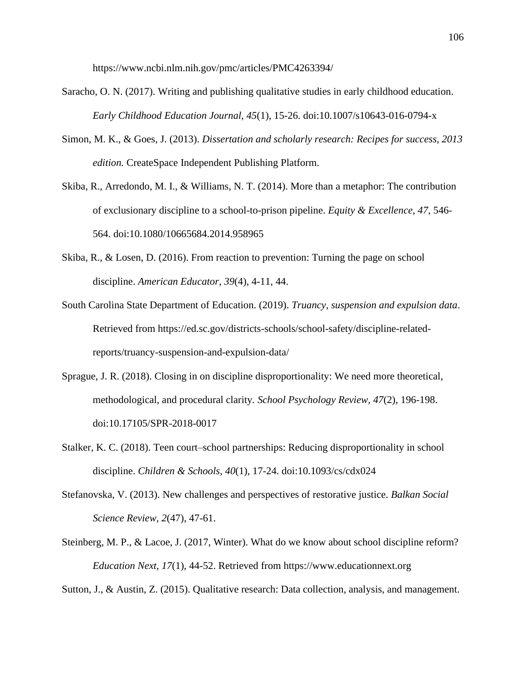https://www.ncbi.nlm.nih.gov/pmc/articles/PMC4263394/

- Saracho, O. N. (2017). Writing and publishing qualitative studies in early childhood education. *Early Childhood Education Journal, 45*(1), 15-26. doi:10.1007/s10643-016-0794-x
- Simon, M. K., & Goes, J. (2013). *Dissertation and scholarly research: Recipes for success, 2013 edition.* CreateSpace Independent Publishing Platform.
- Skiba, R., Arredondo, M. I., & Williams, N. T. (2014). More than a metaphor: The contribution of exclusionary discipline to a school-to-prison pipeline. *Equity & Excellence, 47*, 546- 564. doi:10.1080/10665684.2014.958965
- Skiba, R., & Losen, D. (2016). From reaction to prevention: Turning the page on school discipline. *American Educator*, *39*(4), 4-11, 44.
- South Carolina State Department of Education. (2019). *Truancy, suspension and expulsion data*. Retrieved from https://ed.sc.gov/districts-schools/school-safety/discipline-relatedreports/truancy-suspension-and-expulsion-data/
- Sprague, J. R. (2018). Closing in on discipline disproportionality: We need more theoretical, methodological, and procedural clarity*. School Psychology Review, 47*(2), 196-198. doi:10.17105/SPR-2018-0017
- Stalker, K. C. (2018). Teen court–school partnerships: Reducing disproportionality in school discipline. *Children & Schools, 40*(1), 17-24. doi:10.1093/cs/cdx024
- Stefanovska, V. (2013). New challenges and perspectives of restorative justice. *Balkan Social Science Review, 2*(47), 47-61.
- Steinberg, M. P., & Lacoe, J. (2017, Winter). What do we know about school discipline reform? *Education Next, 17*(1), 44-52. Retrieved from https://www.educationnext.org

Sutton, J., & Austin, Z. (2015). Qualitative research: Data collection, analysis, and management.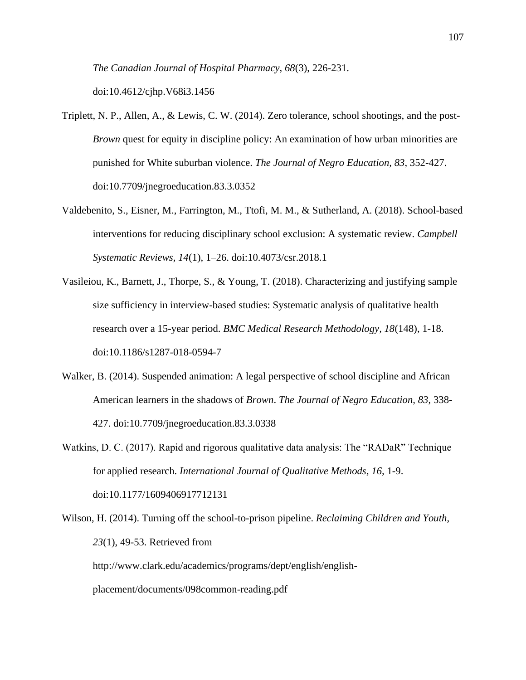*The Canadian Journal of Hospital Pharmacy, 68*(3), 226-231.

doi:10.4612/cjhp.V68i3.1456

- Triplett, N. P., Allen, A., & Lewis, C. W. (2014). Zero tolerance, school shootings, and the post-*Brown* quest for equity in discipline policy: An examination of how urban minorities are punished for White suburban violence. *The Journal of Negro Education, 83*, 352-427. doi:10.7709/jnegroeducation.83.3.0352
- Valdebenito, S., Eisner, M., Farrington, M., Ttofi, M. M., & Sutherland, A. (2018). School-based interventions for reducing disciplinary school exclusion: A systematic review. *Campbell Systematic Reviews, 14*(1), 1–26. doi:10.4073/csr.2018.1
- Vasileiou, K., Barnett, J., Thorpe, S., & Young, T. (2018). Characterizing and justifying sample size sufficiency in interview-based studies: Systematic analysis of qualitative health research over a 15-year period. *BMC Medical Research Methodology, 18*(148), 1-18. doi:10.1186/s1287-018-0594-7
- Walker, B. (2014). Suspended animation: A legal perspective of school discipline and African American learners in the shadows of *Brown*. *The Journal of Negro Education, 83*, 338- 427. doi:10.7709/jnegroeducation.83.3.0338
- Watkins, D. C. (2017). Rapid and rigorous qualitative data analysis: The "RADaR" Technique for applied research. *International Journal of Qualitative Methods, 16,* 1-9. doi:10.1177/1609406917712131
- Wilson, H. (2014). Turning off the school-to-prison pipeline. *Reclaiming Children and Youth*, *23*(1), 49-53. Retrieved from http://www.clark.edu/academics/programs/dept/english/english-

placement/documents/098common-reading.pdf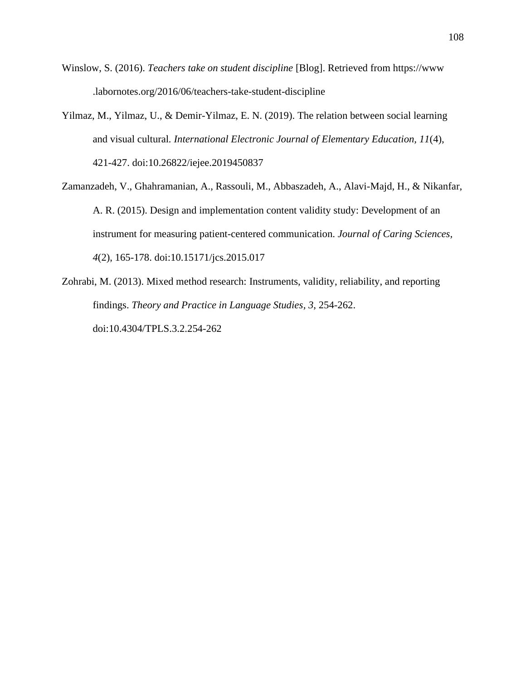- Winslow, S. (2016). *Teachers take on student discipline* [Blog]. Retrieved from https://www .labornotes.org/2016/06/teachers-take-student-discipline
- Yilmaz, M., Yilmaz, U., & Demir-Yilmaz, E. N. (2019). The relation between social learning and visual cultural*. International Electronic Journal of Elementary Education, 11*(4), 421-427. doi:10.26822/iejee.2019450837
- Zamanzadeh, V., Ghahramanian, A., Rassouli, M., Abbaszadeh, A., Alavi-Majd, H., & Nikanfar, A. R. (2015). Design and implementation content validity study: Development of an instrument for measuring patient-centered communication. *Journal of Caring Sciences, 4*(2), 165-178. doi:10.15171/jcs.2015.017
- Zohrabi, M. (2013). Mixed method research: Instruments, validity, reliability, and reporting findings. *Theory and Practice in Language Studies, 3*, 254-262. doi:10.4304/TPLS.3.2.254-262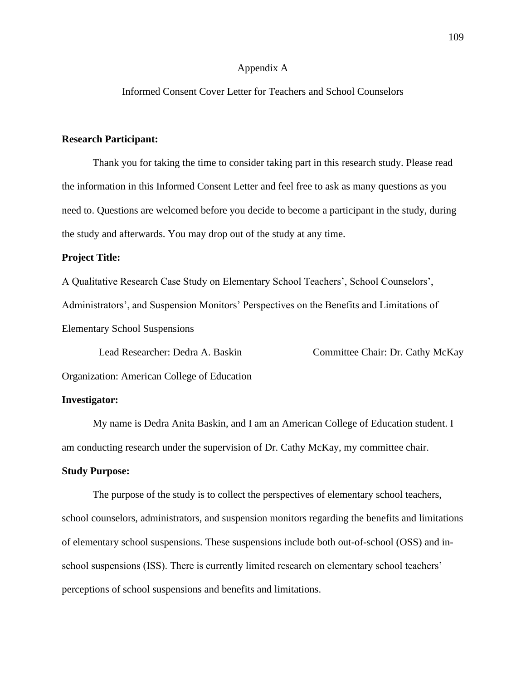#### Appendix A

# Informed Consent Cover Letter for Teachers and School Counselors

## **Research Participant:**

Thank you for taking the time to consider taking part in this research study. Please read the information in this Informed Consent Letter and feel free to ask as many questions as you need to. Questions are welcomed before you decide to become a participant in the study, during the study and afterwards. You may drop out of the study at any time.

#### **Project Title:**

A Qualitative Research Case Study on Elementary School Teachers', School Counselors', Administrators', and Suspension Monitors' Perspectives on the Benefits and Limitations of Elementary School Suspensions

Lead Researcher: Dedra A. Baskin Committee Chair: Dr. Cathy McKay Organization: American College of Education

## **Investigator:**

My name is Dedra Anita Baskin, and I am an American College of Education student. I am conducting research under the supervision of Dr. Cathy McKay, my committee chair.

#### **Study Purpose:**

The purpose of the study is to collect the perspectives of elementary school teachers, school counselors, administrators, and suspension monitors regarding the benefits and limitations of elementary school suspensions. These suspensions include both out-of-school (OSS) and inschool suspensions (ISS). There is currently limited research on elementary school teachers' perceptions of school suspensions and benefits and limitations.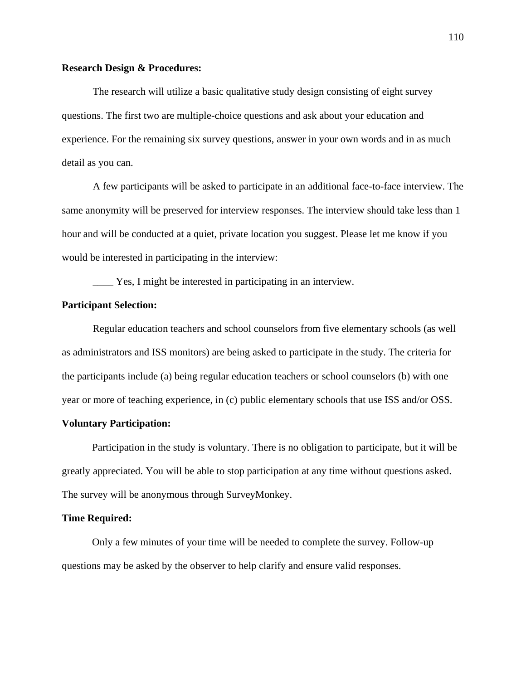#### **Research Design & Procedures:**

The research will utilize a basic qualitative study design consisting of eight survey questions. The first two are multiple-choice questions and ask about your education and experience. For the remaining six survey questions, answer in your own words and in as much detail as you can.

A few participants will be asked to participate in an additional face-to-face interview. The same anonymity will be preserved for interview responses. The interview should take less than 1 hour and will be conducted at a quiet, private location you suggest. Please let me know if you would be interested in participating in the interview:

\_\_\_\_ Yes, I might be interested in participating in an interview.

#### **Participant Selection:**

Regular education teachers and school counselors from five elementary schools (as well as administrators and ISS monitors) are being asked to participate in the study. The criteria for the participants include (a) being regular education teachers or school counselors (b) with one year or more of teaching experience, in (c) public elementary schools that use ISS and/or OSS.

# **Voluntary Participation:**

Participation in the study is voluntary. There is no obligation to participate, but it will be greatly appreciated. You will be able to stop participation at any time without questions asked. The survey will be anonymous through SurveyMonkey.

#### **Time Required:**

Only a few minutes of your time will be needed to complete the survey. Follow-up questions may be asked by the observer to help clarify and ensure valid responses.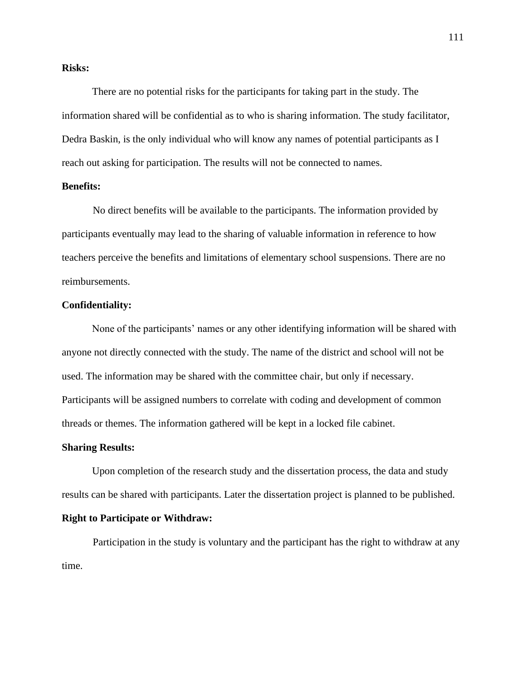#### **Risks:**

There are no potential risks for the participants for taking part in the study. The information shared will be confidential as to who is sharing information. The study facilitator, Dedra Baskin, is the only individual who will know any names of potential participants as I reach out asking for participation. The results will not be connected to names.

## **Benefits:**

No direct benefits will be available to the participants. The information provided by participants eventually may lead to the sharing of valuable information in reference to how teachers perceive the benefits and limitations of elementary school suspensions. There are no reimbursements.

#### **Confidentiality:**

None of the participants' names or any other identifying information will be shared with anyone not directly connected with the study. The name of the district and school will not be used. The information may be shared with the committee chair, but only if necessary. Participants will be assigned numbers to correlate with coding and development of common threads or themes. The information gathered will be kept in a locked file cabinet.

## **Sharing Results:**

Upon completion of the research study and the dissertation process, the data and study results can be shared with participants. Later the dissertation project is planned to be published.

## **Right to Participate or Withdraw:**

Participation in the study is voluntary and the participant has the right to withdraw at any time.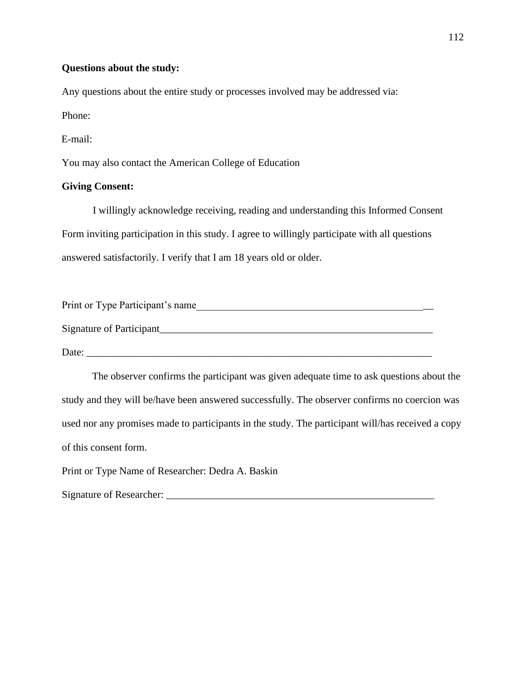## **Questions about the study:**

Any questions about the entire study or processes involved may be addressed via:

Phone:

E-mail:

You may also contact the American College of Education

# **Giving Consent:**

I willingly acknowledge receiving, reading and understanding this Informed Consent Form inviting participation in this study. I agree to willingly participate with all questions answered satisfactorily. I verify that I am 18 years old or older.

| Print or Type Participant's name |  |
|----------------------------------|--|
| Signature of Participant         |  |
| Date:                            |  |

The observer confirms the participant was given adequate time to ask questions about the study and they will be/have been answered successfully. The observer confirms no coercion was used nor any promises made to participants in the study. The participant will/has received a copy of this consent form.

Print or Type Name of Researcher: Dedra A. Baskin

Signature of Researcher: \_\_\_\_\_\_\_\_\_\_\_\_\_\_\_\_\_\_\_\_\_\_\_\_\_\_\_\_\_\_\_\_\_\_\_\_\_\_\_\_\_\_\_\_\_\_\_\_\_\_\_\_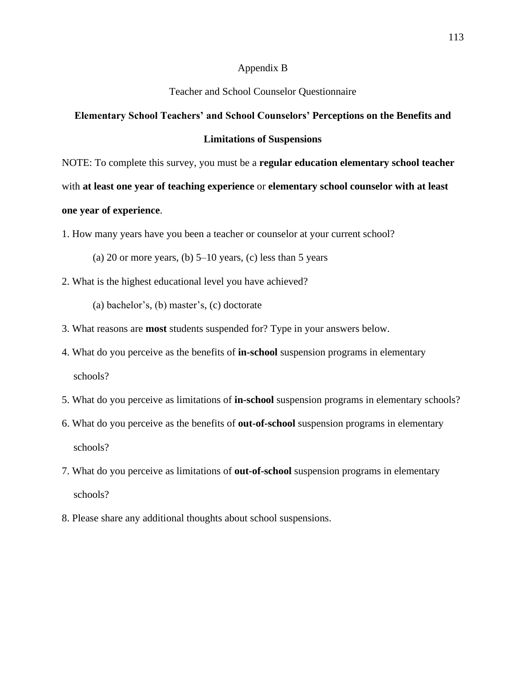## Appendix B

## Teacher and School Counselor Questionnaire

# **Elementary School Teachers' and School Counselors' Perceptions on the Benefits and Limitations of Suspensions**

NOTE: To complete this survey, you must be a **regular education elementary school teacher** with **at least one year of teaching experience** or **elementary school counselor with at least one year of experience**.

- 1. How many years have you been a teacher or counselor at your current school?
	- (a) 20 or more years, (b)  $5-10$  years, (c) less than 5 years
- 2. What is the highest educational level you have achieved?

(a) bachelor's, (b) master's, (c) doctorate

- 3. What reasons are **most** students suspended for? Type in your answers below.
- 4. What do you perceive as the benefits of **in-school** suspension programs in elementary schools?
- 5. What do you perceive as limitations of **in-school** suspension programs in elementary schools?
- 6. What do you perceive as the benefits of **out-of-school** suspension programs in elementary schools?
- 7. What do you perceive as limitations of **out-of-school** suspension programs in elementary schools?
- 8. Please share any additional thoughts about school suspensions.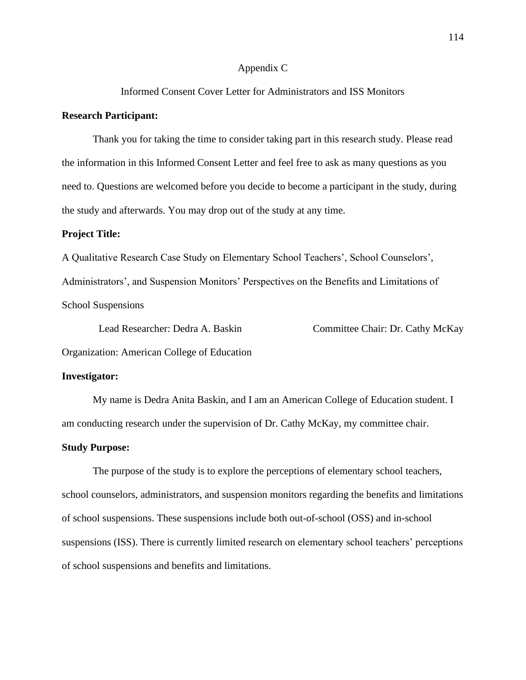# Appendix C

# Informed Consent Cover Letter for Administrators and ISS Monitors

## **Research Participant:**

Thank you for taking the time to consider taking part in this research study. Please read the information in this Informed Consent Letter and feel free to ask as many questions as you need to. Questions are welcomed before you decide to become a participant in the study, during the study and afterwards. You may drop out of the study at any time.

## **Project Title:**

A Qualitative Research Case Study on Elementary School Teachers', School Counselors', Administrators', and Suspension Monitors' Perspectives on the Benefits and Limitations of School Suspensions

Lead Researcher: Dedra A. Baskin Committee Chair: Dr. Cathy McKay Organization: American College of Education

#### **Investigator:**

My name is Dedra Anita Baskin, and I am an American College of Education student. I am conducting research under the supervision of Dr. Cathy McKay, my committee chair.

#### **Study Purpose:**

The purpose of the study is to explore the perceptions of elementary school teachers, school counselors, administrators, and suspension monitors regarding the benefits and limitations of school suspensions. These suspensions include both out-of-school (OSS) and in-school suspensions (ISS). There is currently limited research on elementary school teachers' perceptions of school suspensions and benefits and limitations.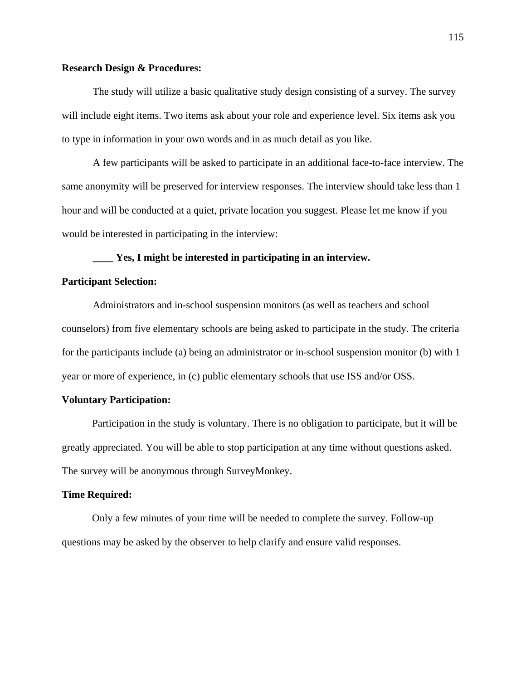#### **Research Design & Procedures:**

The study will utilize a basic qualitative study design consisting of a survey. The survey will include eight items. Two items ask about your role and experience level. Six items ask you to type in information in your own words and in as much detail as you like.

A few participants will be asked to participate in an additional face-to-face interview. The same anonymity will be preserved for interview responses. The interview should take less than 1 hour and will be conducted at a quiet, private location you suggest. Please let me know if you would be interested in participating in the interview:

## **\_\_\_\_ Yes, I might be interested in participating in an interview.**

## **Participant Selection:**

Administrators and in-school suspension monitors (as well as teachers and school counselors) from five elementary schools are being asked to participate in the study. The criteria for the participants include (a) being an administrator or in-school suspension monitor (b) with 1 year or more of experience, in (c) public elementary schools that use ISS and/or OSS.

## **Voluntary Participation:**

Participation in the study is voluntary. There is no obligation to participate, but it will be greatly appreciated. You will be able to stop participation at any time without questions asked. The survey will be anonymous through SurveyMonkey.

#### **Time Required:**

Only a few minutes of your time will be needed to complete the survey. Follow-up questions may be asked by the observer to help clarify and ensure valid responses.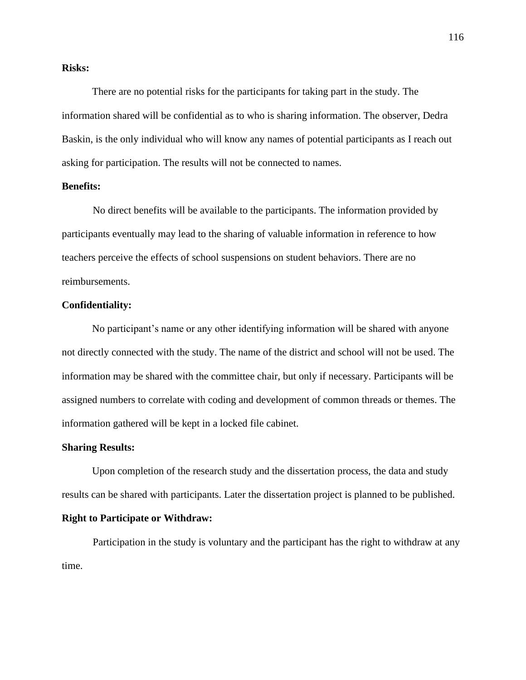#### **Risks:**

There are no potential risks for the participants for taking part in the study. The information shared will be confidential as to who is sharing information. The observer, Dedra Baskin, is the only individual who will know any names of potential participants as I reach out asking for participation. The results will not be connected to names.

#### **Benefits:**

No direct benefits will be available to the participants. The information provided by participants eventually may lead to the sharing of valuable information in reference to how teachers perceive the effects of school suspensions on student behaviors. There are no reimbursements.

## **Confidentiality:**

No participant's name or any other identifying information will be shared with anyone not directly connected with the study. The name of the district and school will not be used. The information may be shared with the committee chair, but only if necessary. Participants will be assigned numbers to correlate with coding and development of common threads or themes. The information gathered will be kept in a locked file cabinet.

## **Sharing Results:**

Upon completion of the research study and the dissertation process, the data and study results can be shared with participants. Later the dissertation project is planned to be published.

## **Right to Participate or Withdraw:**

Participation in the study is voluntary and the participant has the right to withdraw at any time.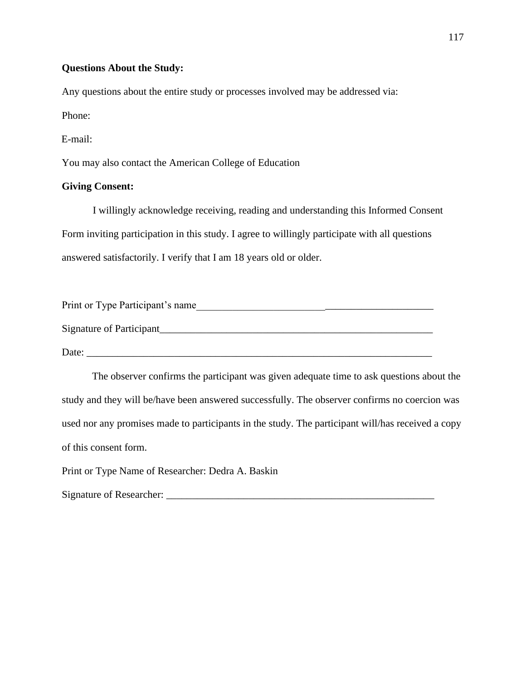# **Questions About the Study:**

Any questions about the entire study or processes involved may be addressed via:

Phone:

E-mail:

You may also contact the American College of Education

# **Giving Consent:**

I willingly acknowledge receiving, reading and understanding this Informed Consent Form inviting participation in this study. I agree to willingly participate with all questions answered satisfactorily. I verify that I am 18 years old or older.

| Print or Type Participant's name |  |
|----------------------------------|--|
|                                  |  |
| Signature of Participant         |  |
|                                  |  |
| Date:                            |  |

The observer confirms the participant was given adequate time to ask questions about the study and they will be/have been answered successfully. The observer confirms no coercion was used nor any promises made to participants in the study. The participant will/has received a copy of this consent form.

Print or Type Name of Researcher: Dedra A. Baskin

Signature of Researcher: \_\_\_\_\_\_\_\_\_\_\_\_\_\_\_\_\_\_\_\_\_\_\_\_\_\_\_\_\_\_\_\_\_\_\_\_\_\_\_\_\_\_\_\_\_\_\_\_\_\_\_\_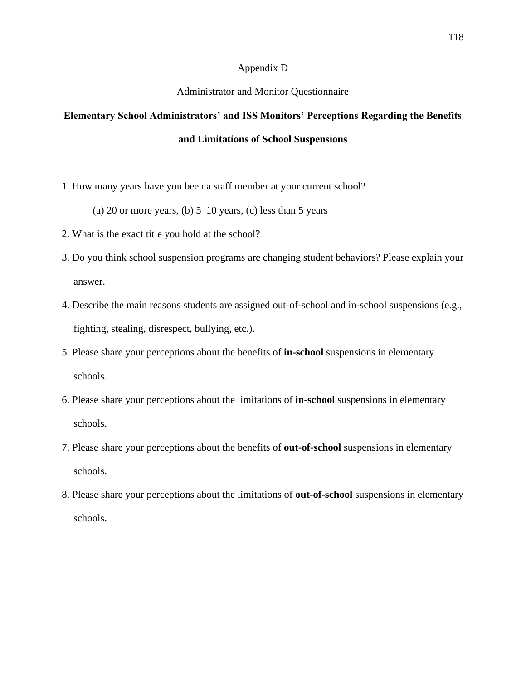## Appendix D

## Administrator and Monitor Questionnaire

# **Elementary School Administrators' and ISS Monitors' Perceptions Regarding the Benefits and Limitations of School Suspensions**

1. How many years have you been a staff member at your current school?

(a) 20 or more years, (b)  $5-10$  years, (c) less than 5 years

- 2. What is the exact title you hold at the school? \_\_\_\_\_\_\_\_\_\_\_\_\_\_\_\_\_\_\_\_\_\_\_\_\_\_\_\_\_\_
- 3. Do you think school suspension programs are changing student behaviors? Please explain your answer.
- 4. Describe the main reasons students are assigned out-of-school and in-school suspensions (e.g., fighting, stealing, disrespect, bullying, etc.).
- 5. Please share your perceptions about the benefits of **in-school** suspensions in elementary schools.
- 6. Please share your perceptions about the limitations of **in-school** suspensions in elementary schools.
- 7. Please share your perceptions about the benefits of **out-of-school** suspensions in elementary schools.
- 8. Please share your perceptions about the limitations of **out-of-school** suspensions in elementary schools.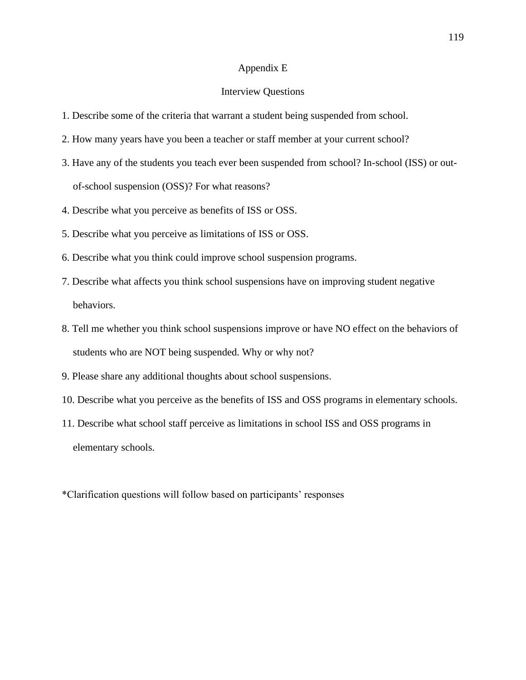## Appendix E

## Interview Questions

- 1. Describe some of the criteria that warrant a student being suspended from school.
- 2. How many years have you been a teacher or staff member at your current school?
- 3. Have any of the students you teach ever been suspended from school? In-school (ISS) or outof-school suspension (OSS)? For what reasons?
- 4. Describe what you perceive as benefits of ISS or OSS.
- 5. Describe what you perceive as limitations of ISS or OSS.
- 6. Describe what you think could improve school suspension programs.
- 7. Describe what affects you think school suspensions have on improving student negative behaviors.
- 8. Tell me whether you think school suspensions improve or have NO effect on the behaviors of students who are NOT being suspended. Why or why not?
- 9. Please share any additional thoughts about school suspensions.
- 10. Describe what you perceive as the benefits of ISS and OSS programs in elementary schools.
- 11. Describe what school staff perceive as limitations in school ISS and OSS programs in elementary schools.
- \*Clarification questions will follow based on participants' responses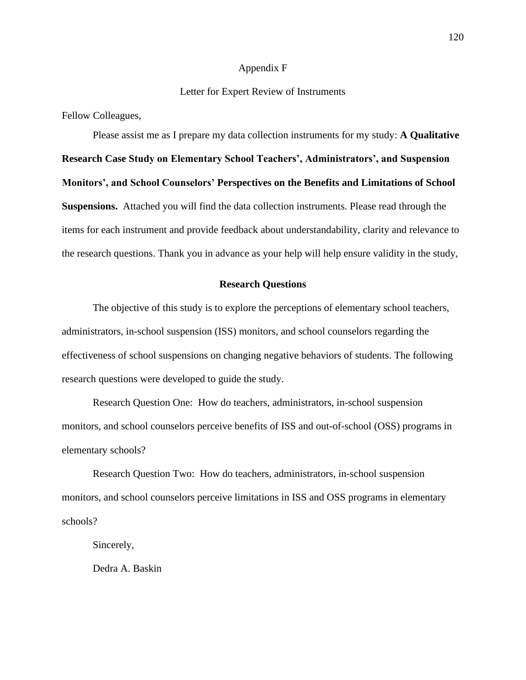## Appendix F

## Letter for Expert Review of Instruments

Fellow Colleagues,

Please assist me as I prepare my data collection instruments for my study: **A Qualitative Research Case Study on Elementary School Teachers', Administrators', and Suspension Monitors', and School Counselors' Perspectives on the Benefits and Limitations of School Suspensions.** Attached you will find the data collection instruments. Please read through the items for each instrument and provide feedback about understandability, clarity and relevance to the research questions. Thank you in advance as your help will help ensure validity in the study,

## **Research Questions**

The objective of this study is to explore the perceptions of elementary school teachers, administrators, in-school suspension (ISS) monitors, and school counselors regarding the effectiveness of school suspensions on changing negative behaviors of students. The following research questions were developed to guide the study.

Research Question One: How do teachers, administrators, in-school suspension monitors, and school counselors perceive benefits of ISS and out-of-school (OSS) programs in elementary schools?

Research Question Two: How do teachers, administrators, in-school suspension monitors, and school counselors perceive limitations in ISS and OSS programs in elementary schools?

Sincerely,

Dedra A. Baskin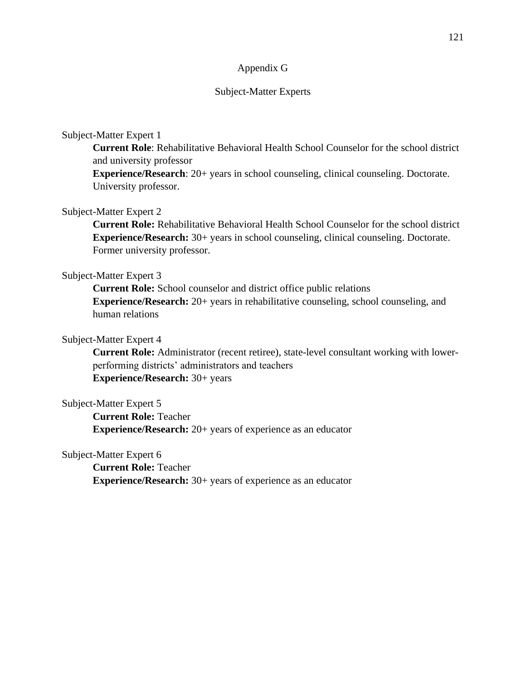## Appendix G

## Subject-Matter Experts

## Subject-Matter Expert 1

**Current Role**: Rehabilitative Behavioral Health School Counselor for the school district and university professor

**Experience/Research**: 20+ years in school counseling, clinical counseling. Doctorate. University professor.

## Subject-Matter Expert 2

**Current Role:** Rehabilitative Behavioral Health School Counselor for the school district **Experience/Research:** 30+ years in school counseling, clinical counseling. Doctorate. Former university professor.

## Subject-Matter Expert 3

**Current Role:** School counselor and district office public relations **Experience/Research:** 20+ years in rehabilitative counseling, school counseling, and human relations

# Subject-Matter Expert 4

**Current Role:** Administrator (recent retiree), state-level consultant working with lowerperforming districts' administrators and teachers **Experience/Research:** 30+ years

# Subject-Matter Expert 5

**Current Role:** Teacher **Experience/Research:** 20+ years of experience as an educator

# Subject-Matter Expert 6

**Current Role:** Teacher **Experience/Research:** 30+ years of experience as an educator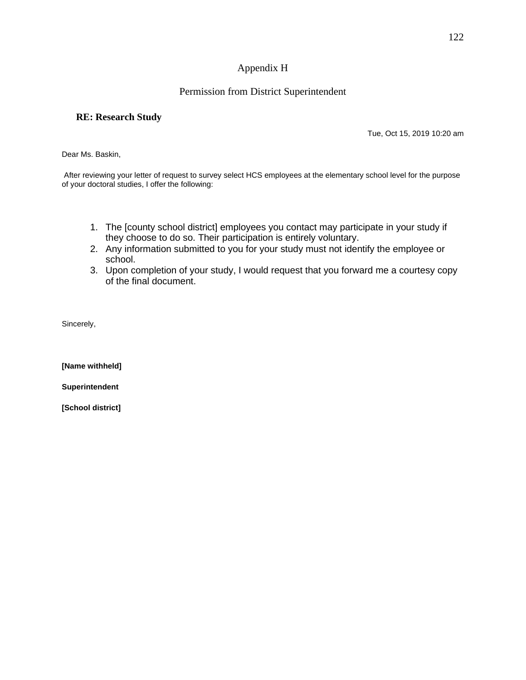# Appendix H

# Permission from District Superintendent

# **RE: Research Study**

Tue, Oct 15, 2019 10:20 am

Dear Ms. Baskin,

After reviewing your letter of request to survey select HCS employees at the elementary school level for the purpose of your doctoral studies, I offer the following:

- 1. The [county school district] employees you contact may participate in your study if they choose to do so. Their participation is entirely voluntary.
- 2. Any information submitted to you for your study must not identify the employee or school.
- 3. Upon completion of your study, I would request that you forward me a courtesy copy of the final document.

Sincerely,

**[Name withheld]**

**Superintendent**

**[School district]**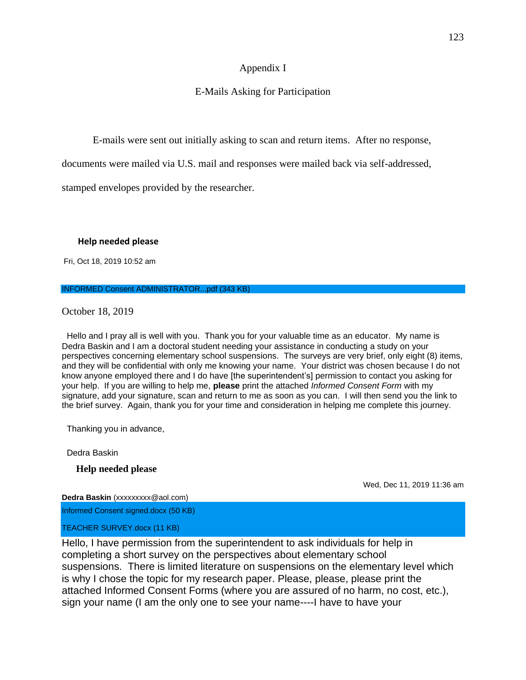# Appendix I

# E-Mails Asking for Participation

E-mails were sent out initially asking to scan and return items. After no response,

documents were mailed via U.S. mail and responses were mailed back via self-addressed,

stamped envelopes provided by the researcher.

## **Help needed please**

Fri, Oct 18, 2019 10:52 am

#### INFORMED Consent ADMINISTRATOR...pdf (343 KB)

October 18, 2019

Hello and I pray all is well with you. Thank you for your valuable time as an educator. My name is Dedra Baskin and I am a doctoral student needing your assistance in conducting a study on your perspectives concerning elementary school suspensions. The surveys are very brief, only eight (8) items, and they will be confidential with only me knowing your name. Your district was chosen because I do not know anyone employed there and I do have [the superintendent's] permission to contact you asking for your help. If you are willing to help me, **please** print the attached *Informed Consent Form* with my signature, add your signature, scan and return to me as soon as you can. I will then send you the link to the brief survey. Again, thank you for your time and consideration in helping me complete this journey.

Thanking you in advance,

Dedra Baskin

#### **Help needed please**

Wed, Dec 11, 2019 11:36 am

**Dedra Baskin** (xxxxxxxxx@aol.com)

Informed Consent signed.docx (50 KB)

#### TEACHER SURVEY.docx (11 KB)

Hello, I have permission from the superintendent to ask individuals for help in completing a short survey on the perspectives about elementary school suspensions. There is limited literature on suspensions on the elementary level which is why I chose the topic for my research paper. Please, please, please print the attached Informed Consent Forms (where you are assured of no harm, no cost, etc.), sign your name (I am the only one to see your name----I have to have your